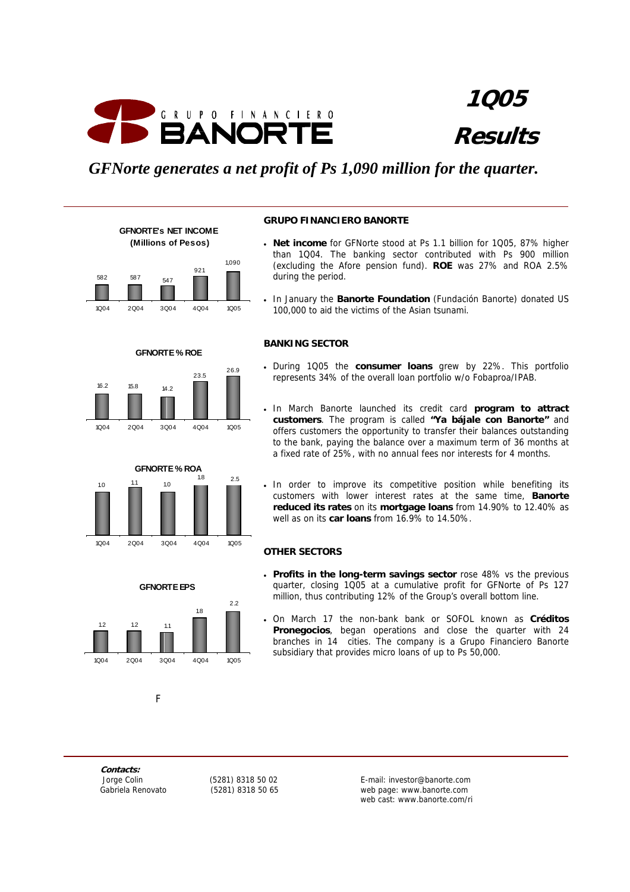

**1Q05 Results**

## *GFNorte generates a net profit of Ps 1,090 million for the quarter.*





**GFNORTE % ROE** 

1Q04 2Q04 3Q04 4Q04 1Q05

**GFNORTE % ROA** 1.0 1.1 1.0  $1.8$  2.5

1Q04 2Q04 3Q04 4Q04 1Q05

**GFNORTE EPS**

1Q04 2Q04 3Q04 4Q04 1Q05

1.8

 $2.2$ 

23.5 26.9

16.2 15.8 14.2

#### **GRUPO FINANCIERO BANORTE**

- **Net income** for GFNorte stood at Ps 1.1 billion for 1Q05, 87% higher than 1Q04. The banking sector contributed with Ps 900 million (excluding the Afore pension fund). **ROE** was 27% and ROA 2.5% during the period.
- In January the **Banorte Foundation** (Fundación Banorte) donated US 100,000 to aid the victims of the Asian tsunami.

## **BANKING SECTOR**

- During 1Q05 the **consumer loans** grew by 22%. This portfolio represents 34% of the overall loan portfolio w/o Fobaproa/IPAB.
- In March Banorte launched its credit card **program to attract customers**. The program is called **"Ya bájale con Banorte"** and offers customers the opportunity to transfer their balances outstanding to the bank, paying the balance over a maximum term of 36 months at a fixed rate of 25%, with no annual fees nor interests for 4 months.
- In order to improve its competitive position while benefiting its customers with lower interest rates at the same time, **Banorte reduced its rates** on its **mortgage loans** from 14.90% to 12.40% as well as on its **car loans** from 16.9% to 14.50%.

#### **OTHER SECTORS**

- **Profits in the long-term savings sector** rose 48% vs the previous quarter, closing 1Q05 at a cumulative profit for GFNorte of Ps 127 million, thus contributing 12% of the Group's overall bottom line.
- On March 17 the non-bank bank or SOFOL known as **Créditos Pronegocios**, began operations and close the quarter with 24 branches in 14 cities. The company is a Grupo Financiero Banorte subsidiary that provides micro loans of up to Ps 50,000.

**Contacts:** 

Fig. 1. The Fig. 1. The Fig.

1.2 1.2 1.1

 Jorge Colin (5281) 8318 50 02 E-mail: investor@banorte.com Gabriela Renovato (5281) 8318 50 65 web page: www.banorte.com web cast: www.banorte.com/ri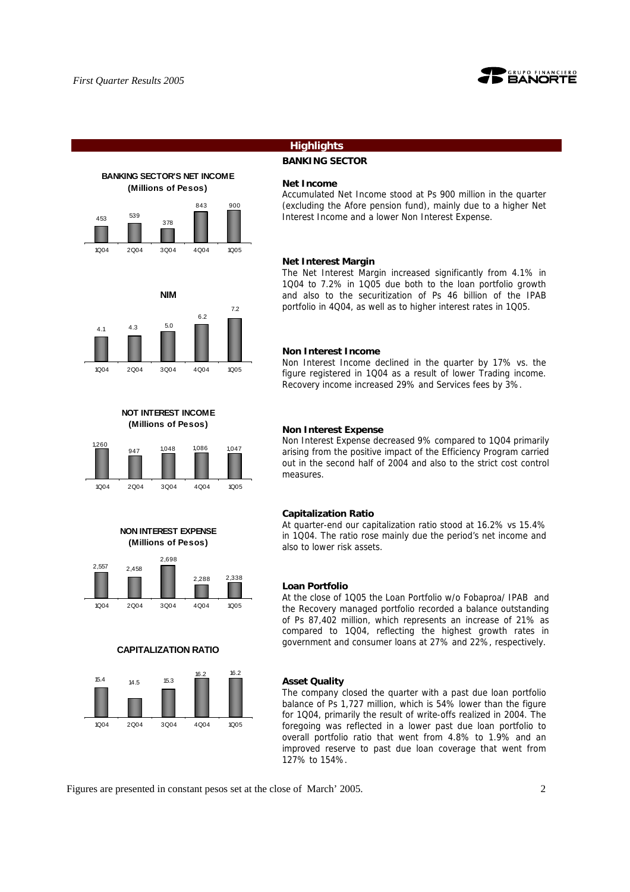

## **BANKING SECTOR'S NET INCOME (Millions of Pesos)** 843 900 378  $453$  539 1Q04 2Q04 3Q04 4Q04 1Q05



**NOT INTEREST INCOME (Millions of Pesos)**



**NON INTEREST EXPENSE (Millions of Pesos)**



#### **CAPITALIZATION RATIO**



## **Highlights**

## **BANKING SECTOR**

#### **Net Income**

Accumulated Net Income stood at Ps 900 million in the quarter (excluding the Afore pension fund), mainly due to a higher Net Interest Income and a lower Non Interest Expense.

#### **Net Interest Margin**

The Net Interest Margin increased significantly from 4.1% in 1Q04 to 7.2% in 1Q05 due both to the loan portfolio growth and also to the securitization of Ps 46 billion of the IPAB portfolio in 4Q04, as well as to higher interest rates in 1Q05.

#### **Non Interest Income**

Non Interest Income declined in the quarter by 17% vs. the figure registered in 1Q04 as a result of lower Trading income. Recovery income increased 29% and Services fees by 3%.

#### **Non Interest Expense**

Non Interest Expense decreased 9% compared to 1Q04 primarily arising from the positive impact of the Efficiency Program carried out in the second half of 2004 and also to the strict cost control measures.

#### **Capitalization Ratio**

At quarter-end our capitalization ratio stood at 16.2% vs 15.4% in 1Q04. The ratio rose mainly due the period's net income and also to lower risk assets.

## **Loan Portfolio**

At the close of 1Q05 the Loan Portfolio w/o Fobaproa/ IPAB and the Recovery managed portfolio recorded a balance outstanding of Ps 87,402 million, which represents an increase of 21% as compared to 1Q04, reflecting the highest growth rates in government and consumer loans at 27% and 22%, respectively.

#### **Asset Quality**

The company closed the quarter with a past due loan portfolio balance of Ps 1,727 million, which is 54% lower than the figure for 1Q04, primarily the result of write-offs realized in 2004. The foregoing was reflected in a lower past due loan portfolio to overall portfolio ratio that went from 4.8% to 1.9% and an improved reserve to past due loan coverage that went from 127% to 154%.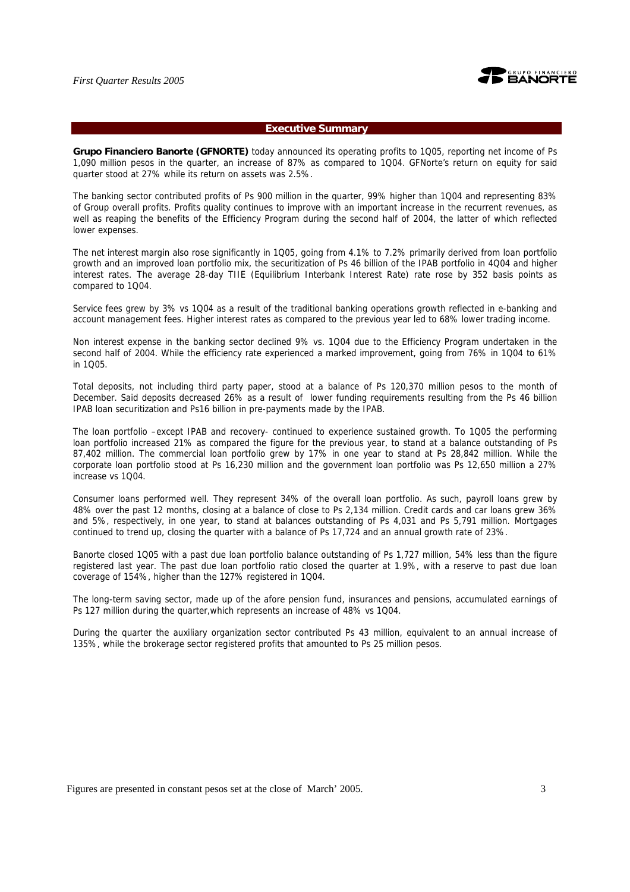

#### **Executive Summary**

**Grupo Financiero Banorte (GFNORTE)** today announced its operating profits to 1Q05, reporting net income of Ps 1,090 million pesos in the quarter, an increase of 87% as compared to 1Q04. GFNorte's return on equity for said quarter stood at 27% while its return on assets was 2.5%.

The banking sector contributed profits of Ps 900 million in the quarter, 99% higher than 1Q04 and representing 83% of Group overall profits. Profits quality continues to improve with an important increase in the recurrent revenues, as well as reaping the benefits of the Efficiency Program during the second half of 2004, the latter of which reflected lower expenses.

The net interest margin also rose significantly in 1Q05, going from 4.1% to 7.2% primarily derived from loan portfolio growth and an improved loan portfolio mix, the securitization of Ps 46 billion of the IPAB portfolio in 4Q04 and higher interest rates. The average 28-day TIIE (Equilibrium Interbank Interest Rate) rate rose by 352 basis points as compared to 1Q04.

Service fees grew by 3% vs 1Q04 as a result of the traditional banking operations growth reflected in e-banking and account management fees. Higher interest rates as compared to the previous year led to 68% lower trading income.

Non interest expense in the banking sector declined 9% vs. 1Q04 due to the Efficiency Program undertaken in the second half of 2004. While the efficiency rate experienced a marked improvement, going from 76% in 1Q04 to 61% in 1Q05.

Total deposits, not including third party paper, stood at a balance of Ps 120,370 million pesos to the month of December. Said deposits decreased 26% as a result of lower funding requirements resulting from the Ps 46 billion IPAB loan securitization and Ps16 billion in pre-payments made by the IPAB.

The loan portfolio –except IPAB and recovery- continued to experience sustained growth. To 1Q05 the performing loan portfolio increased 21% as compared the figure for the previous year, to stand at a balance outstanding of Ps 87,402 million. The commercial loan portfolio grew by 17% in one year to stand at Ps 28,842 million. While the corporate loan portfolio stood at Ps 16,230 million and the government loan portfolio was Ps 12,650 million a 27% increase vs 1Q04.

Consumer loans performed well. They represent 34% of the overall loan portfolio. As such, payroll loans grew by 48% over the past 12 months, closing at a balance of close to Ps 2,134 million. Credit cards and car loans grew 36% and 5%, respectively, in one year, to stand at balances outstanding of Ps 4,031 and Ps 5,791 million. Mortgages continued to trend up, closing the quarter with a balance of Ps 17,724 and an annual growth rate of 23%.

Banorte closed 1Q05 with a past due loan portfolio balance outstanding of Ps 1,727 million, 54% less than the figure registered last year. The past due loan portfolio ratio closed the quarter at 1.9%, with a reserve to past due loan coverage of 154%, higher than the 127% registered in 1Q04.

The long-term saving sector, made up of the afore pension fund, insurances and pensions, accumulated earnings of Ps 127 million during the quarter,which represents an increase of 48% vs 1Q04.

During the quarter the auxiliary organization sector contributed Ps 43 million, equivalent to an annual increase of 135%, while the brokerage sector registered profits that amounted to Ps 25 million pesos.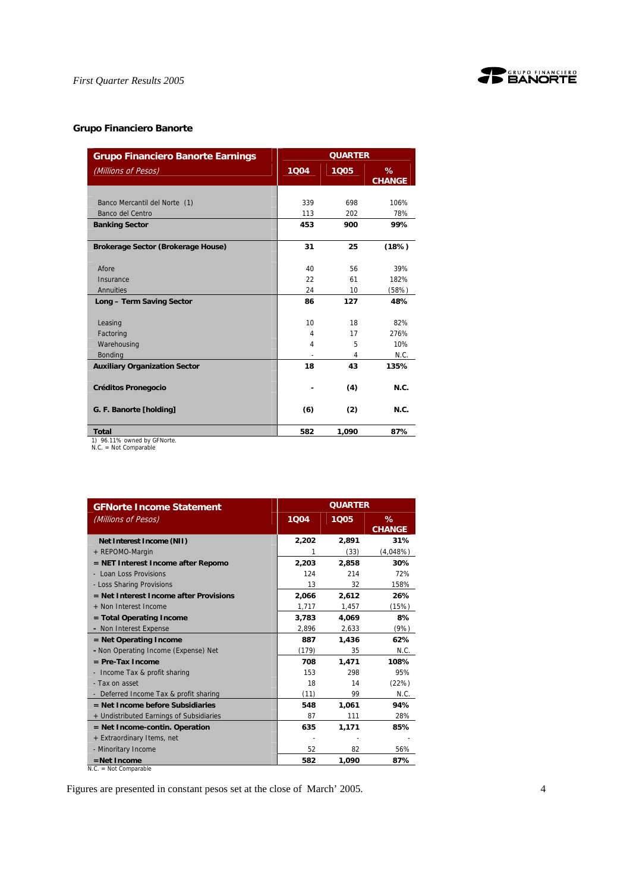

## **Grupo Financiero Banorte**

| <b>Grupo Financiero Banorte Earnings</b>          | <b>QUARTER</b> |       |                    |
|---------------------------------------------------|----------------|-------|--------------------|
| (Millions of Pesos)                               | 1004           | 1005  | %<br><b>CHANGE</b> |
|                                                   |                |       |                    |
| Banco Mercantil del Norte (1)                     | 339            | 698   | 106%               |
| Banco del Centro                                  | 113            | 202   | 78%                |
| <b>Banking Sector</b>                             | 453            | 900   | 99%                |
| Brokerage Sector (Brokerage House)                | 31             | 25    | (18%)              |
| Afore                                             | 40             | 56    | 39%                |
| Insurance                                         | 22             | 61    | 182%               |
| Annuities                                         | 24             | 10    | (58%)              |
| Long - Term Saving Sector                         | 86             | 127   | 48%                |
|                                                   |                |       |                    |
| Leasing                                           | 10             | 18    | 82%                |
| Factoring                                         | 4              | 17    | 276%               |
| Warehousing                                       | 4              | 5     | 10%                |
| <b>Bonding</b>                                    |                | 4     | N.C.               |
| <b>Auxiliary Organization Sector</b>              | 18             | 43    | 135%               |
| <b>Créditos Pronegocio</b>                        |                | (4)   | N.C.               |
| G. F. Banorte [holding]                           | (6)            | (2)   | N.C.               |
| <b>Total</b><br>$1)$ $04.110/$ outpool by CENorto | 582            | 1,090 | 87%                |

1) 96.11% owned by GFNorte. N.C. = Not Comparable

| <b>GFNorte Income Statement</b>          | <b>QUARTER</b> |       |                    |
|------------------------------------------|----------------|-------|--------------------|
| (Millions of Pesos)                      | 1Q04           | 1005  | %<br><b>CHANGE</b> |
| Net Interest Income (NII)                | 2,202          | 2,891 | 31%                |
| + REPOMO-Margin                          | 1              | (33)  | (4,048%)           |
| = NET Interest Income after Repomo       | 2,203          | 2,858 | 30%                |
| - Loan Loss Provisions                   | 124            | 214   | 72%                |
| - Loss Sharing Provisions                | 13             | 32    | 158%               |
| $=$ Net Interest Income after Provisions | 2,066          | 2.612 | 26%                |
| + Non Interest Income                    | 1,717          | 1,457 | (15%)              |
| = Total Operating Income                 | 3,783          | 4,069 | 8%                 |
| - Non Interest Expense                   | 2,896          | 2,633 | (9%)               |
| $=$ Net Operating Income                 | 887            | 1,436 | 62%                |
| - Non Operating Income (Expense) Net     | (179)          | 35    | N.C.               |
| $=$ Pre-Tax Income                       | 708            | 1,471 | 108%               |
| Income Tax & profit sharing              | 153            | 298   | 95%                |
| - Tax on asset                           | 18             | 14    | (22%)              |
| - Deferred Income Tax & profit sharing   | (11)           | 99    | N.C.               |
| $=$ Net Income before Subsidiaries       | 548            | 1.061 | 94%                |
| + Undistributed Earnings of Subsidiaries | 87             | 111   | 28%                |
| $=$ Net Income-contin. Operation         | 635            | 1,171 | 85%                |
| + Extraordinary Items, net               |                |       |                    |
| - Minoritary Income                      | 52             | 82    | 56%                |
| $=$ Net Income                           | 582            | 1,090 | 87%                |
| $N.C. = Not Comparable$                  |                |       |                    |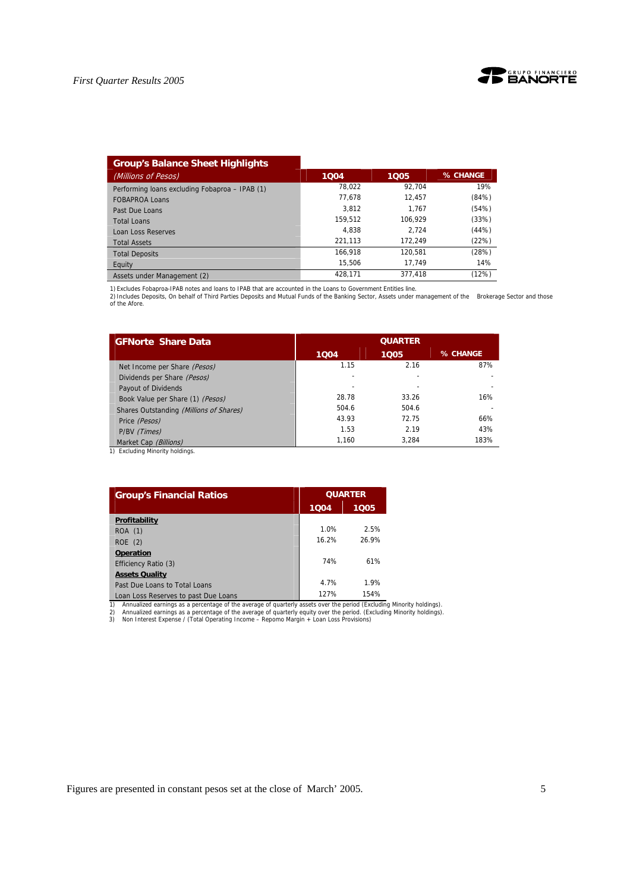

| <b>Group's Balance Sheet Highlights</b>        |         |         |          |
|------------------------------------------------|---------|---------|----------|
| (Millions of Pesos)                            | 1004    | 1005    | % CHANGE |
| Performing loans excluding Fobaproa - IPAB (1) | 78.022  | 92.704  | 19%      |
| <b>FOBAPROA Loans</b>                          | 77.678  | 12.457  | (84%)    |
| Past Due Loans                                 | 3.812   | 1.767   | (54%)    |
| <b>Total Loans</b>                             | 159.512 | 106.929 | (33%)    |
| Loan Loss Reserves                             | 4.838   | 2.724   | (44%)    |
| <b>Total Assets</b>                            | 221.113 | 172.249 | (22%)    |
| <b>Total Deposits</b>                          | 166.918 | 120.581 | (28%)    |
| Equity                                         | 15.506  | 17.749  | 14%      |
| Assets under Management (2)                    | 428.171 | 377.418 | (12%)    |

1) Excludes Fobaproa-IPAB notes and loans to IPAB that are accounted in the Loans to Government Entities line.<br>2) Includes Deposits, On behalf of Third Parties Deposits and Mutual Funds of the Banking Sector, Assets under

| <b>GFNorte Share Data</b>               | <b>QUARTER</b> |       |          |  |  |
|-----------------------------------------|----------------|-------|----------|--|--|
|                                         | 1004           | 1005  | % CHANGE |  |  |
| Net Income per Share (Pesos)            | 1.15           | 2.16  | 87%      |  |  |
| Dividends per Share (Pesos)             |                |       |          |  |  |
| Payout of Dividends                     |                |       |          |  |  |
| Book Value per Share (1) (Pesos)        | 28.78          | 33.26 | 16%      |  |  |
| Shares Outstanding (Millions of Shares) | 504.6          | 504.6 |          |  |  |
| Price (Pesos)                           | 43.93          | 72.75 | 66%      |  |  |
| P/BV (Times)                            | 1.53           | 2.19  | 43%      |  |  |
| Market Cap (Billions)                   | 1,160          | 3,284 | 183%     |  |  |

1) Excluding Minority holdings.

| <b>Group's Financial Ratios</b>                                                                                                                                                                                                                                                                                                                             |       | <b>QUARTER</b> |  |
|-------------------------------------------------------------------------------------------------------------------------------------------------------------------------------------------------------------------------------------------------------------------------------------------------------------------------------------------------------------|-------|----------------|--|
|                                                                                                                                                                                                                                                                                                                                                             | 1004  | 1005           |  |
| Profitability                                                                                                                                                                                                                                                                                                                                               |       |                |  |
| ROA (1)                                                                                                                                                                                                                                                                                                                                                     | 1.0%  | 2.5%           |  |
| ROE(2)                                                                                                                                                                                                                                                                                                                                                      | 16.2% | 26.9%          |  |
| <b>Operation</b>                                                                                                                                                                                                                                                                                                                                            |       |                |  |
| Efficiency Ratio (3)                                                                                                                                                                                                                                                                                                                                        | 74%   | 61%            |  |
| <b>Assets Quality</b>                                                                                                                                                                                                                                                                                                                                       |       |                |  |
| Past Due Loans to Total Loans                                                                                                                                                                                                                                                                                                                               | 4.7%  | 1.9%           |  |
| Loan Loss Reserves to past Due Loans                                                                                                                                                                                                                                                                                                                        | 127%  | 154%           |  |
| 1)<br>Annualized earnings as a percentage of the average of quarterly assets over the period (Excluding Minority holdings).<br>Annualized earnings as a percentage of the average of quarterly equity over the period. (Excluding Minority holdings).<br>2)<br>3)<br>Non Interest Expense / (Total Operating Income - Repomo Margin + Loan Loss Provisions) |       |                |  |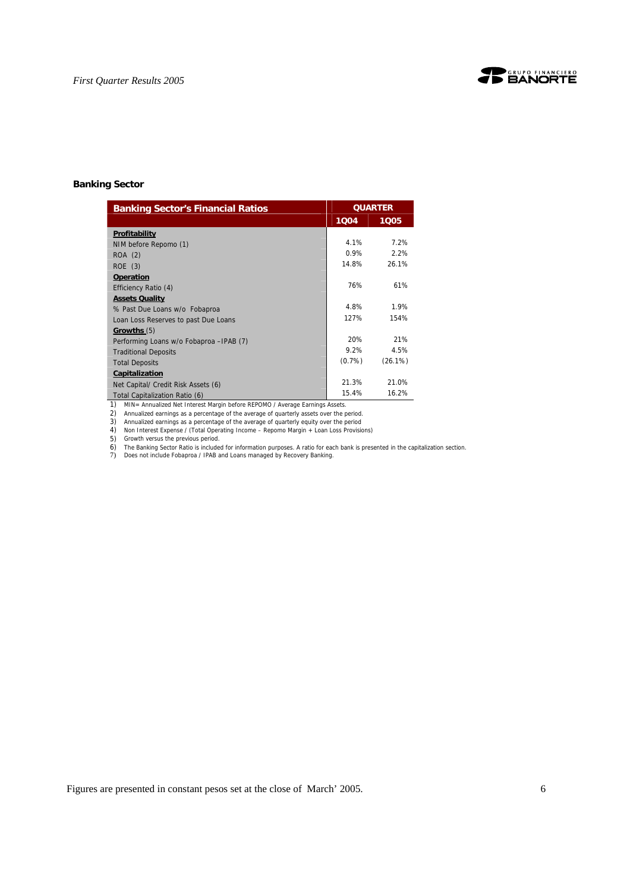

## **Banking Sector**

| <b>Banking Sector's Financial Ratios</b> | <b>QUARTER</b> |         |
|------------------------------------------|----------------|---------|
|                                          | 1004           | 1005    |
| Profitability                            |                |         |
| NIM before Repomo (1)                    | 4.1%           | 7.2%    |
| ROA (2)                                  | 0.9%           | 2.2%    |
| $ROE$ (3)                                | 14.8%          | 26.1%   |
| <b>Operation</b>                         |                |         |
| Efficiency Ratio (4)                     | 76%            | 61%     |
| <b>Assets Quality</b>                    |                |         |
| % Past Due Loans w/o Fobaproa            | 4.8%           | 1.9%    |
| Loan Loss Reserves to past Due Loans     | 127%           | 154%    |
| Growths (5)                              |                |         |
| Performing Loans w/o Fobaproa - IPAB (7) | 20%            | 21%     |
| <b>Traditional Deposits</b>              | 9.2%           | 4.5%    |
| <b>Total Deposits</b>                    | $(0.7\%)$      | (26.1%) |
| Capitalization                           |                |         |
| Net Capital/ Credit Risk Assets (6)      | 21.3%          | 21.0%   |
| Total Capitalization Ratio (6)           | 15.4%          | 16.2%   |

1) MIN= Annualized Net Interest Margin before REPOMO / Average Earnings Assets.

2) Annualized earnings as a percentage of the average of quarterly assets over the period. 3) Annualized earnings as a percentage of the average of quarterly equity over the period

4) Non Interest Expense / (Total Operating Income – Repomo Margin + Loan Loss Provisions)

5) Growth versus the previous period.<br>6) The Banking Sector Ratio is included for information purposes. A ratio for each bank is presented in the capitalization section.<br>7) Does not include Fobaproa / IPAB and Loans manage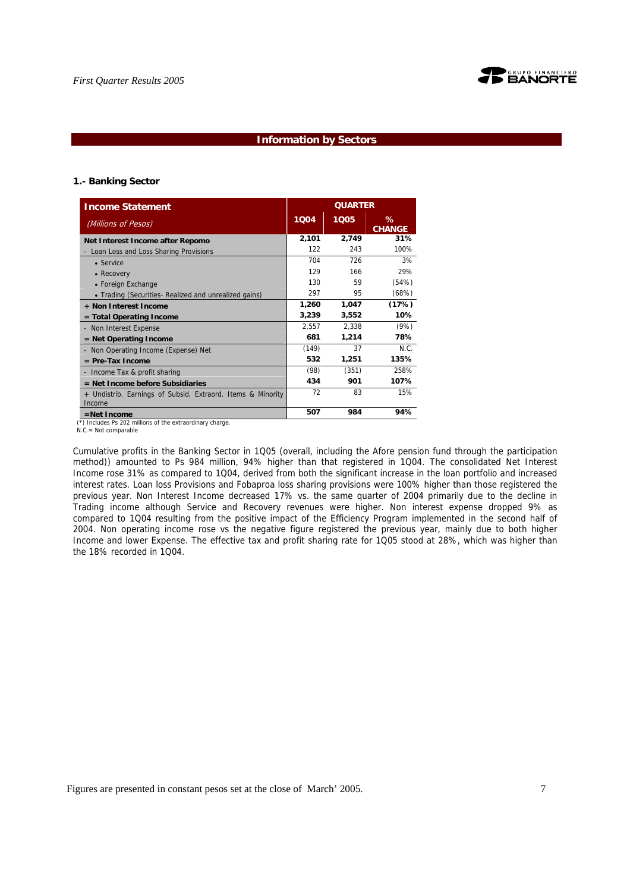

## **Information by Sectors**

#### **1.- Banking Sector**

| <b>Income Statement</b>                                               | <b>QUARTER</b> |       |                    |
|-----------------------------------------------------------------------|----------------|-------|--------------------|
| (Millions of Pesos)                                                   | 1004           | 1005  | ℅<br><b>CHANGE</b> |
| Net Interest Income after Repomo                                      | 2,101          | 2,749 | 31%                |
| - Loan Loss and Loss Sharing Provisions                               | 122            | 243   | 100%               |
| $\bullet$ Service                                                     | 704            | 726   | 3%                 |
| • Recovery                                                            | 129            | 166   | 29%                |
| • Foreign Exchange                                                    | 130            | 59    | (54%)              |
| • Trading (Securities- Realized and unrealized gains)                 | 297            | 95    | (68%)              |
| + Non Interest Income                                                 | 1,260          | 1,047 | (17%)              |
| $=$ Total Operating Income                                            | 3,239          | 3,552 | 10%                |
| - Non Interest Expense                                                | 2,557          | 2,338 | (9%)               |
| $=$ Net Operating Income                                              | 681            | 1,214 | 78%                |
| Non Operating Income (Expense) Net                                    | (149)          | 37    | N.C.               |
| $=$ Pre-Tax Income                                                    | 532            | 1,251 | 135%               |
| - Income Tax & profit sharing                                         | (98)           | (351) | 258%               |
| = Net Income before Subsidiaries                                      | 434            | 901   | 107%               |
| + Undistrib. Earnings of Subsid, Extraord. Items & Minority<br>Income | 72             | 83    | 15%                |
| $=$ Net Income                                                        | 507            | 984   | 94%                |

Includes Ps 202 millions of the extraordinary charge.

N.C.= Not comparable

Cumulative profits in the Banking Sector in 1Q05 (overall, including the Afore pension fund through the participation method)) amounted to Ps 984 million, 94% higher than that registered in 1Q04. The consolidated Net Interest Income rose 31% as compared to 1Q04, derived from both the significant increase in the loan portfolio and increased interest rates. Loan loss Provisions and Fobaproa loss sharing provisions were 100% higher than those registered the previous year. Non Interest Income decreased 17% vs. the same quarter of 2004 primarily due to the decline in Trading income although Service and Recovery revenues were higher. Non interest expense dropped 9% as compared to 1Q04 resulting from the positive impact of the Efficiency Program implemented in the second half of 2004. Non operating income rose vs the negative figure registered the previous year, mainly due to both higher Income and lower Expense. The effective tax and profit sharing rate for 1Q05 stood at 28%, which was higher than the 18% recorded in 1Q04.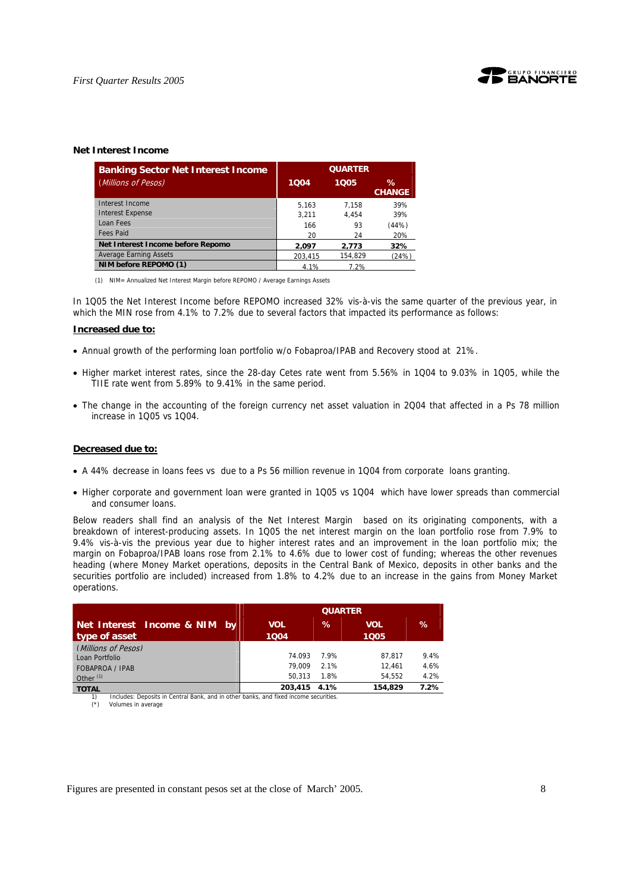

#### **Net Interest Income**

| <b>Banking Sector Net Interest Income</b> | <b>QUARTER</b> |         |                       |
|-------------------------------------------|----------------|---------|-----------------------|
| (Millions of Pesos)                       | 1004           | 1005    | $\%$<br><b>CHANGE</b> |
| Interest Income                           | 5.163          | 7.158   | 39%                   |
| <b>Interest Expense</b>                   | 3.211          | 4.454   | 39%                   |
| Loan Fees                                 | 166            | 93      | (44%)                 |
| <b>Fees Paid</b>                          | 20             | 24      | 20%                   |
| Net Interest Income before Repomo         | 2.097          | 2.773   | 32%                   |
| <b>Average Earning Assets</b>             | 203.415        | 154.829 | (24%)                 |
| NIM before REPOMO (1)                     | 4.1%           | 7.2%    |                       |

(1) NIM= Annualized Net Interest Margin before REPOMO / Average Earnings Assets

In 1Q05 the Net Interest Income before REPOMO increased 32% vis-à-vis the same quarter of the previous year, in which the MIN rose from 4.1% to 7.2% due to several factors that impacted its performance as follows:

#### **Increased due to:**

- Annual growth of the performing loan portfolio w/o Fobaproa/IPAB and Recovery stood at 21%.
- Higher market interest rates, since the 28-day Cetes rate went from 5.56% in 1Q04 to 9.03% in 1Q05, while the TIIE rate went from 5.89% to 9.41% in the same period.
- The change in the accounting of the foreign currency net asset valuation in 2Q04 that affected in a Ps 78 million increase in 1Q05 vs 1Q04.

#### **Decreased due to:**

- A 44% decrease in loans fees vs due to a Ps 56 million revenue in 1Q04 from corporate loans granting.
- Higher corporate and government loan were granted in 1Q05 vs 1Q04 which have lower spreads than commercial and consumer loans.

Below readers shall find an analysis of the Net Interest Margin based on its originating components, with a breakdown of interest-producing assets. In 1Q05 the net interest margin on the loan portfolio rose from 7.9% to 9.4% vis-à-vis the previous year due to higher interest rates and an improvement in the loan portfolio mix; the margin on Fobaproa/IPAB loans rose from 2.1% to 4.6% due to lower cost of funding; whereas the other revenues heading (where Money Market operations, deposits in the Central Bank of Mexico, deposits in other banks and the securities portfolio are included) increased from 1.8% to 4.2% due to an increase in the gains from Money Market operations.

| <b>QUARTER</b> |      |                                                                                                                      |         |
|----------------|------|----------------------------------------------------------------------------------------------------------------------|---------|
| <b>VOL</b>     | $\%$ | <b>VOL</b>                                                                                                           | %       |
|                |      |                                                                                                                      |         |
|                |      |                                                                                                                      |         |
| 74.093         | 7.9% | 87.817                                                                                                               | 9.4%    |
| 79.009         | 2.1% | 12.461                                                                                                               | 4.6%    |
| 50.313         | 1.8% | 54.552                                                                                                               | 4.2%    |
| 203,415        |      | 154.829                                                                                                              | $7.2\%$ |
|                | 1004 | 4.1%<br>The characters in the contracted contracted that the contracted and contracted the contracted contracted and | 1005    |

Includes: Deposits in Central Bank, and in other banks, and fixed income securities. (\*) Volumes in average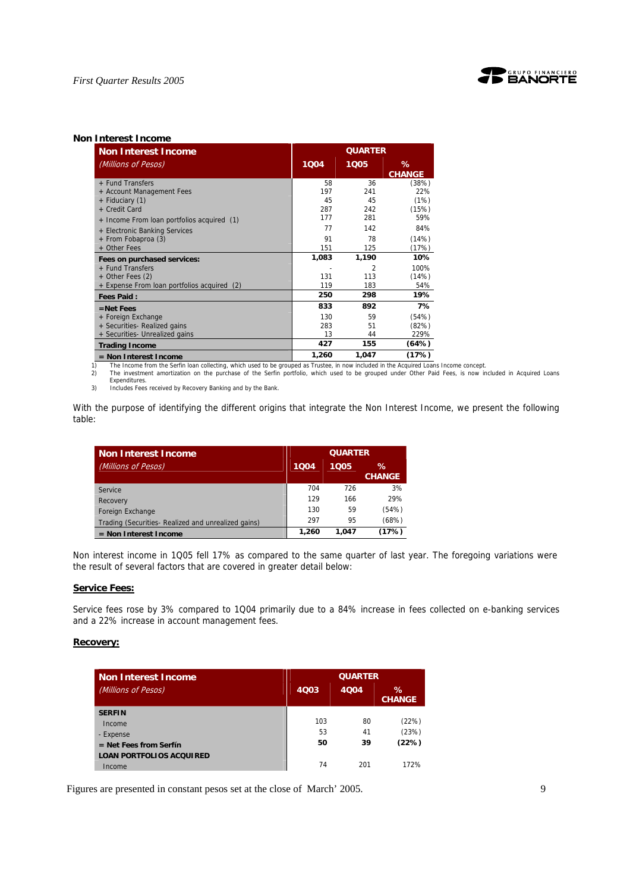

#### **Non Interest Income**

| <b>Non Interest Income</b>                  | <b>QUARTER</b> |                         |                    |
|---------------------------------------------|----------------|-------------------------|--------------------|
| (Millions of Pesos)                         | 1004           | 1005                    | %<br><b>CHANGE</b> |
| + Fund Transfers                            | 58             | 36                      | (38%)              |
| + Account Management Fees                   | 197            | 241                     | 22%                |
| + Fiduciary (1)                             | 45             | 45                      | (1%)               |
| + Credit Card                               | 287            | 242                     | (15%)              |
| + Income From loan portfolios acquired (1)  | 177            | 281                     | 59%                |
| + Electronic Banking Services               | 77             | 142                     | 84%                |
| + From Fobaproa (3)                         | 91             | 78                      | (14%)              |
| + Other Fees                                | 151            | 125                     | (17%)              |
| Fees on purchased services:                 | 1,083          | 1,190                   | 10%                |
| + Fund Transfers                            |                | $\overline{\mathbf{c}}$ | 100%               |
| + Other Fees (2)                            | 131            | 113                     | (14%)              |
| + Expense From loan portfolios acquired (2) | 119            | 183                     | 54%                |
| <b>Fees Paid:</b>                           | 250            | 298                     | 19%                |
| $=$ Net Fees                                | 833            | 892                     | 7%                 |
| + Foreign Exchange                          | 130            | 59                      | (54%)              |
| + Securities- Realized gains                | 283            | 51                      | (82%)              |
| + Securities- Unrealized gains              | 13             | 44                      | 229%               |
| <b>Trading Income</b>                       | 427            | 155                     | (64%)              |
| $=$ Non Interest Income                     | 1,260          | 1,047                   | (17%)              |

**EXECUTE 1,260 1,047 (17%)**<br>1) The Income from the Serfin loan collecting, which used to be grouped as Trustee, in now included in the Acquired Loans Income concept.

2) The investment amortization on the purchase of the Serfin portfolio, which used to be grouped under Other Paid Fees, is now included in Acquired Loans Expenditures.

3) Includes Fees received by Recovery Banking and by the Bank.

With the purpose of identifying the different origins that integrate the Non Interest Income, we present the following table:

| <b>Non Interest Income</b>                         | <b>QUARTER</b> |       |                       |
|----------------------------------------------------|----------------|-------|-----------------------|
| (Millions of Pesos)                                | 1004           | 1005  | $\%$<br><b>CHANGE</b> |
| Service                                            | 704            | 726   | 3%                    |
| Recovery                                           | 129            | 166   | 29%                   |
| Foreign Exchange                                   | 130            | 59    | (54%)                 |
| Trading (Securities-Realized and unrealized gains) | 297            | 95    | (68%)                 |
| $=$ Non Interest Income                            | 1,260          | 1.047 | (17%)                 |

Non interest income in 1Q05 fell 17% as compared to the same quarter of last year. The foregoing variations were the result of several factors that are covered in greater detail below:

#### **Service Fees:**

Service fees rose by 3% compared to 1Q04 primarily due to a 84% increase in fees collected on e-banking services and a 22% increase in account management fees.

#### **Recovery:**

| Non Interest Income             | <b>QUARTER</b> |             |                    |
|---------------------------------|----------------|-------------|--------------------|
| (Millions of Pesos)             | 4Q03           | <b>4Q04</b> | ℅<br><b>CHANGE</b> |
| <b>SERFIN</b>                   |                |             |                    |
| Income                          | 103            | 80          | (22%)              |
| - Expense                       | 53             | 41          | (23%)              |
| $=$ Net Fees from Serfín        | 50             | 39          | (22%)              |
| <b>LOAN PORTFOLIOS ACQUIRED</b> |                |             |                    |
| Income                          | 74             | 201         | 172%               |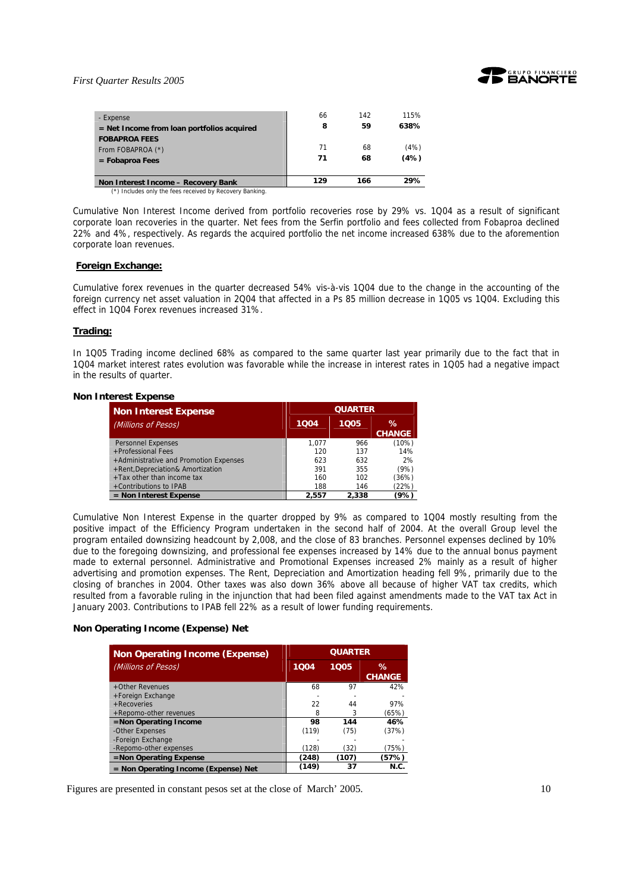

| - Expense<br>$=$ Net Income from loan portfolios acquired      | 66<br>8  | 142<br>59 | 115%<br>638% |
|----------------------------------------------------------------|----------|-----------|--------------|
| <b>FOBAPROA FEES</b><br>From FOBAPROA (*)<br>$=$ Fobaproa Fees | 71<br>71 | 68<br>68  | (4%)<br>(4%) |
| Non Interest Income - Recovery Bank                            | 129      | 166       | 29%          |

(\*) Includes only the fees received by Recovery Banking.

Cumulative Non Interest Income derived from portfolio recoveries rose by 29% vs. 1Q04 as a result of significant corporate loan recoveries in the quarter. Net fees from the Serfin portfolio and fees collected from Fobaproa declined 22% and 4%, respectively. As regards the acquired portfolio the net income increased 638% due to the aforemention corporate loan revenues.

#### **Foreign Exchange:**

Cumulative forex revenues in the quarter decreased 54% vis-à-vis 1Q04 due to the change in the accounting of the foreign currency net asset valuation in 2Q04 that affected in a Ps 85 million decrease in 1Q05 vs 1Q04. Excluding this effect in 1Q04 Forex revenues increased 31%.

#### **Trading:**

In 1Q05 Trading income declined 68% as compared to the same quarter last year primarily due to the fact that in 1Q04 market interest rates evolution was favorable while the increase in interest rates in 1Q05 had a negative impact in the results of quarter.

#### **Non Interest Expense**

| <b>Non Interest Expense</b>            | <b>QUARTER</b> |       |                       |
|----------------------------------------|----------------|-------|-----------------------|
| (Millions of Pesos)                    | 1005<br>1004   |       | $\%$<br><b>CHANGE</b> |
|                                        |                | 966   |                       |
| <b>Personnel Expenses</b>              | 1.077          |       | (10%)                 |
| +Professional Fees                     | 120            | 137   | 14%                   |
| +Administrative and Promotion Expenses | 623            | 632   | 2%                    |
| +Rent, Depreciation& Amortization      | 391            | 355   | (9%)                  |
| +Tax other than income tax             | 160            | 102   | (36%)                 |
| +Contributions to IPAB                 | 188            | 146   | (22%)                 |
| $=$ Non Interest Expense               | 2.557          | 2.338 | (9%)                  |

Cumulative Non Interest Expense in the quarter dropped by 9% as compared to 1Q04 mostly resulting from the positive impact of the Efficiency Program undertaken in the second half of 2004. At the overall Group level the program entailed downsizing headcount by 2,008, and the close of 83 branches. Personnel expenses declined by 10% due to the foregoing downsizing, and professional fee expenses increased by 14% due to the annual bonus payment made to external personnel. Administrative and Promotional Expenses increased 2% mainly as a result of higher advertising and promotion expenses. The Rent, Depreciation and Amortization heading fell 9%, primarily due to the closing of branches in 2004. Other taxes was also down 36% above all because of higher VAT tax credits, which resulted from a favorable ruling in the injunction that had been filed against amendments made to the VAT tax Act in January 2003. Contributions to IPAB fell 22% as a result of lower funding requirements.

#### **Non Operating Income (Expense) Net**

| <b>Non Operating Income (Expense)</b> | <b>QUARTER</b> |       |                       |
|---------------------------------------|----------------|-------|-----------------------|
| (Millions of Pesos)                   | 1004           | 1005  | $\%$<br><b>CHANGE</b> |
| +Other Revenues                       | 68             | 97    | 42%                   |
| +Foreign Exchange                     |                |       |                       |
| +Recoveries                           | 22             | 44    | 97%                   |
| +Repomo-other revenues                | 8              |       | (65%)                 |
| =Non Operating Income                 | 98             | 144   | 46%                   |
| -Other Expenses                       | (119)          | (75)  | (37%)                 |
| -Foreign Exchange                     |                |       |                       |
| -Repomo-other expenses                | (128)          | (32)  | (75%)                 |
| =Non Operating Expense                | (248)          | (107) | (57%)                 |
| = Non Operating Income (Expense) Net  | (149)          | 37    | N.C.                  |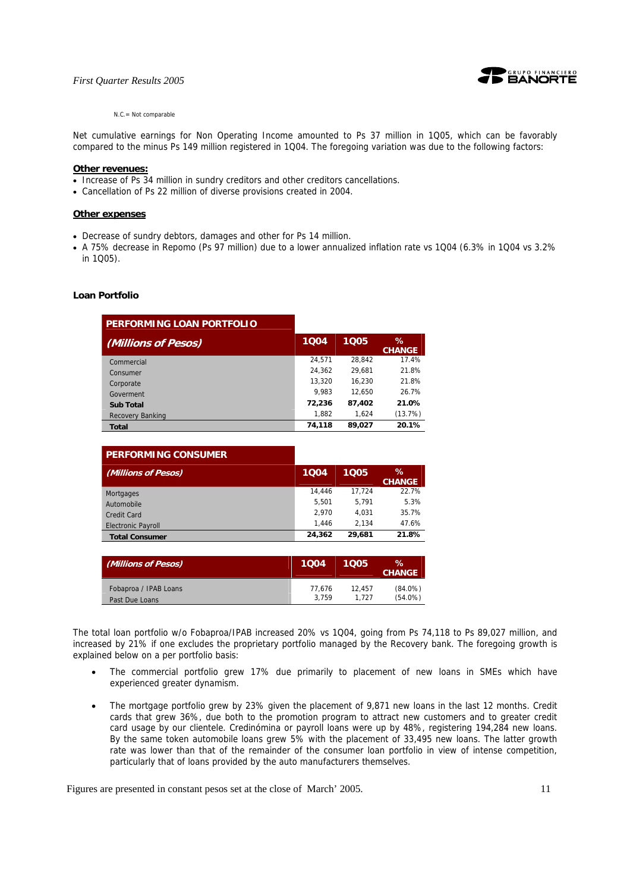

#### $N.C = Not comparable$

Net cumulative earnings for Non Operating Income amounted to Ps 37 million in 1Q05, which can be favorably compared to the minus Ps 149 million registered in 1Q04. The foregoing variation was due to the following factors:

#### **Other revenues:**

- Increase of Ps 34 million in sundry creditors and other creditors cancellations.
- Cancellation of Ps 22 million of diverse provisions created in 2004.

#### **Other expenses**

- Decrease of sundry debtors, damages and other for Ps 14 million.
- A 75% decrease in Repomo (Ps 97 million) due to a lower annualized inflation rate vs 1Q04 (6.3% in 1Q04 vs 3.2% in 1Q05).

#### **Loan Portfolio**

| <b>PERFORMING LOAN PORTFOLIO</b> |        |        |                       |
|----------------------------------|--------|--------|-----------------------|
| (Millions of Pesos)              | 1004   | 1005   | $\%$<br><b>CHANGE</b> |
| Commercial                       | 24.571 | 28.842 | 17.4%                 |
| Consumer                         | 24.362 | 29.681 | 21.8%                 |
| Corporate                        | 13.320 | 16.230 | 21.8%                 |
| Goverment                        | 9.983  | 12.650 | 26.7%                 |
| <b>Sub Total</b>                 | 72,236 | 87.402 | 21.0%                 |
| Recovery Banking                 | 1,882  | 1.624  | (13.7%)               |
| <b>Total</b>                     | 74,118 | 89.027 | 20.1%                 |

| <b>PERFORMING CONSUMER</b> |        |        |                       |
|----------------------------|--------|--------|-----------------------|
| (Millions of Pesos)        | 1004   | 1005   | $\%$<br><b>CHANGE</b> |
| <b>Mortgages</b>           | 14,446 | 17.724 | 22.7%                 |
| Automobile                 | 5.501  | 5.791  | 5.3%                  |
| Credit Card                | 2.970  | 4.031  | 35.7%                 |
| <b>Electronic Payroll</b>  | 1.446  | 2.134  | 47.6%                 |
| <b>Total Consumer</b>      | 24.362 | 29.681 | 21.8%                 |

| (Millions of Pesos)   | 1004   | 1005   | $\%$<br><b>CHANGE</b> |
|-----------------------|--------|--------|-----------------------|
| Fobaproa / IPAB Loans | 77.676 | 12.457 | $(84.0\%)$            |
| Past Due Loans        | 3.759  | 1.727  | $(54.0\%)$            |

The total loan portfolio w/o Fobaproa/IPAB increased 20% vs 1Q04, going from Ps 74,118 to Ps 89,027 million, and increased by 21% if one excludes the proprietary portfolio managed by the Recovery bank. The foregoing growth is explained below on a per portfolio basis:

- The commercial portfolio grew 17% due primarily to placement of new loans in SMEs which have experienced greater dynamism.
- The mortgage portfolio grew by 23% given the placement of 9,871 new loans in the last 12 months. Credit cards that grew 36%, due both to the promotion program to attract new customers and to greater credit card usage by our clientele. Credinómina or payroll loans were up by 48%, registering 194,284 new loans. By the same token automobile loans grew 5% with the placement of 33,495 new loans. The latter growth rate was lower than that of the remainder of the consumer loan portfolio in view of intense competition, particularly that of loans provided by the auto manufacturers themselves.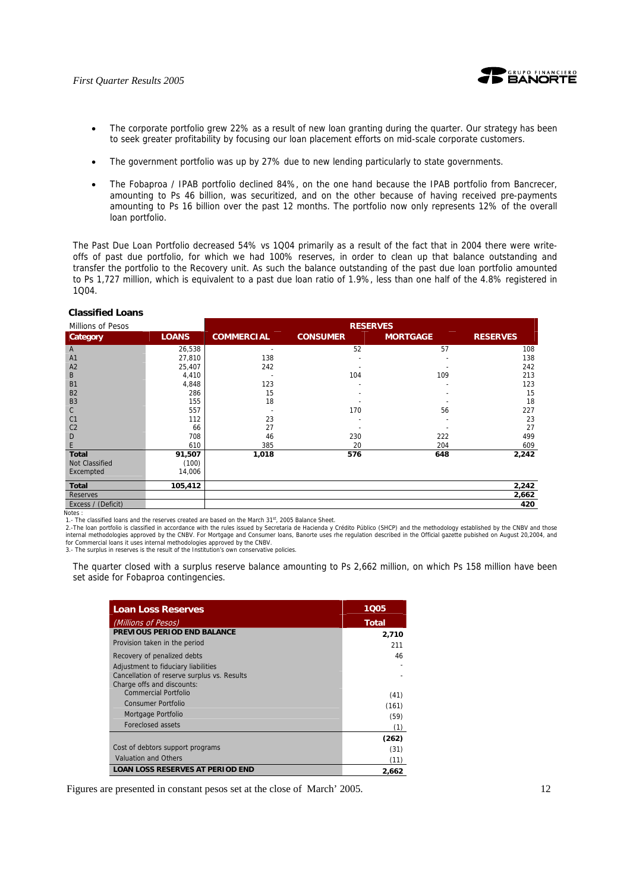

- The corporate portfolio grew 22% as a result of new loan granting during the quarter. Our strategy has been to seek greater profitability by focusing our loan placement efforts on mid-scale corporate customers.
- The government portfolio was up by 27% due to new lending particularly to state governments.
- The Fobaproa / IPAB portfolio declined 84%, on the one hand because the IPAB portfolio from Bancrecer, amounting to Ps 46 billion, was securitized, and on the other because of having received pre-payments amounting to Ps 16 billion over the past 12 months. The portfolio now only represents 12% of the overall loan portfolio.

The Past Due Loan Portfolio decreased 54% vs 1Q04 primarily as a result of the fact that in 2004 there were writeoffs of past due portfolio, for which we had 100% reserves, in order to clean up that balance outstanding and transfer the portfolio to the Recovery unit. As such the balance outstanding of the past due loan portfolio amounted to Ps 1,727 million, which is equivalent to a past due loan ratio of 1.9%, less than one half of the 4.8% registered in 1Q04.

## **Classified Loans**

| Millions of Pesos     |              | <b>RESERVES</b>   |                 |                 |                 |
|-----------------------|--------------|-------------------|-----------------|-----------------|-----------------|
| Category              | <b>LOANS</b> | <b>COMMERCIAL</b> | <b>CONSUMER</b> | <b>MORTGAGE</b> | <b>RESERVES</b> |
| $\overline{A}$        | 26,538       |                   | 52              | 57              | 108             |
| A <sub>1</sub>        | 27,810       | 138               |                 |                 | 138             |
| A <sub>2</sub>        | 25,407       | 242               |                 |                 | 242             |
| B                     | 4,410        |                   | 104             | 109             | 213             |
| <b>B1</b>             | 4,848        | 123               |                 |                 | 123             |
| <b>B2</b>             | 286          | 15                |                 |                 | 15              |
| B <sub>3</sub>        | 155          | 18                |                 |                 | 18              |
| $\mathsf{C}$          | 557          |                   | 170             | 56              | 227             |
| C <sub>1</sub>        | 112          | 23                |                 |                 | 23              |
| C <sub>2</sub>        | 66           | 27                |                 |                 | 27              |
| D                     | 708          | 46                | 230             | 222             | 499             |
| E                     | 610          | 385               | 20              | 204             | 609             |
| <b>Total</b>          | 91,507       | 1,018             | 576             | 648             | 2,242           |
| <b>Not Classified</b> | (100)        |                   |                 |                 |                 |
| Excempted             | 14,006       |                   |                 |                 |                 |
| <b>Total</b>          | 105,412      |                   |                 |                 | 2,242           |
| <b>Reserves</b>       |              |                   |                 |                 | 2,662           |
| Excess / (Deficit)    |              |                   |                 |                 | 420             |

Notes :

1.- The classified loans and the reserves created are based on the March 31<sup>st</sup>, 2005 Balance Sheet.

2.-The loan portfolio is classified in accordance with the rules issued by Secretaria de Hacienda y Crédito Público (SHCP) and the methodology established by the CNBV and those<br>internal methodologies approved by the CNBV. for Commercial loans it uses internal methodologies approved by the CNBV. 3.- The surplus in reserves is the result of the Institution's own conservative policies.

The quarter closed with a surplus reserve balance amounting to Ps 2,662 million, on which Ps 158 million have been set aside for Fobaproa contingencies.

| <b>Loan Loss Reserves</b>                                                                                        | 1005  |
|------------------------------------------------------------------------------------------------------------------|-------|
| (Millions of Pesos)                                                                                              | Total |
| PREVIOUS PERIOD END BALANCE                                                                                      | 2,710 |
| Provision taken in the period                                                                                    | 211   |
| Recovery of penalized debts                                                                                      | 46    |
| Adjustment to fiduciary liabilities<br>Cancellation of reserve surplus vs. Results<br>Charge offs and discounts: |       |
| Commercial Portfolio                                                                                             | (41)  |
| Consumer Portfolio                                                                                               | (161) |
| Mortgage Portfolio                                                                                               | (59)  |
| Foreclosed assets                                                                                                | (1)   |
|                                                                                                                  | (262) |
| Cost of debtors support programs                                                                                 | (31)  |
| Valuation and Others                                                                                             | (11)  |
| <b>LOAN LOSS RESERVES AT PERIOD END</b>                                                                          | 2.662 |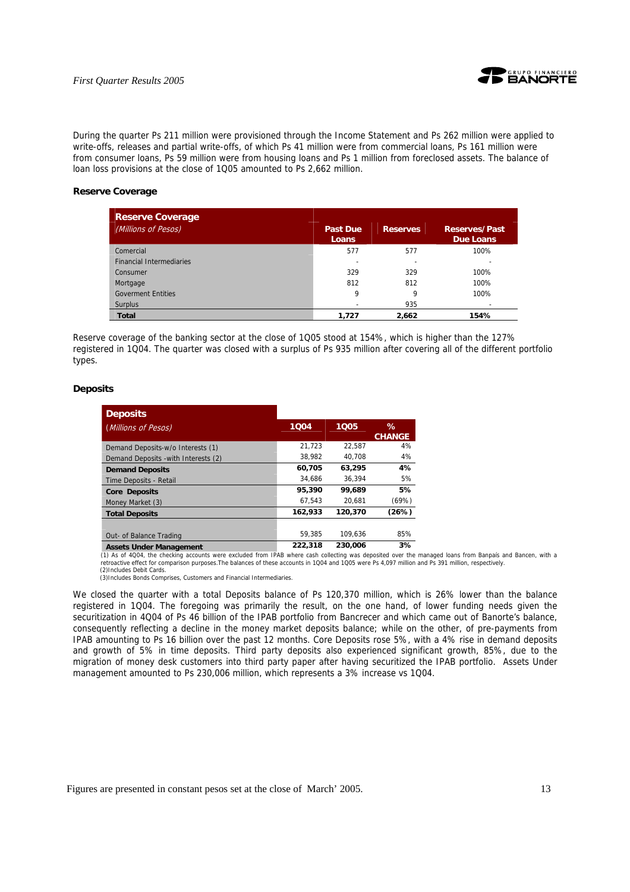

During the quarter Ps 211 million were provisioned through the Income Statement and Ps 262 million were applied to write-offs, releases and partial write-offs, of which Ps 41 million were from commercial loans, Ps 161 million were from consumer loans, Ps 59 million were from housing loans and Ps 1 million from foreclosed assets. The balance of loan loss provisions at the close of 1Q05 amounted to Ps 2,662 million.

#### **Reserve Coverage**

| <b>Reserve Coverage</b>         |                                 |                 |                                   |
|---------------------------------|---------------------------------|-----------------|-----------------------------------|
| (Millions of Pesos)             | <b>Past Due</b><br><b>Loans</b> | <b>Reserves</b> | <b>Reserves/Past</b><br>Due Loans |
| Comercial                       | 577                             | 577             | 100%                              |
| <b>Financial Intermediaries</b> | $\overline{\phantom{0}}$        | ۰               |                                   |
| Consumer                        | 329                             | 329             | 100%                              |
| Mortgage                        | 812                             | 812             | 100%                              |
| <b>Goverment Entities</b>       | 9                               | 9               | 100%                              |
| <b>Surplus</b>                  |                                 | 935             |                                   |
| <b>Total</b>                    | 1,727                           | 2,662           | 154%                              |

Reserve coverage of the banking sector at the close of 1Q05 stood at 154%, which is higher than the 127% registered in 1Q04. The quarter was closed with a surplus of Ps 935 million after covering all of the different portfolio types.

#### **Deposits**

| <b>Deposits</b>                      |         |         |               |
|--------------------------------------|---------|---------|---------------|
| (Millions of Pesos)                  | 1004    | 1005    | ℅             |
|                                      |         |         | <b>CHANGE</b> |
| Demand Deposits-w/o Interests (1)    | 21,723  | 22,587  | 4%            |
| Demand Deposits - with Interests (2) | 38,982  | 40.708  | 4%            |
| <b>Demand Deposits</b>               | 60,705  | 63.295  | 4%            |
| Time Deposits - Retail               | 34.686  | 36.394  | 5%            |
| <b>Core Deposits</b>                 | 95,390  | 99.689  | 5%            |
| Money Market (3)                     | 67.543  | 20.681  | (69%)         |
| <b>Total Deposits</b>                | 162,933 | 120,370 | (26%)         |
|                                      |         |         |               |
| Out- of Balance Trading              | 59.385  | 109.636 | 85%           |
| Accote Lindor Managamont             | 222,318 | 230.006 | 3%            |

Assets Under Management 222,318 230,006 3%<br>(1) As of 4004, the checking accounts were excluded from IPAB where cash collecting was deposited over the managed loans from Banpaís and Bancen, with a<br>retroactive effect for com

(2)Includes Debit Cards. (3)Includes Bonds Comprises, Customers and Financial Intermediaries.

We closed the quarter with a total Deposits balance of Ps 120,370 million, which is 26% lower than the balance registered in 1Q04. The foregoing was primarily the result, on the one hand, of lower funding needs given the securitization in 4Q04 of Ps 46 billion of the IPAB portfolio from Bancrecer and which came out of Banorte's balance, consequently reflecting a decline in the money market deposits balance; while on the other, of pre-payments from IPAB amounting to Ps 16 billion over the past 12 months. Core Deposits rose 5%, with a 4% rise in demand deposits and growth of 5% in time deposits. Third party deposits also experienced significant growth, 85%, due to the migration of money desk customers into third party paper after having securitized the IPAB portfolio. Assets Under management amounted to Ps 230,006 million, which represents a 3% increase vs 1Q04.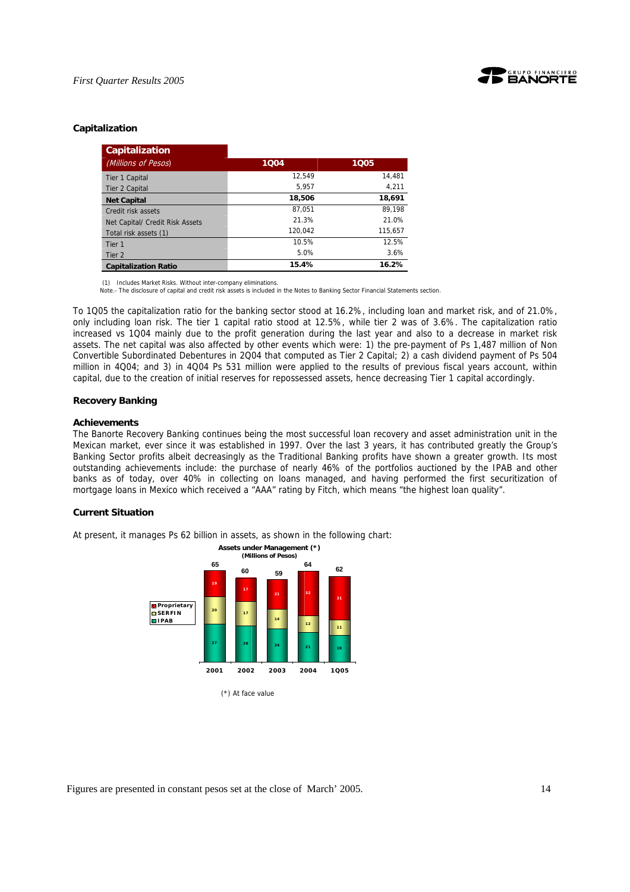

#### **Capitalization**

| <b>Capitalization</b>           |         |         |
|---------------------------------|---------|---------|
| (Millions of Pesos)             | 1004    | 1005    |
| Tier 1 Capital                  | 12.549  | 14,481  |
| Tier 2 Capital                  | 5,957   | 4,211   |
| <b>Net Capital</b>              | 18,506  | 18,691  |
| Credit risk assets              | 87.051  | 89.198  |
| Net Capital/ Credit Risk Assets | 21.3%   | 21.0%   |
| Total risk assets (1)           | 120.042 | 115.657 |
| Tier 1                          | 10.5%   | 12.5%   |
| Tier 2                          | 5.0%    | 3.6%    |
| <b>Capitalization Ratio</b>     | 15.4%   | 16.2%   |

(1) Includes Market Risks. Without inter-company eliminations.

Note.- The disclosure of capital and credit risk assets is included in the Notes to Banking Sector Financial Statements section.

To 1Q05 the capitalization ratio for the banking sector stood at 16.2%, including loan and market risk, and of 21.0%, only including loan risk. The tier 1 capital ratio stood at 12.5%, while tier 2 was of 3.6%. The capitalization ratio increased vs 1Q04 mainly due to the profit generation during the last year and also to a decrease in market risk assets. The net capital was also affected by other events which were: 1) the pre-payment of Ps 1,487 million of Non Convertible Subordinated Debentures in 2Q04 that computed as Tier 2 Capital; 2) a cash dividend payment of Ps 504 million in 4Q04; and 3) in 4Q04 Ps 531 million were applied to the results of previous fiscal years account, within capital, due to the creation of initial reserves for repossessed assets, hence decreasing Tier 1 capital accordingly.

#### **Recovery Banking**

#### **Achievements**

The Banorte Recovery Banking continues being the most successful loan recovery and asset administration unit in the Mexican market, ever since it was established in 1997. Over the last 3 years, it has contributed greatly the Group's Banking Sector profits albeit decreasingly as the Traditional Banking profits have shown a greater growth. Its most outstanding achievements include: the purchase of nearly 46% of the portfolios auctioned by the IPAB and other banks as of today, over 40% in collecting on loans managed, and having performed the first securitization of mortgage loans in Mexico which received a "AAA" rating by Fitch, which means "the highest loan quality".

#### **Current Situation**

At present, it manages Ps 62 billion in assets, as shown in the following chart:

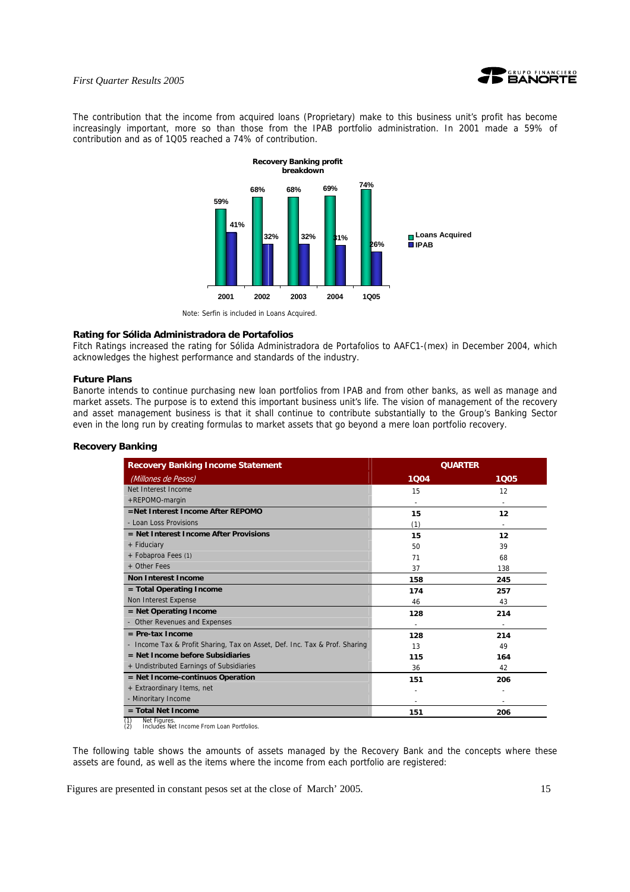

The contribution that the income from acquired loans (Proprietary) make to this business unit's profit has become increasingly important, more so than those from the IPAB portfolio administration. In 2001 made a 59% of contribution and as of 1Q05 reached a 74% of contribution.



Note: Serfin is included in Loans Acquired.

#### **Rating for Sólida Administradora de Portafolios**

Fitch Ratings increased the rating for Sólida Administradora de Portafolios to AAFC1-(mex) in December 2004, which acknowledges the highest performance and standards of the industry.

## **Future Plans**

Banorte intends to continue purchasing new loan portfolios from IPAB and from other banks, as well as manage and market assets. The purpose is to extend this important business unit's life. The vision of management of the recovery and asset management business is that it shall continue to contribute substantially to the Group's Banking Sector even in the long run by creating formulas to market assets that go beyond a mere loan portfolio recovery.

## **Recovery Banking**

| <b>Recovery Banking Income Statement</b>                                   | <b>QUARTER</b> |      |
|----------------------------------------------------------------------------|----------------|------|
| (Millones de Pesos)                                                        | 1004           | 1005 |
| Net Interest Income                                                        | 15             | 12   |
| +REPOMO-margin                                                             |                |      |
| $=$ Net Interest Income After RFPOMO                                       | 15             | 12   |
| - Loan Loss Provisions                                                     | (1)            |      |
| $=$ Net Interest Income After Provisions                                   | 15             | 12   |
| + Fiduciary                                                                | 50             | 39   |
| + Fobaproa Fees (1)                                                        | 71             | 68   |
| + Other Fees                                                               | 37             | 138  |
| <b>Non Interest Income</b>                                                 | 158            | 245  |
| = Total Operating Income                                                   | 174            | 257  |
| Non Interest Expense                                                       | 46             | 43   |
| $=$ Net Operating Income                                                   | 128            | 214  |
| - Other Revenues and Expenses                                              |                |      |
| $=$ Pre-tax Income                                                         | 128            | 214  |
| - Income Tax & Profit Sharing, Tax on Asset, Def. Inc. Tax & Prof. Sharing | 13             | 49   |
| $=$ Net Income before Subsidiaries                                         | 115            | 164  |
| + Undistributed Earnings of Subsidiaries                                   | 36             | 42   |
| = Net Income-continuos Operation                                           | 151            | 206  |
| + Extraordinary Items, net                                                 |                |      |
| - Minoritary Income                                                        |                |      |
| $=$ Total Net Income<br><b>MALLEY</b>                                      | 151            | 206  |

(1) Net Figures. (2) Includes Net Income From Loan Portfolios.

The following table shows the amounts of assets managed by the Recovery Bank and the concepts where these assets are found, as well as the items where the income from each portfolio are registered: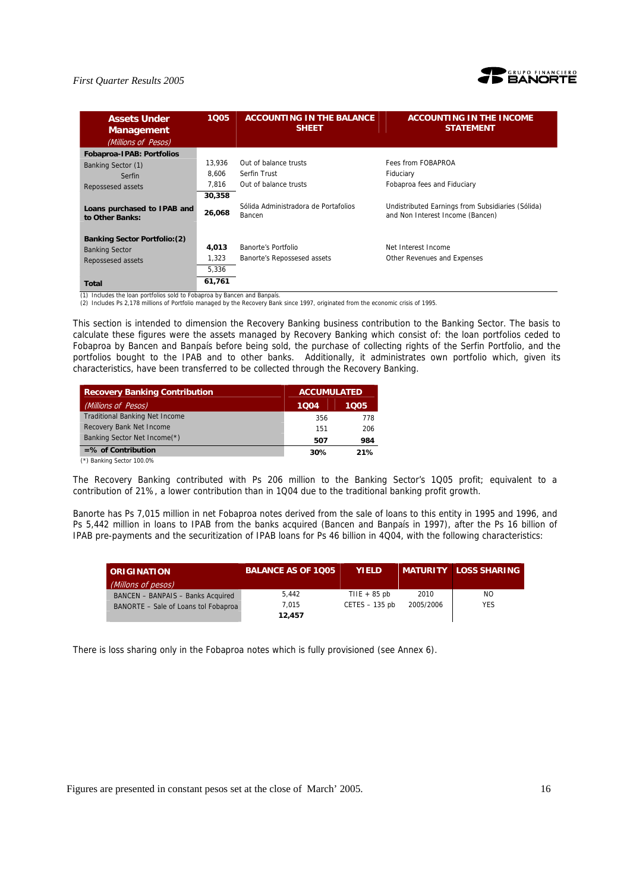

| <b>Assets Under</b><br><b>Management</b>       | 1005   | <b>ACCOUNTING IN THE BALANCE</b><br><b>SHEET</b> | <b>ACCOUNTING IN THE INCOME</b><br><b>STATEMENT</b>                                   |
|------------------------------------------------|--------|--------------------------------------------------|---------------------------------------------------------------------------------------|
| (Millions of Pesos)                            |        |                                                  |                                                                                       |
| <b>Fobaproa-IPAB: Portfolios</b>               |        |                                                  |                                                                                       |
| Banking Sector (1)                             | 13.936 | Out of balance trusts                            | Fees from FOBAPROA                                                                    |
| Serfin                                         | 8.606  | Serfin Trust                                     | Fiduciary                                                                             |
| Repossesed assets                              | 7,816  | Out of balance trusts                            | Fobaproa fees and Fiduciary                                                           |
|                                                | 30,358 |                                                  |                                                                                       |
| Loans purchased to IPAB and<br>to Other Banks: | 26,068 | Sólida Administradora de Portafolios<br>Bancen   | Undistributed Earnings from Subsidiaries (Sólida)<br>and Non Interest Income (Bancen) |
| <b>Banking Sector Portfolio: (2)</b>           |        |                                                  |                                                                                       |
| <b>Banking Sector</b>                          | 4,013  | Banorte's Portfolio                              | Net Interest Income                                                                   |
| Repossesed assets                              | 1.323  | Banorte's Repossesed assets                      | Other Revenues and Expenses                                                           |
|                                                | 5,336  |                                                  |                                                                                       |
| Total                                          | 61,761 |                                                  |                                                                                       |

(1) Includes the loan portfolios sold to Fobaproa by Bancen and Banpaís. (2) Includes Ps 2,178 millions of Portfolio managed by the Recovery Bank since 1997, originated from the economic crisis of 1995.

This section is intended to dimension the Recovery Banking business contribution to the Banking Sector. The basis to calculate these figures were the assets managed by Recovery Banking which consist of: the loan portfolios ceded to Fobaproa by Bancen and Banpaís before being sold, the purchase of collecting rights of the Serfin Portfolio, and the portfolios bought to the IPAB and to other banks. Additionally, it administrates own portfolio which, given its characteristics, have been transferred to be collected through the Recovery Banking.

| <b>Recovery Banking Contribution</b>  | <b>ACCUMULATED</b> |      |
|---------------------------------------|--------------------|------|
| (Millions of Pesos)                   | 1004               | 1005 |
| <b>Traditional Banking Net Income</b> | 356                | 778  |
| Recovery Bank Net Income              | 151                | 206  |
| Banking Sector Net Income(*)          | 507                | 984  |
| $=$ % of Contribution                 | 30%                | 21%  |
| (*) Banking Sector 100.0%             |                    |      |

The Recovery Banking contributed with Ps 206 million to the Banking Sector's 1Q05 profit; equivalent to a contribution of 21%, a lower contribution than in 1Q04 due to the traditional banking profit growth.

Banorte has Ps 7,015 million in net Fobaproa notes derived from the sale of loans to this entity in 1995 and 1996, and Ps 5,442 million in loans to IPAB from the banks acquired (Bancen and Banpaís in 1997), after the Ps 16 billion of IPAB pre-payments and the securitization of IPAB loans for Ps 46 billion in 4Q04, with the following characteristics:

| <b>CORIGINATION</b>                  | <b>BALANCE AS OF 1005</b> | <b>YIELD</b>     |           | <b>MATURITY LOSS SHARING</b> |
|--------------------------------------|---------------------------|------------------|-----------|------------------------------|
| (Millons of pesos)                   |                           |                  |           |                              |
| BANCEN - BANPAIS - Banks Acquired    | 5.442                     | THE $+85$ pb     | 2010      | NO.                          |
| BANORTE - Sale of Loans tol Fobaproa | 7.015                     | $CETES - 135$ pb | 2005/2006 | <b>YES</b>                   |
|                                      | 12,457                    |                  |           |                              |

There is loss sharing only in the Fobaproa notes which is fully provisioned (see Annex 6).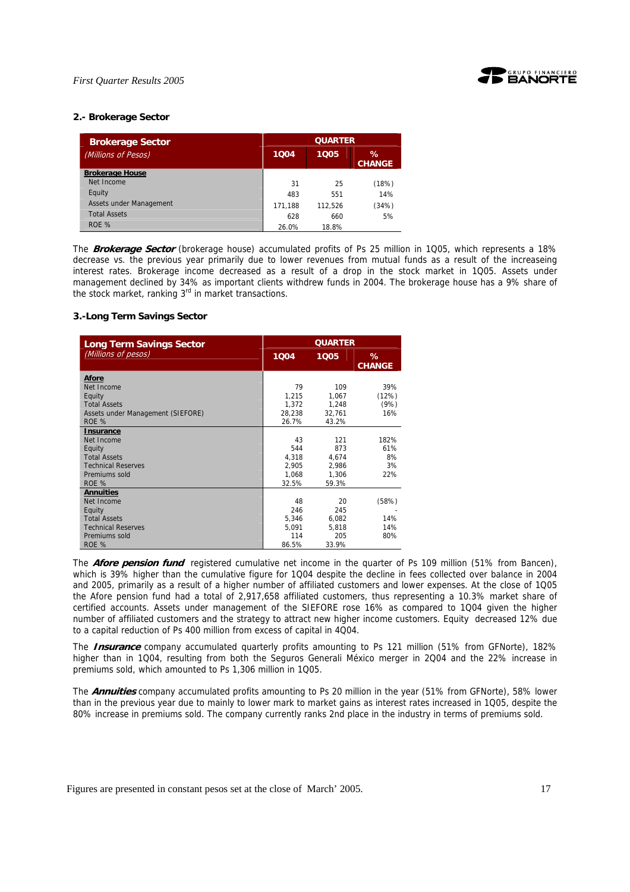

## **2.- Brokerage Sector**

| <b>Brokerage Sector</b> | <b>QUARTER</b> |         |                       |
|-------------------------|----------------|---------|-----------------------|
| (Millions of Pesos)     | 1004           | 1005    | $\%$<br><b>CHANGE</b> |
| <b>Brokerage House</b>  |                |         |                       |
| Net Income              | 31             | 25      | (18%)                 |
| Equity                  | 483            | 551     | 14%                   |
| Assets under Management | 171,188        | 112.526 | (34%)                 |
| <b>Total Assets</b>     | 628            | 660     | 5%                    |
| ROE %                   | 26.0%          | 18.8%   |                       |

The **Brokerage Sector** (brokerage house) accumulated profits of Ps 25 million in 1Q05, which represents a 18% decrease vs. the previous year primarily due to lower revenues from mutual funds as a result of the increaseing interest rates. Brokerage income decreased as a result of a drop in the stock market in 1Q05. Assets under management declined by 34% as important clients withdrew funds in 2004. The brokerage house has a 9% share of the stock market, ranking  $3<sup>rd</sup>$  in market transactions.

#### **3.-Long Term Savings Sector**

| <b>Long Term Savings Sector</b>   |        | <b>QUARTER</b> |               |  |
|-----------------------------------|--------|----------------|---------------|--|
| (Millions of pesos)               | 1004   | 1005           | %             |  |
|                                   |        |                | <b>CHANGE</b> |  |
| Afore                             |        |                |               |  |
| Net Income                        | 79     | 109            | 39%           |  |
| Equity                            | 1,215  | 1,067          | (12%)         |  |
| <b>Total Assets</b>               | 1,372  | 1,248          | (9%)          |  |
| Assets under Management (SIEFORE) | 28.238 | 32.761         | 16%           |  |
| ROE %                             | 26.7%  | 43.2%          |               |  |
| <b>Insurance</b>                  |        |                |               |  |
| Net Income                        | 43     | 121            | 182%          |  |
| Equity                            | 544    | 873            | 61%           |  |
| <b>Total Assets</b>               | 4,318  | 4,674          | 8%            |  |
| <b>Technical Reserves</b>         | 2,905  | 2,986          | 3%            |  |
| Premiums sold                     | 1,068  | 1,306          | 22%           |  |
| ROE %                             | 32.5%  | 59.3%          |               |  |
| <b>Annuities</b>                  |        |                |               |  |
| Net Income                        | 48     | 20             | (58%)         |  |
| Equity                            | 246    | 245            |               |  |
| <b>Total Assets</b>               | 5.346  | 6,082          | 14%           |  |
| <b>Technical Reserves</b>         | 5,091  | 5,818          | 14%           |  |
| Premiums sold                     | 114    | 205            | 80%           |  |
| ROE %                             | 86.5%  | 33.9%          |               |  |

The **Afore pension fund** registered cumulative net income in the quarter of Ps 109 million (51% from Bancen), which is 39% higher than the cumulative figure for 1Q04 despite the decline in fees collected over balance in 2004 and 2005, primarily as a result of a higher number of affiliated customers and lower expenses. At the close of 1Q05 the Afore pension fund had a total of 2,917,658 affiliated customers, thus representing a 10.3% market share of certified accounts. Assets under management of the SIEFORE rose 16% as compared to 1Q04 given the higher number of affiliated customers and the strategy to attract new higher income customers. Equity decreased 12% due to a capital reduction of Ps 400 million from excess of capital in 4Q04.

The **Insurance** company accumulated quarterly profits amounting to Ps 121 million (51% from GFNorte), 182% higher than in 1Q04, resulting from both the Seguros Generali México merger in 2Q04 and the 22% increase in premiums sold, which amounted to Ps 1,306 million in 1Q05.

The **Annuities** company accumulated profits amounting to Ps 20 million in the year (51% from GFNorte), 58% lower than in the previous year due to mainly to lower mark to market gains as interest rates increased in 1Q05, despite the 80% increase in premiums sold. The company currently ranks 2nd place in the industry in terms of premiums sold.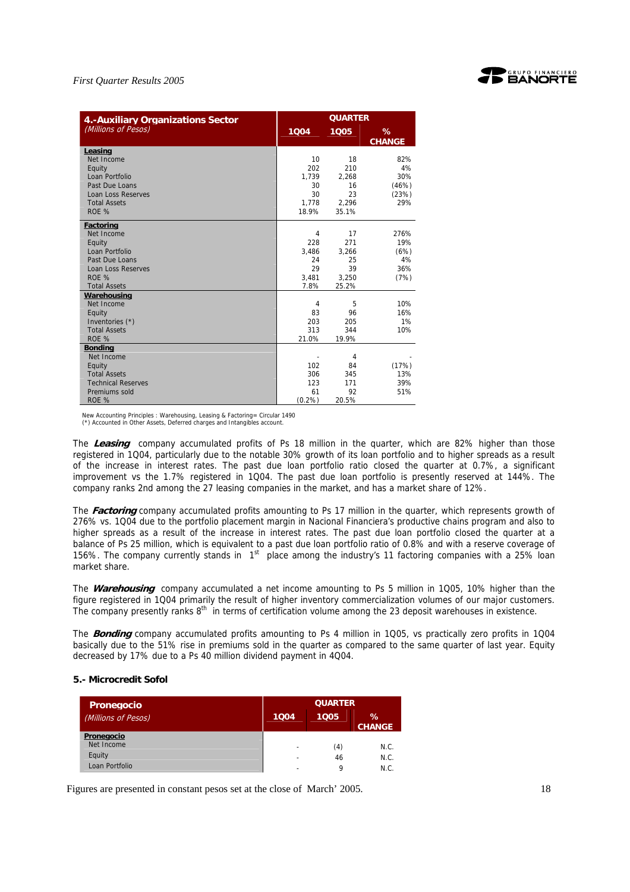

| 4.-Auxiliary Organizations Sector |                | <b>QUARTER</b> |               |
|-----------------------------------|----------------|----------------|---------------|
| (Millions of Pesos)               | 1004           | 1005           | ℅             |
|                                   |                |                | <b>CHANGE</b> |
| Leasing                           |                |                |               |
| Net Income                        | 10             | 18             | 82%           |
| Equity                            | 202            | 210            | 4%            |
| Loan Portfolio                    | 1,739          | 2,268          | 30%           |
| Past Due Loans                    | 30             | 16             | (46%)         |
| <b>Loan Loss Reserves</b>         | 30             | 23             | (23%)         |
| <b>Total Assets</b>               | 1,778          | 2.296          | 29%           |
| ROE %                             | 18.9%          | 35.1%          |               |
| Factoring                         |                |                |               |
| Net Income                        | $\overline{4}$ | 17             | 276%          |
| Equity                            | 228            | 271            | 19%           |
| Loan Portfolio                    | 3.486          | 3,266          | (6%)          |
| Past Due Loans                    | 24             | 25             | 4%            |
| <b>Loan Loss Reserves</b>         | 29             | 39             | 36%           |
| ROE %                             | 3.481          | 3.250          | (7%)          |
| <b>Total Assets</b>               | 7.8%           | 25.2%          |               |
| Warehousing                       |                |                |               |
| Net Income                        | 4              | 5              | 10%           |
| Equity                            | 83             | 96             | 16%           |
| Inventories (*)                   | 203            | 205            | 1%            |
| <b>Total Assets</b>               | 313            | 344            | 10%           |
| ROE %                             | 21.0%          | 19.9%          |               |
| <b>Bonding</b>                    |                |                |               |
| Net Income                        |                | 4              |               |
| Equity                            | 102            | 84             | (17%)         |
| <b>Total Assets</b>               | 306            | 345            | 13%           |
| <b>Technical Reserves</b>         | 123            | 171            | 39%           |
| Premiums sold                     | 61             | 92             | 51%           |
| ROE %                             | (0.2%          | 20.5%          |               |

New Accounting Principles : Warehousing, Leasing & Factoring= Circular 1490 (\*) Accounted in Other Assets, Deferred charges and Intangibles account.

The **Leasing** company accumulated profits of Ps 18 million in the quarter, which are 82% higher than those registered in 1Q04, particularly due to the notable 30% growth of its loan portfolio and to higher spreads as a result of the increase in interest rates. The past due loan portfolio ratio closed the quarter at 0.7%, a significant improvement vs the 1.7% registered in 1Q04. The past due loan portfolio is presently reserved at 144%. The company ranks 2nd among the 27 leasing companies in the market, and has a market share of 12%.

The **Factoring** company accumulated profits amounting to Ps 17 million in the quarter, which represents growth of 276% vs. 1Q04 due to the portfolio placement margin in Nacional Financiera's productive chains program and also to higher spreads as a result of the increase in interest rates. The past due loan portfolio closed the quarter at a balance of Ps 25 million, which is equivalent to a past due loan portfolio ratio of 0.8% and with a reserve coverage of 156%. The company currently stands in 1<sup>st</sup> place among the industry's 11 factoring companies with a 25% loan market share.

The **Warehousing** company accumulated a net income amounting to Ps 5 million in 1Q05, 10% higher than the figure registered in 1Q04 primarily the result of higher inventory commercialization volumes of our major customers. The company presently ranks 8<sup>th</sup> in terms of certification volume among the 23 deposit warehouses in existence.

The **Bonding** company accumulated profits amounting to Ps 4 million in 1Q05, vs practically zero profits in 1Q04 basically due to the 51% rise in premiums sold in the quarter as compared to the same quarter of last year. Equity decreased by 17% due to a Ps 40 million dividend payment in 4Q04.

#### **5.- Microcredit Sofol**

| <b>Pronegocio</b>   | <b>QUARTER</b>           |      |                    |
|---------------------|--------------------------|------|--------------------|
| (Millions of Pesos) | 1004                     | 1005 | %<br><b>CHANGE</b> |
| Pronegocio          |                          |      |                    |
| Net Income          | $\overline{\phantom{0}}$ | (4)  | N.C.               |
| Equity              | -                        | 46   | N.C.               |
| Loan Portfolio      | -                        | Ω    | N.C.               |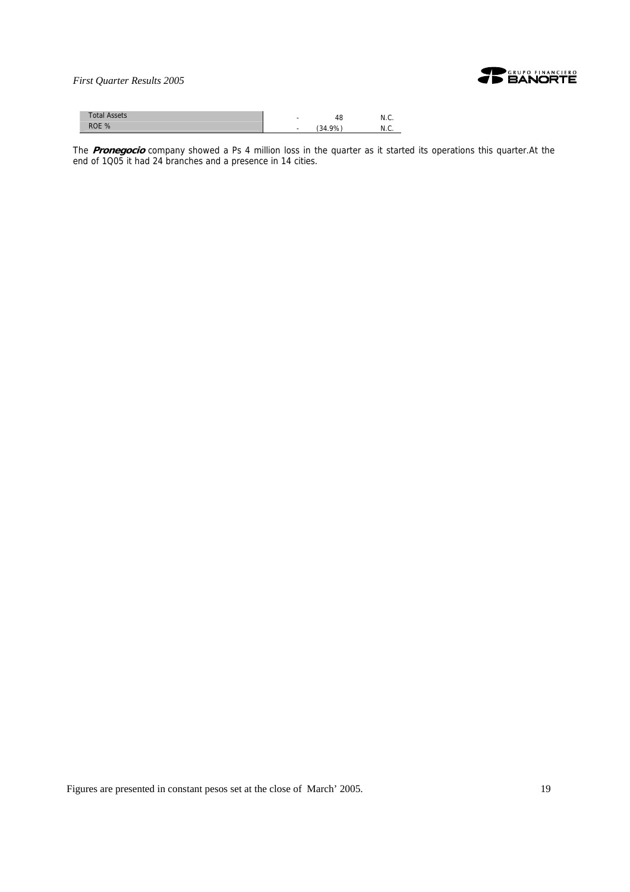

| <b>Total Assets</b> | $\overline{\phantom{a}}$ | 40     | N.C. |
|---------------------|--------------------------|--------|------|
| ROE %               | $\sim$                   | (34.9% | N.C  |

The **Pronegocio** company showed a Ps 4 million loss in the quarter as it started its operations this quarter.At the end of 1Q05 it had 24 branches and a presence in 14 cities.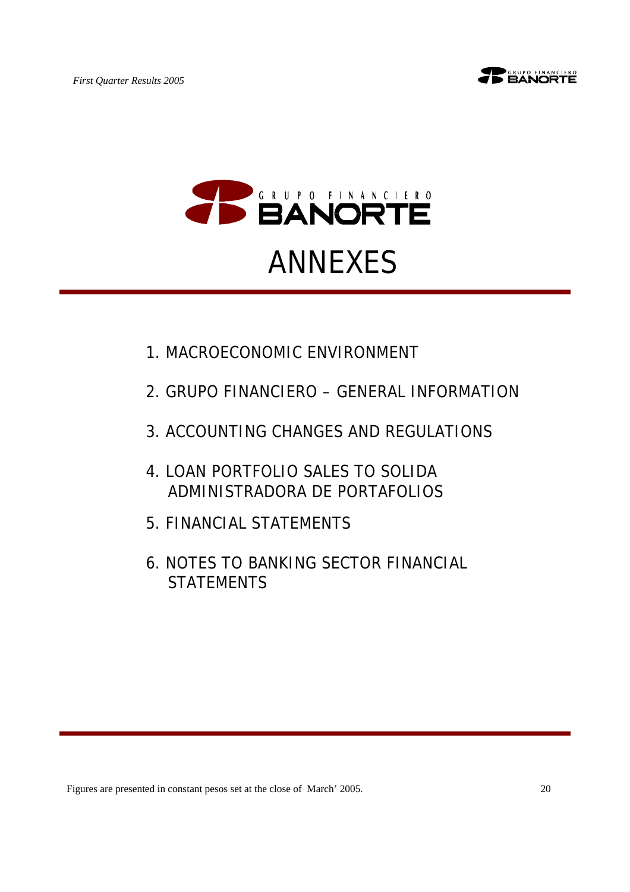



# ANNEXES

- 1.MACROECONOMIC ENVIRONMENT
- 2.GRUPO FINANCIERO GENERAL INFORMATION
- 3.ACCOUNTING CHANGES AND REGULATIONS
- 4.LOAN PORTFOLIO SALES TO SOLIDA ADMINISTRADORA DE PORTAFOLIOS
- 5.FINANCIAL STATEMENTS
- 6.NOTES TO BANKING SECTOR FINANCIAL **STATEMENTS**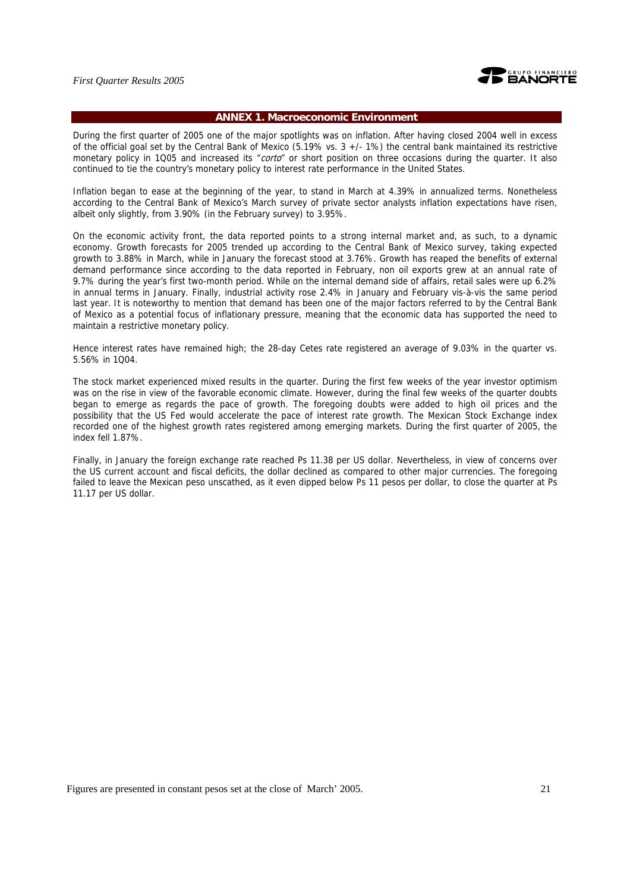

## **ANNEX 1. Macroeconomic Environment**

During the first quarter of 2005 one of the major spotlights was on inflation. After having closed 2004 well in excess of the official goal set by the Central Bank of Mexico  $(5.19\%$  vs.  $3 +/-1\%)$  the central bank maintained its restrictive monetary policy in 1Q05 and increased its "corto" or short position on three occasions during the quarter. It also continued to tie the country's monetary policy to interest rate performance in the United States.

Inflation began to ease at the beginning of the year, to stand in March at 4.39% in annualized terms. Nonetheless according to the Central Bank of Mexico's March survey of private sector analysts inflation expectations have risen, albeit only slightly, from 3.90% (in the February survey) to 3.95%.

On the economic activity front, the data reported points to a strong internal market and, as such, to a dynamic economy. Growth forecasts for 2005 trended up according to the Central Bank of Mexico survey, taking expected growth to 3.88% in March, while in January the forecast stood at 3.76%. Growth has reaped the benefits of external demand performance since according to the data reported in February, non oil exports grew at an annual rate of 9.7% during the year's first two-month period. While on the internal demand side of affairs, retail sales were up 6.2% in annual terms in January. Finally, industrial activity rose 2.4% in January and February vis-à-vis the same period last year. It is noteworthy to mention that demand has been one of the major factors referred to by the Central Bank of Mexico as a potential focus of inflationary pressure, meaning that the economic data has supported the need to maintain a restrictive monetary policy.

Hence interest rates have remained high; the 28-day Cetes rate registered an average of 9.03% in the quarter vs. 5.56% in 1Q04.

The stock market experienced mixed results in the quarter. During the first few weeks of the year investor optimism was on the rise in view of the favorable economic climate. However, during the final few weeks of the quarter doubts began to emerge as regards the pace of growth. The foregoing doubts were added to high oil prices and the possibility that the US Fed would accelerate the pace of interest rate growth. The Mexican Stock Exchange index recorded one of the highest growth rates registered among emerging markets. During the first quarter of 2005, the index fell 1.87%.

Finally, in January the foreign exchange rate reached Ps 11.38 per US dollar. Nevertheless, in view of concerns over the US current account and fiscal deficits, the dollar declined as compared to other major currencies. The foregoing failed to leave the Mexican peso unscathed, as it even dipped below Ps 11 pesos per dollar, to close the quarter at Ps 11.17 per US dollar.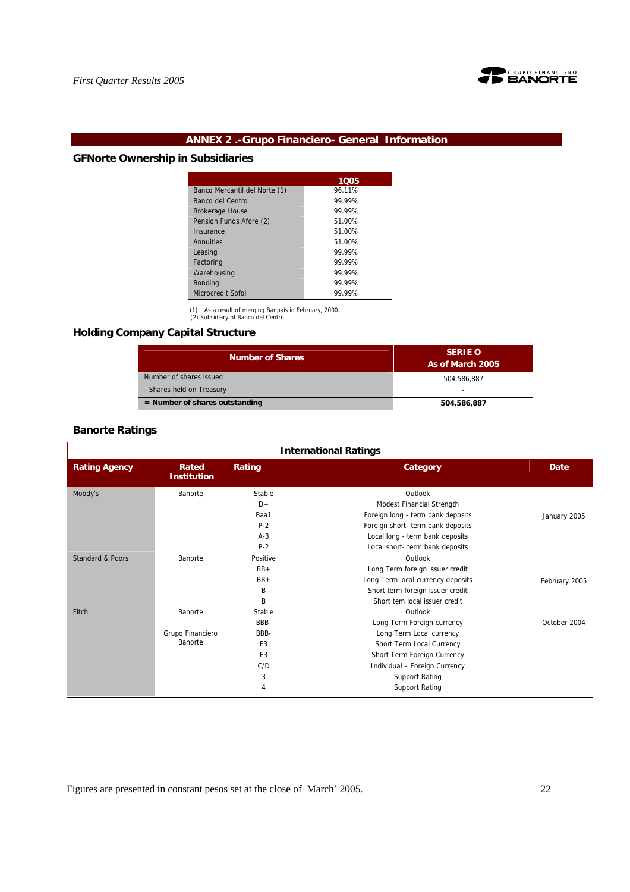

## **ANNEX 2 .-Grupo Financiero- General Information**

## **GFNorte Ownership in Subsidiaries**

|                               | 1005   |
|-------------------------------|--------|
| Banco Mercantil del Norte (1) | 96.11% |
| Banco del Centro              | 99 99% |
| <b>Brokerage House</b>        | 99 99% |
| Pension Funds Afore (2)       | 51.00% |
| Insurance                     | 51.00% |
| Annuities                     | 51.00% |
| Leasing                       | 99 99% |
| Factoring                     | 99 99% |
| Warehousing                   | 99.99% |
| <b>Bonding</b>                | 99 99% |
| Microcredit Sofol             | 99.99% |

(1) As a result of merging Banpaís in February, 2000. (2) Subsidiary of Banco del Centro.

## **Holding Company Capital Structure**

| <b>Number of Shares</b>          | <b>SERIE O</b><br>As of March 2005 |  |  |
|----------------------------------|------------------------------------|--|--|
| Number of shares issued          | 504.586.887                        |  |  |
| - Shares held on Treasury        | ۰                                  |  |  |
| $=$ Number of shares outstanding | 504,586,887                        |  |  |

## **Banorte Ratings**

| <b>International Ratings</b> |                             |                |                                   |               |
|------------------------------|-----------------------------|----------------|-----------------------------------|---------------|
| <b>Rating Agency</b>         | Rated<br><b>Institution</b> | Rating         | Category                          | <b>Date</b>   |
| Moody's                      | Banorte                     | Stable         | Outlook                           |               |
|                              |                             | $D+$           | Modest Financial Strength         |               |
|                              |                             | Baa1           | Foreign long - term bank deposits | January 2005  |
|                              |                             | $P-2$          | Foreign short- term bank deposits |               |
|                              |                             | $A-3$          | Local long - term bank deposits   |               |
|                              |                             | $P-2$          | Local short- term bank deposits   |               |
| <b>Standard &amp; Poors</b>  | Banorte                     | Positive       | Outlook                           |               |
|                              |                             | $BB+$          | Long Term foreign issuer credit   |               |
|                              |                             | $BB+$          | Long Term local currency deposits | February 2005 |
|                              |                             | B              | Short term foreign issuer credit  |               |
|                              |                             | B              | Short tem local issuer credit     |               |
| Fitch                        | Banorte                     | Stable         | Outlook                           |               |
|                              |                             | BBB-           | Long Term Foreign currency        | October 2004  |
|                              | Grupo Financiero            | BBB-           | Long Term Local currency          |               |
|                              | Banorte                     | F <sub>3</sub> | Short Term Local Currency         |               |
|                              |                             | F <sub>3</sub> | Short Term Foreign Currency       |               |
|                              |                             | C/D            | Individual - Foreign Currency     |               |
|                              |                             | 3              | <b>Support Rating</b>             |               |
|                              |                             | 4              | <b>Support Rating</b>             |               |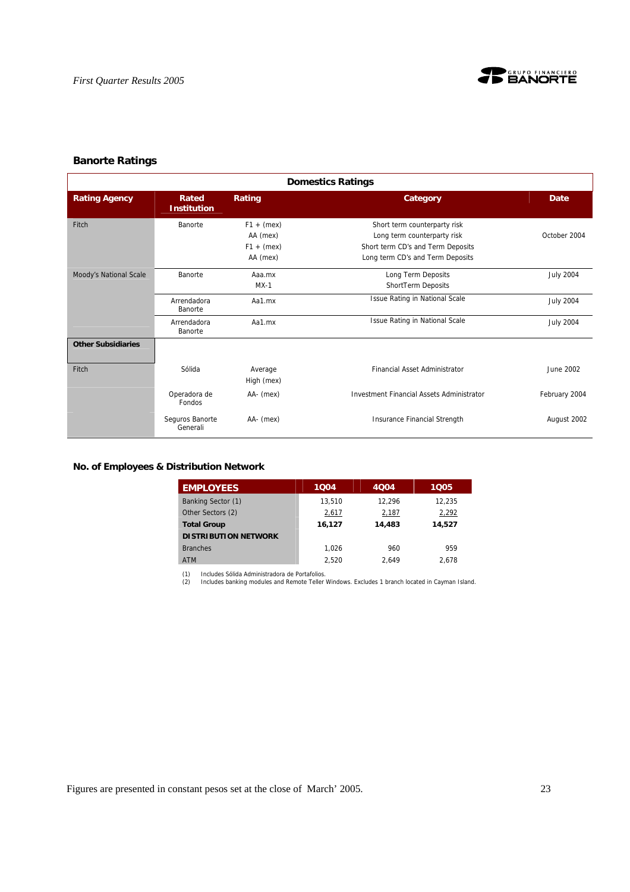

## **Banorte Ratings**

| <b>Domestics Ratings</b>  |                             |                                                      |                                                                                                                                      |                  |  |
|---------------------------|-----------------------------|------------------------------------------------------|--------------------------------------------------------------------------------------------------------------------------------------|------------------|--|
| <b>Rating Agency</b>      | Rated<br><b>Institution</b> | Rating                                               | Category                                                                                                                             | <b>Date</b>      |  |
| Fitch                     | Banorte                     | $F1 + (mex)$<br>AA (mex)<br>$F1 + (mex)$<br>AA (mex) | Short term counterparty risk<br>Long term counterparty risk<br>Short term CD's and Term Deposits<br>Long term CD's and Term Deposits | October 2004     |  |
| Moody's National Scale    | Banorte                     | Aaa.mx<br>$MX-1$                                     | Long Term Deposits<br>ShortTerm Deposits                                                                                             | <b>July 2004</b> |  |
|                           | Arrendadora<br>Banorte      | Aa1.mx                                               | <b>Issue Rating in National Scale</b>                                                                                                | <b>July 2004</b> |  |
|                           | Arrendadora<br>Banorte      | Aa1.mx                                               | <b>Issue Rating in National Scale</b>                                                                                                | <b>July 2004</b> |  |
| <b>Other Subsidiaries</b> |                             |                                                      |                                                                                                                                      |                  |  |
| Fitch                     | Sólida                      | Average<br>High (mex)                                | <b>Financial Asset Administrator</b>                                                                                                 | June 2002        |  |
|                           | Operadora de<br>Fondos      | AA- (mex)                                            | <b>Investment Financial Assets Administrator</b>                                                                                     | February 2004    |  |
|                           | Seguros Banorte<br>Generali | AA- (mex)                                            | Insurance Financial Strength                                                                                                         | August 2002      |  |

## **No. of Employees & Distribution Network**

| <b>EMPLOYEES</b>            | 1004   | 4004   | 1005   |
|-----------------------------|--------|--------|--------|
| Banking Sector (1)          | 13.510 | 12.296 | 12.235 |
| Other Sectors (2)           | 2,617  | 2,187  | 2,292  |
| <b>Total Group</b>          | 16,127 | 14,483 | 14,527 |
| <b>DISTRIBUTION NETWORK</b> |        |        |        |
| <b>Branches</b>             | 1.026  | 960    | 959    |
| <b>ATM</b>                  | 2.520  | 2.649  | 2.678  |

(1) Includes Sólida Administradora de Portafolios. (2) Includes banking modules and Remote Teller Windows. Excludes 1 branch located in Cayman Island.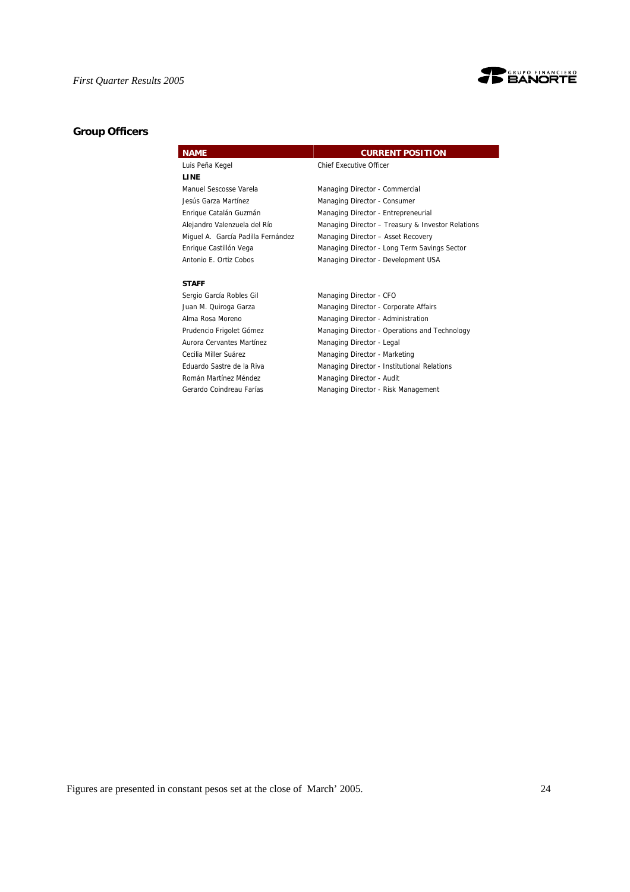

## **Group Officers**

| <b>NAME</b>                        | <b>CURRENT POSITION</b>                           |
|------------------------------------|---------------------------------------------------|
| Luis Peña Kegel                    | <b>Chief Executive Officer</b>                    |
| <b>LINE</b>                        |                                                   |
| Manuel Sescosse Varela             | Managing Director - Commercial                    |
| Jesús Garza Martínez               | Managing Director - Consumer                      |
| Enrique Catalán Guzmán             | Managing Director - Entrepreneurial               |
| Alejandro Valenzuela del Río       | Managing Director - Treasury & Investor Relations |
| Miquel A. García Padilla Fernández | Managing Director - Asset Recovery                |
| Enrique Castillón Vega             | Managing Director - Long Term Savings Sector      |
| Antonio E. Ortiz Cobos             | Managing Director - Development USA               |
|                                    |                                                   |

#### **STAFF**

Sergio García Robles Gil Managing Director - CFO Aurora Cervantes Martínez Managing Director - Legal Román Martínez Méndez **Managing Director - Audit** 

Juan M. Quiroga Garza **Managing Director - Corporate Affairs** Alma Rosa Moreno **Managing Director - Administration** Prudencio Frigolet Gómez Managing Director - Operations and Technology Cecilia Miller Suárez Managing Director - Marketing Eduardo Sastre de la Riva Managing Director - Institutional Relations Gerardo Coindreau Farías Managing Director - Risk Management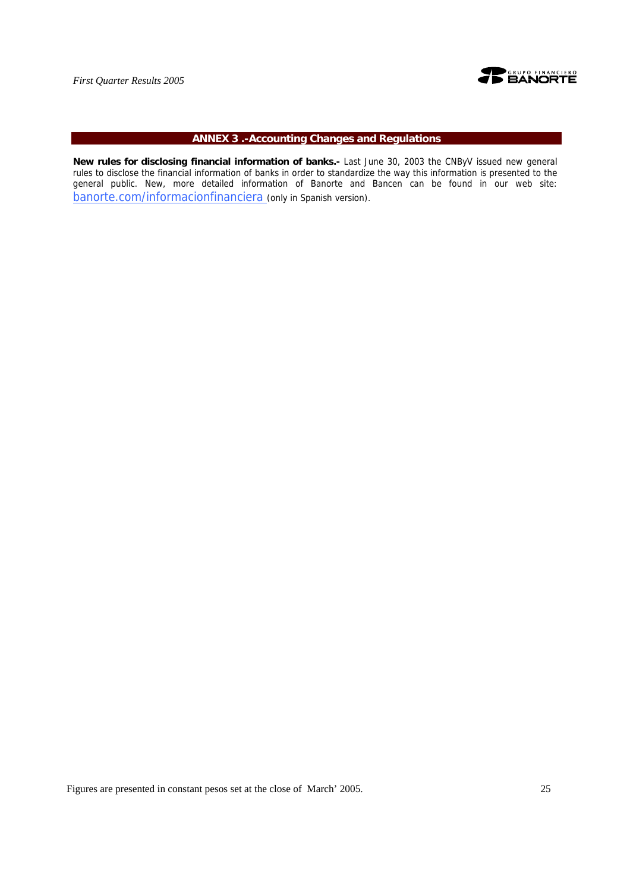

## **ANNEX 3 .-Accounting Changes and Regulations**

**New rules for disclosing financial information of banks.-** Last June 30, 2003 the CNByV issued new general rules to disclose the financial information of banks in order to standardize the way this information is presented to the general public. New, more detailed information of Banorte and Bancen can be found in our web site: banorte.com/informacionfinanciera (only in Spanish version).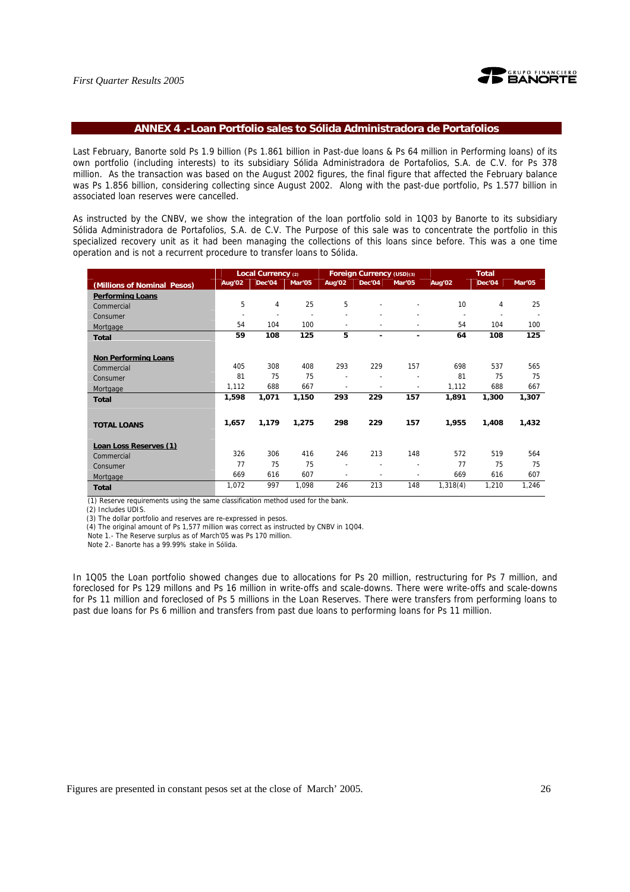

#### **ANNEX 4 .-Loan Portfolio sales to Sólida Administradora de Portafolios**

Last February, Banorte sold Ps 1.9 billion (Ps 1.861 billion in Past-due loans & Ps 64 million in Performing loans) of its own portfolio (including interests) to its subsidiary Sólida Administradora de Portafolios, S.A. de C.V. for Ps 378 million. As the transaction was based on the August 2002 figures, the final figure that affected the February balance was Ps 1.856 billion, considering collecting since August 2002. Along with the past-due portfolio, Ps 1.577 billion in associated loan reserves were cancelled.

As instructed by the CNBV, we show the integration of the loan portfolio sold in 1Q03 by Banorte to its subsidiary Sólida Administradora de Portafolios, S.A. de C.V. The Purpose of this sale was to concentrate the portfolio in this specialized recovery unit as it had been managing the collections of this loans since before. This was a one time operation and is not a recurrent procedure to transfer loans to Sólida.

|                             | Local Currency (2)    |                |                |                          | Foreign Currency (USD)(3) |        | <b>Total</b> |        |        |
|-----------------------------|-----------------------|----------------|----------------|--------------------------|---------------------------|--------|--------------|--------|--------|
| (Millions of Nominal Pesos) | Aug'02                | Dec'04         | Mar'05         | Aug'02                   | Dec'04                    | Mar'05 | Aug'02       | Dec'04 | Mar'05 |
| <b>Performing Loans</b>     |                       |                |                |                          |                           |        |              |        |        |
| Commercial                  | 5                     | 4              | 25             | 5                        |                           |        | 10           | 4      | 25     |
| Consumer                    | $\tilde{\phantom{a}}$ | $\overline{a}$ | $\blacksquare$ | $\overline{\phantom{a}}$ |                           |        |              |        |        |
| Mortgage                    | 54                    | 104            | 100            | $\blacksquare$           |                           |        | 54           | 104    | 100    |
| <b>Total</b>                | 59                    | 108            | 125            | 5                        | ٠                         | ٠      | 64           | 108    | 125    |
|                             |                       |                |                |                          |                           |        |              |        |        |
| <b>Non Performing Loans</b> |                       |                |                |                          |                           |        |              |        |        |
| Commercial                  | 405                   | 308            | 408            | 293                      | 229                       | 157    | 698          | 537    | 565    |
| Consumer                    | 81                    | 75             | 75             |                          |                           |        | 81           | 75     | 75     |
| Mortgage                    | 1,112                 | 688            | 667            | $\overline{a}$           | $\overline{\phantom{a}}$  |        | 1,112        | 688    | 667    |
| <b>Total</b>                | 1,598                 | 1,071          | 1,150          | 293                      | 229                       | 157    | 1,891        | 1,300  | 1,307  |
|                             |                       |                |                |                          |                           |        |              |        |        |
| <b>TOTAL LOANS</b>          | 1,657                 | 1,179          | 1,275          | 298                      | 229                       | 157    | 1,955        | 1,408  | 1,432  |
|                             |                       |                |                |                          |                           |        |              |        |        |
| Loan Loss Reserves (1)      |                       |                |                |                          |                           |        |              |        |        |
| Commercial                  | 326                   | 306            | 416            | 246                      | 213                       | 148    | 572          | 519    | 564    |
| Consumer                    | 77                    | 75             | 75             | $\overline{\phantom{a}}$ |                           |        | 77           | 75     | 75     |
| Mortgage                    | 669                   | 616            | 607            | ٠                        |                           |        | 669          | 616    | 607    |
| <b>Total</b>                | 1,072                 | 997            | 1,098          | 246                      | 213                       | 148    | 1,318(4)     | 1,210  | 1,246  |
|                             |                       |                |                |                          |                           |        |              |        |        |

(1) Reserve requirements using the same classification method used for the bank.

(2) Includes UDIS.

(3) The dollar portfolio and reserves are re-expressed in pesos.

(4) The original amount of Ps 1,577 million was correct as instructed by CNBV in 1Q04.

Note 1.- The Reserve surplus as of March'05 was Ps 170 million.

Note 2.- Banorte has a 99.99% stake in Sólida.

In 1Q05 the Loan portfolio showed changes due to allocations for Ps 20 million, restructuring for Ps 7 million, and foreclosed for Ps 129 millons and Ps 16 million in write-offs and scale-downs. There were write-offs and scale-downs for Ps 11 million and foreclosed of Ps 5 millions in the Loan Reserves. There were transfers from performing loans to past due loans for Ps 6 million and transfers from past due loans to performing loans for Ps 11 million.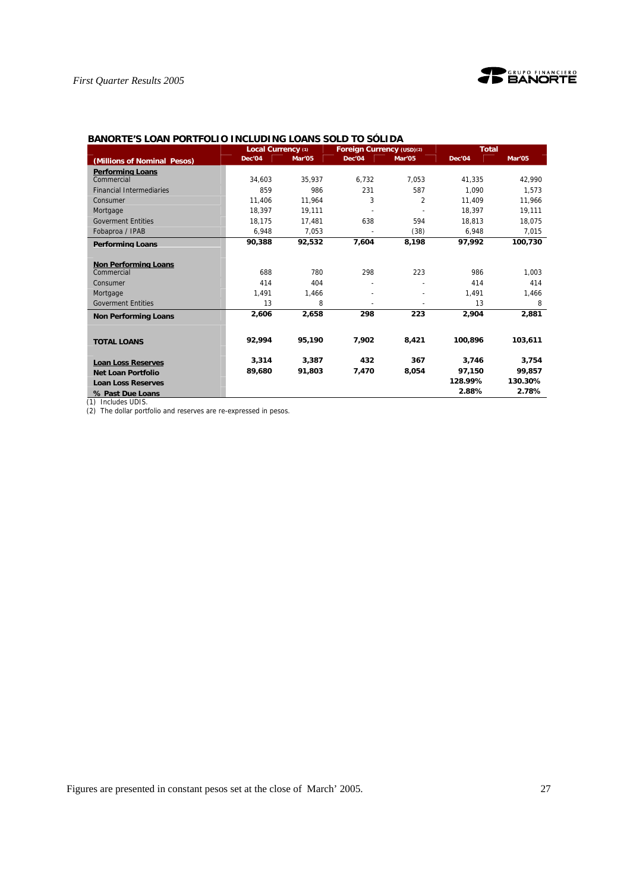

## **BANORTE'S LOAN PORTFOLIO INCLUDING LOANS SOLD TO SÓLIDA**

|                                 | Local Currency (1) |        | Foreign Currency (USD)(2) |        | <b>Total</b> |         |  |
|---------------------------------|--------------------|--------|---------------------------|--------|--------------|---------|--|
| (Millions of Nominal Pesos)     | Dec'04             | Mar'05 | Dec'04                    | Mar'05 | Dec'04       | Mar'05  |  |
| <b>Performing Loans</b>         |                    |        |                           |        |              |         |  |
| Commercial                      | 34,603             | 35,937 | 6.732                     | 7,053  | 41.335       | 42.990  |  |
| <b>Financial Intermediaries</b> | 859                | 986    | 231                       | 587    | 1.090        | 1,573   |  |
| Consumer                        | 11.406             | 11.964 | 3                         | 2      | 11.409       | 11.966  |  |
| Mortgage                        | 18,397             | 19,111 |                           |        | 18,397       | 19,111  |  |
| <b>Goverment Entities</b>       | 18.175             | 17.481 | 638                       | 594    | 18.813       | 18,075  |  |
| Fobaproa / IPAB                 | 6,948              | 7,053  |                           | (38)   | 6,948        | 7,015   |  |
| <b>Performing Loans</b>         | 90,388             | 92,532 | 7,604                     | 8,198  | 97,992       | 100,730 |  |
|                                 |                    |        |                           |        |              |         |  |
| <b>Non Performing Loans</b>     |                    |        |                           |        |              |         |  |
| Commercial                      | 688                | 780    | 298                       | 223    | 986          | 1,003   |  |
| Consumer                        | 414                | 404    |                           |        | 414          | 414     |  |
| Mortgage                        | 1,491              | 1,466  |                           |        | 1,491        | 1,466   |  |
| <b>Goverment Entities</b>       | 13                 | 8      |                           |        | 13           | 8       |  |
| <b>Non Performing Loans</b>     | 2,606              | 2,658  | 298                       | 223    | 2,904        | 2,881   |  |
|                                 |                    |        |                           |        |              |         |  |
| <b>TOTAL LOANS</b>              | 92,994             | 95,190 | 7,902                     | 8,421  | 100,896      | 103,611 |  |
| <b>Loan Loss Reserves</b>       | 3,314              | 3,387  | 432                       | 367    | 3,746        | 3,754   |  |
| <b>Net Loan Portfolio</b>       | 89,680             | 91,803 | 7,470                     | 8,054  | 97,150       | 99,857  |  |
| <b>Loan Loss Reserves</b>       |                    |        |                           |        | 128.99%      | 130.30% |  |
| % Past Due Loans                |                    |        |                           |        | 2.88%        | 2.78%   |  |

(1) Includes UDIS.

(2) The dollar portfolio and reserves are re-expressed in pesos.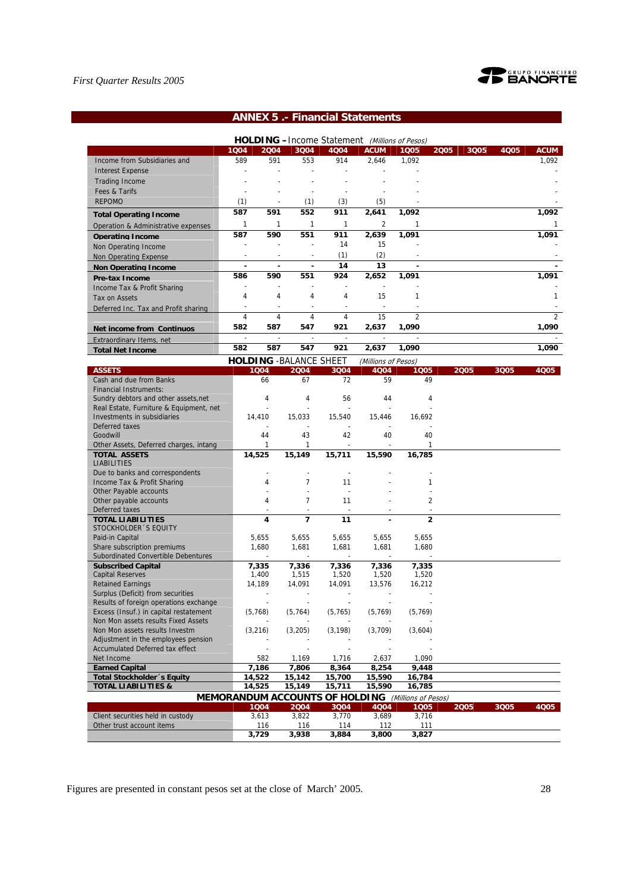

## **ANNEX 5 .- Financial Statements**

|                                                                                  |                          |                          |                                |                                | <b>HOLDING</b> - Income Statement (Millions of Pesos) |                          |              |      |                |
|----------------------------------------------------------------------------------|--------------------------|--------------------------|--------------------------------|--------------------------------|-------------------------------------------------------|--------------------------|--------------|------|----------------|
|                                                                                  | 1Q04                     | 2004                     | 3Q04                           | 4004                           | <b>ACUM</b>                                           | 1Q05                     | 2005<br>3Q05 | 4Q05 | <b>ACUM</b>    |
| Income from Subsidiaries and                                                     | 589                      | 591                      | 553                            | 914                            | 2,646                                                 | 1,092                    |              |      | 1,092          |
| <b>Interest Expense</b>                                                          |                          |                          |                                |                                |                                                       |                          |              |      |                |
| <b>Trading Income</b>                                                            |                          |                          |                                |                                |                                                       |                          |              |      |                |
| Fees & Tarifs                                                                    |                          |                          |                                |                                |                                                       |                          |              |      |                |
| <b>REPOMO</b>                                                                    | (1)                      |                          | (1)                            | (3)                            | (5)                                                   |                          |              |      |                |
|                                                                                  | 587                      | 591                      | 552                            | 911                            | 2,641                                                 | 1,092                    |              |      | 1,092          |
| <b>Total Operating Income</b>                                                    | 1                        | $\mathbf{1}$             | 1                              | 1                              | $\overline{2}$                                        | $\mathbf{1}$             |              |      | 1              |
| Operation & Administrative expenses                                              |                          | 590                      |                                |                                |                                                       |                          |              |      | 1,091          |
| <b>Operating Income</b>                                                          | 587                      |                          | 551                            | 911<br>14                      | 2,639<br>15                                           | 1,091                    |              |      |                |
| Non Operating Income                                                             |                          |                          |                                |                                |                                                       |                          |              |      |                |
| <b>Non Operating Expense</b>                                                     | $\sim$                   | $\overline{\phantom{a}}$ | $\sim$                         | (1)                            | (2)                                                   |                          |              |      |                |
| <b>Non Operating Income</b>                                                      | $\overline{a}$           | $\blacksquare$           | ×,                             | 14                             | 13                                                    |                          |              |      |                |
| <b>Pre-tax Income</b>                                                            | 586                      | 590                      | 551                            | 924                            | 2.652                                                 | 1,091                    |              |      | 1.091          |
| Income Tax & Profit Sharing                                                      | Ĭ.                       |                          |                                | ÷,                             | ÷,                                                    |                          |              |      |                |
| Tax on Assets                                                                    | 4                        | 4                        | 4                              | 4                              | 15                                                    | $\mathbf{1}$             |              |      | 1              |
| Deferred Inc. Tax and Profit sharing                                             | $\overline{a}$           | ÷,                       | $\overline{\phantom{a}}$       | $\overline{a}$                 | $\overline{a}$                                        |                          |              |      |                |
|                                                                                  | 4                        | 4                        | 4                              | 4                              | 15                                                    | $\overline{2}$           |              |      | $\mathfrak{D}$ |
| Net income from Continuos                                                        | 582                      | 587                      | 547                            | 921                            | 2,637                                                 | 1,090                    |              |      | 1,090          |
| Extraordinary Items. net                                                         | $\overline{\phantom{a}}$ | $\sim$                   | $\Box$                         | $\blacksquare$                 | $\overline{\phantom{a}}$                              | $\overline{\phantom{a}}$ |              |      |                |
| <b>Total Net Income</b>                                                          | 582                      | 587                      | 547                            | 921                            | 2,637                                                 | 1,090                    |              |      | 1,090          |
|                                                                                  |                          |                          | <b>HOLDING - BALANCE SHEET</b> |                                | (Millions of Pesos)                                   |                          |              |      |                |
| <b>ASSETS</b>                                                                    |                          | 1Q04                     | 2004                           | 3004                           | 4Q04                                                  | 1005                     | 2005         | 3Q05 | 4Q05           |
| Cash and due from Banks                                                          |                          | 66                       | 67                             | 72                             | 59                                                    | 49                       |              |      |                |
| <b>Financial Instruments:</b>                                                    |                          |                          |                                |                                |                                                       |                          |              |      |                |
| Sundry debtors and other assets, net                                             |                          | $\overline{4}$           | 4                              | 56                             | 44                                                    | 4                        |              |      |                |
| Real Estate, Furniture & Equipment, net                                          |                          |                          |                                |                                |                                                       |                          |              |      |                |
| Investments in subsidiaries                                                      |                          | 14,410                   | 15,033                         | 15,540                         | 15,446                                                | 16,692                   |              |      |                |
| Deferred taxes                                                                   |                          |                          |                                |                                |                                                       |                          |              |      |                |
| Goodwill                                                                         |                          | 44                       | 43                             | 42                             | 40                                                    | 40                       |              |      |                |
| Other Assets, Deferred charges, intang                                           |                          | 1                        | 1                              |                                |                                                       |                          |              |      |                |
| <b>TOTAL ASSETS</b><br><b>LIABILITIES</b>                                        | 14,525                   |                          | 15,149                         | 15,711                         | 15,590                                                | 16,785                   |              |      |                |
| Due to banks and correspondents                                                  |                          |                          |                                |                                |                                                       |                          |              |      |                |
| Income Tax & Profit Sharing                                                      |                          | 4                        | $\overline{7}$                 | 11                             |                                                       | 1                        |              |      |                |
| Other Payable accounts                                                           |                          |                          |                                |                                |                                                       |                          |              |      |                |
| Other payable accounts                                                           |                          | 4                        | $\overline{7}$                 | 11                             |                                                       | $\overline{2}$           |              |      |                |
| Deferred taxes                                                                   |                          |                          | $\sim$                         | $\overline{a}$                 |                                                       |                          |              |      |                |
| <b>TOTAL LIABILITIES</b>                                                         |                          | 4                        | $\overline{ }$                 | 11                             |                                                       | $\overline{2}$           |              |      |                |
| STOCKHOLDER 'S EQUITY                                                            |                          |                          |                                |                                |                                                       |                          |              |      |                |
| Paid-in Capital                                                                  |                          | 5,655                    | 5,655                          | 5,655                          | 5,655                                                 | 5,655                    |              |      |                |
| Share subscription premiums                                                      |                          | 1,680                    | 1,681                          | 1,681                          | 1,681                                                 | 1,680                    |              |      |                |
| Subordinated Convertible Debentures                                              |                          |                          |                                |                                |                                                       |                          |              |      |                |
| <b>Subscribed Capital</b>                                                        |                          | 7,335                    | 7,336                          | 7,336                          | 7,336                                                 | 7,335                    |              |      |                |
| <b>Capital Reserves</b>                                                          |                          | 1,400                    | 1,515                          | 1,520                          | 1,520                                                 | 1,520                    |              |      |                |
| <b>Retained Earnings</b>                                                         |                          | 14,189                   | 14,091                         | 14,091                         | 13,576                                                | 16,212                   |              |      |                |
| Surplus (Deficit) from securities                                                |                          |                          |                                |                                |                                                       |                          |              |      |                |
| Results of foreign operations exchange<br>Excess (Insuf.) in capital restatement |                          | (5, 768)                 | (5, 764)                       | (5, 765)                       | (5, 769)                                              | (5, 769)                 |              |      |                |
| Non Mon assets results Fixed Assets                                              |                          |                          |                                |                                |                                                       |                          |              |      |                |
| Non Mon assets results Investm                                                   |                          | (3, 216)                 | (3, 205)                       | (3, 198)                       | (3,709)                                               | (3,604)                  |              |      |                |
| Adjustment in the employees pension                                              |                          |                          |                                |                                |                                                       |                          |              |      |                |
| Accumulated Deferred tax effect                                                  |                          |                          |                                |                                |                                                       |                          |              |      |                |
| Net Income                                                                       |                          | 582                      | 1,169                          | 1,716                          | 2,637                                                 | 1,090                    |              |      |                |
| <b>Earned Capital</b>                                                            |                          | 7,186                    | 7,806                          | 8,364                          | 8,254                                                 | 9,448                    |              |      |                |
| <b>Total Stockholder</b> 's Equity                                               |                          | 14,522                   | 15,142                         | 15,700                         | 15,590                                                | 16,784                   |              |      |                |
| <b>TOTAL LIABILITIES &amp;</b>                                                   |                          | 14,525                   | 15,149                         | 15,711                         | 15,590                                                | 16,785                   |              |      |                |
|                                                                                  |                          |                          |                                | MEMORANDUM ACCOUNTS OF HOLDING |                                                       | (Millions of Pesos)      |              |      |                |
|                                                                                  |                          | 1004                     | 2004                           | 3Q04                           | 4Q04                                                  | 1005                     | 2005         | 3Q05 | 4Q05           |
| Client securities held in custody                                                |                          | 3,613                    | 3,822                          | 3,770                          | 3,689                                                 | 3,716                    |              |      |                |
| Other trust account items                                                        |                          | 116                      | 116                            | 114                            | 112                                                   | 111                      |              |      |                |

Figures are presented in constant pesos set at the close of March' 2005. 28

Other trust account items 116 116 116 117 112 111<br>3,729 3,938 3,884 3,800 3,827

**3,729 3,938 3,884 3,800 3,827**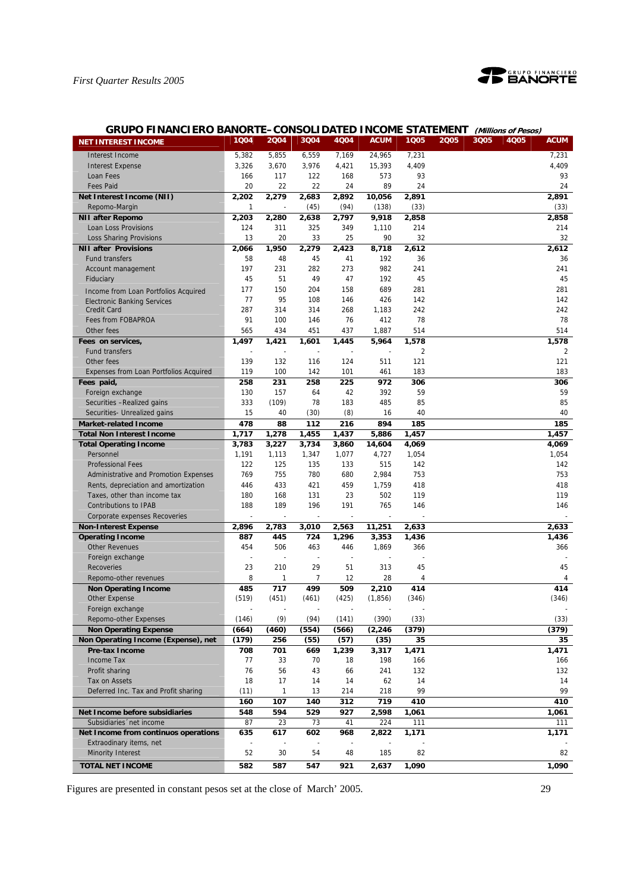

## **GRUPO FINANCIERO BANORTE–CONSOLIDATED INCOME STATEMENT (Millions of Pesos)**

| <b>NET INTEREST INCOME</b>                    | 1004  | 2004  | 3Q04  | 4Q04  | <b>ACUM</b> | 1Q05  | 2005 | 3005 | 4Q05 | <b>ACUM</b> |
|-----------------------------------------------|-------|-------|-------|-------|-------------|-------|------|------|------|-------------|
| Interest Income                               | 5,382 | 5,855 | 6,559 | 7,169 | 24,965      | 7,231 |      |      |      | 7,231       |
| <b>Interest Expense</b>                       | 3,326 | 3,670 | 3,976 | 4,421 | 15,393      | 4,409 |      |      |      | 4,409       |
| Loan Fees                                     | 166   | 117   | 122   | 168   | 573         | 93    |      |      |      | 93          |
| <b>Fees Paid</b>                              | 20    | 22    | 22    | 24    | 89          | 24    |      |      |      | 24          |
| Net Interest Income (NII)                     | 2,202 | 2,279 | 2,683 | 2,892 | 10,056      | 2.891 |      |      |      | 2,891       |
| Repomo-Margin                                 | 1     |       | (45)  | (94)  | (138)       | (33)  |      |      |      | (33)        |
| <b>NII after Repomo</b>                       | 2,203 | 2,280 | 2,638 | 2,797 | 9,918       | 2,858 |      |      |      | 2,858       |
| Loan Loss Provisions                          | 124   | 311   | 325   | 349   | 1,110       | 214   |      |      |      | 214         |
| Loss Sharing Provisions                       | 13    | 20    | 33    | 25    | 90          | 32    |      |      |      | 32          |
| <b>NII after Provisions</b>                   | 2,066 | 1,950 | 2,279 | 2,423 | 8,718       | 2,612 |      |      |      | 2,612       |
| <b>Fund transfers</b>                         | 58    | 48    | 45    | 41    | 192         | 36    |      |      |      | 36          |
| Account management                            | 197   | 231   | 282   | 273   | 982         | 241   |      |      |      | 241         |
| Fiduciary                                     | 45    | 51    | 49    | 47    | 192         | 45    |      |      |      | 45          |
| Income from Loan Portfolios Acquired          | 177   | 150   | 204   | 158   | 689         | 281   |      |      |      | 281         |
| <b>Electronic Banking Services</b>            | 77    | 95    | 108   | 146   | 426         | 142   |      |      |      | 142         |
| <b>Credit Card</b>                            | 287   | 314   | 314   | 268   | 1,183       | 242   |      |      |      | 242         |
| Fees from FOBAPROA                            | 91    | 100   | 146   | 76    | 412         | 78    |      |      |      | 78          |
| Other fees                                    | 565   | 434   | 451   | 437   | 1,887       | 514   |      |      |      | 514         |
| Fees on services,                             | 1,497 | 1,421 | 1,601 | 1,445 | 5,964       | 1,578 |      |      |      | 1,578       |
| <b>Fund transfers</b>                         |       |       |       |       |             | 2     |      |      |      | 2           |
| Other fees                                    | 139   | 132   | 116   | 124   | 511         | 121   |      |      |      | 121         |
| <b>Expenses from Loan Portfolios Acquired</b> | 119   | 100   | 142   | 101   | 461         | 183   |      |      |      | 183         |
| Fees paid,                                    | 258   | 231   | 258   | 225   | 972         | 306   |      |      |      | 306         |
| Foreign exchange                              | 130   | 157   | 64    | 42    | 392         | 59    |      |      |      | 59          |
| Securities -Realized gains                    | 333   | (109) | 78    | 183   | 485         | 85    |      |      |      | 85          |
| Securities- Unrealized gains                  | 15    | 40    | (30)  | (8)   | 16          | 40    |      |      |      | 40          |
| <b>Market-related Income</b>                  | 478   | 88    | 112   | 216   | 894         | 185   |      |      |      | 185         |
| <b>Total Non Interest Income</b>              | 1,717 | 1,278 | 1,455 | 1,437 | 5,886       | 1,457 |      |      |      | 1,457       |
| <b>Total Operating Income</b>                 | 3,783 | 3,227 | 3,734 | 3,860 | 14,604      | 4,069 |      |      |      | 4,069       |
| Personnel                                     | 1,191 | 1,113 | 1,347 | 1,077 | 4,727       | 1,054 |      |      |      | 1,054       |
| <b>Professional Fees</b>                      | 122   | 125   | 135   | 133   | 515         | 142   |      |      |      | 142         |
| Administrative and Promotion Expenses         | 769   | 755   | 780   | 680   | 2,984       | 753   |      |      |      | 753         |
| Rents, depreciation and amortization          | 446   | 433   | 421   | 459   | 1,759       | 418   |      |      |      | 418         |
| Taxes, other than income tax                  | 180   | 168   | 131   | 23    | 502         | 119   |      |      |      | 119         |
| <b>Contributions to IPAB</b>                  | 188   | 189   | 196   | 191   | 765         | 146   |      |      |      | 146         |
| Corporate expenses Recoveries                 |       |       | ÷,    |       |             |       |      |      |      |             |
| <b>Non-Interest Expense</b>                   | 2,896 | 2,783 | 3,010 | 2,563 | 11,251      | 2,633 |      |      |      | 2,633       |
| <b>Operating Income</b>                       | 887   | 445   | 724   | 1,296 | 3,353       | 1,436 |      |      |      | 1,436       |
| <b>Other Revenues</b>                         | 454   | 506   | 463   | 446   | 1,869       | 366   |      |      |      | 366         |
| Foreign exchange                              | ÷,    |       | ÷,    |       |             |       |      |      |      |             |
| <b>Recoveries</b>                             | 23    | 210   | 29    | 51    | 313         | 45    |      |      |      | 45          |
| Repomo-other revenues                         | 8     | 1     | 7     | 12    | 28          | 4     |      |      |      | 4           |
| <b>Non Operating Income</b>                   | 485   | 717   | 499   | 509   | 2,210       | 414   |      |      |      | 414         |
| <b>Other Expense</b>                          | (519) | (451) | (461) | (425) | (1,856)     | (346) |      |      |      | (346)       |
| Foreign exchange                              |       |       |       |       |             |       |      |      |      |             |
| Repomo-other Expenses                         | (146) | (9)   | (94)  | (141) | (390)       | (33)  |      |      |      | (33)        |
| <b>Non Operating Expense</b>                  | (664) | (460) | (554) | (566) | (2, 246)    | (379) |      |      |      | (379)       |
| Non Operating Income (Expense), net           | (179) | 256   | (55)  | (57)  | (35)        | 35    |      |      |      | 35          |
| Pre-tax Income                                | 708   | 701   | 669   | 1,239 | 3,317       | 1,471 |      |      |      | 1,471       |
| Income Tax                                    | 77    | 33    | 70    | 18    | 198         | 166   |      |      |      | 166         |
| Profit sharing                                | 76    | 56    | 43    | 66    | 241         | 132   |      |      |      | 132         |
| Tax on Assets                                 | 18    | 17    | 14    | 14    | 62          | 14    |      |      |      | 14          |
| Deferred Inc. Tax and Profit sharing          | (11)  | 1     | 13    | 214   | 218         | 99    |      |      |      | 99          |
|                                               | 160   | 107   | 140   | 312   | 719         | 410   |      |      |      | 410         |
| Net Income before subsidiaries                | 548   | 594   | 529   | 927   | 2,598       | 1,061 |      |      |      | 1,061       |
| Subsidiaries 'net income                      | 87    | 23    | 73    | 41    | 224         | 111   |      |      |      | 111         |
| Net Income from continuos operations          | 635   | 617   | 602   | 968   | 2,822       | 1,171 |      |      |      | 1,171       |
| Extraodinary items, net                       |       |       |       |       |             |       |      |      |      |             |
| <b>Minority Interest</b>                      | 52    | 30    | 54    | 48    | 185         | 82    |      |      |      | 82          |
| <b>TOTAL NET INCOME</b>                       | 582   | 587   | 547   | 921   | 2,637       | 1,090 |      |      |      | 1,090       |
|                                               |       |       |       |       |             |       |      |      |      |             |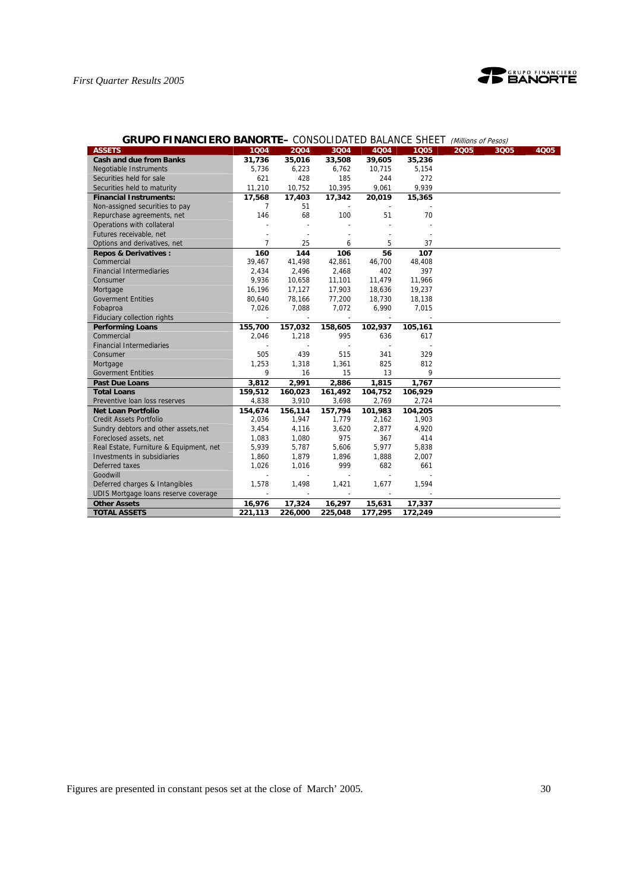

| <b>GRUPO FINANCIERO BANORTE–</b> CONSOLIDATED BALANCE SHEET |                |                |                          |                          |                | (Millions of Pesos) |      |
|-------------------------------------------------------------|----------------|----------------|--------------------------|--------------------------|----------------|---------------------|------|
| <b>ASSETS</b>                                               | 1004           | 2004           | 3Q04                     | 4Q04                     | 1005           | 2005<br>3Q05        | 4Q05 |
| <b>Cash and due from Banks</b>                              | 31,736         | 35,016         | 33,508                   | 39,605                   | 35,236         |                     |      |
| Negotiable Instruments                                      | 5,736          | 6,223          | 6,762                    | 10,715                   | 5,154          |                     |      |
| Securities held for sale                                    | 621            | 428            | 185                      | 244                      | 272            |                     |      |
| Securities held to maturity                                 | 11,210         | 10,752         | 10,395                   | 9,061                    | 9,939          |                     |      |
| <b>Financial Instruments:</b>                               | 17,568         | 17,403         | 17,342                   | 20,019                   | 15,365         |                     |      |
| Non-assigned securities to pay                              | $\overline{7}$ | 51             |                          |                          |                |                     |      |
| Repurchase agreements, net                                  | 146            | 68             | 100                      | 51                       | 70             |                     |      |
| Operations with collateral                                  |                |                |                          |                          |                |                     |      |
| Futures receivable, net                                     |                |                |                          |                          |                |                     |      |
| Options and derivatives, net                                | $\overline{7}$ | 25             | 6                        | 5                        | 37             |                     |      |
| <b>Repos &amp; Derivatives:</b>                             | 160            | 144            | 106                      | 56                       | 107            |                     |      |
| Commercial                                                  | 39,467         | 41,498         | 42,861                   | 46,700                   | 48,408         |                     |      |
| <b>Financial Intermediaries</b>                             | 2,434          | 2,496          | 2,468                    | 402                      | 397            |                     |      |
| Consumer                                                    | 9,936          | 10,658         | 11,101                   | 11,479                   | 11,966         |                     |      |
| Mortgage                                                    | 16,196         | 17,127         | 17,903                   | 18,636                   | 19,237         |                     |      |
| <b>Goverment Entities</b>                                   | 80,640         | 78,166         | 77,200                   | 18,730                   | 18,138         |                     |      |
| Fobaproa                                                    | 7,026          | 7,088          | 7,072                    | 6,990                    | 7,015          |                     |      |
| Fiduciary collection rights                                 |                | $\overline{a}$ | $\overline{\phantom{a}}$ | $\overline{\phantom{a}}$ |                |                     |      |
| <b>Performing Loans</b>                                     | 155,700        | 157,032        | 158,605                  | 102,937                  | 105,161        |                     |      |
| Commercial                                                  | 2,046          | 1,218          | 995                      | 636                      | 617            |                     |      |
| <b>Financial Intermediaries</b>                             |                |                |                          |                          |                |                     |      |
| Consumer                                                    | 505            | 439            | 515                      | 341                      | 329            |                     |      |
| Mortgage                                                    | 1,253          | 1,318          | 1,361                    | 825                      | 812            |                     |      |
| <b>Goverment Entities</b>                                   | 9              | 16             | 15                       | 13                       | 9              |                     |      |
| <b>Past Due Loans</b>                                       | 3,812          | 2,991          | 2,886                    | 1,815                    | 1,767          |                     |      |
| <b>Total Loans</b>                                          | 159,512        | 160,023        | 161,492                  | 104,752                  | 106,929        |                     |      |
| Preventive loan loss reserves                               | 4,838          | 3,910          | 3,698                    | 2,769                    | 2,724          |                     |      |
| <b>Net Loan Portfolio</b>                                   | 154.674        | 156,114        | 157,794                  | 101,983                  | 104,205        |                     |      |
| <b>Credit Assets Portfolio</b>                              | 2,036          | 1,947          | 1,779                    | 2,162                    | 1,903          |                     |      |
| Sundry debtors and other assets, net                        | 3,454          | 4,116          | 3,620                    | 2,877                    | 4,920          |                     |      |
| Foreclosed assets, net                                      | 1,083          | 1,080          | 975                      | 367                      | 414            |                     |      |
| Real Estate, Furniture & Equipment, net                     | 5,939          | 5,787          | 5,606                    | 5,977                    | 5,838          |                     |      |
| Investments in subsidiaries                                 | 1,860          | 1,879          | 1,896                    | 1,888                    | 2,007          |                     |      |
| Deferred taxes                                              | 1,026          | 1,016          | 999                      | 682                      | 661            |                     |      |
| Goodwill                                                    |                |                |                          |                          |                |                     |      |
| Deferred charges & Intangibles                              | 1,578          | 1,498          | 1,421                    | 1,677                    | 1,594          |                     |      |
| UDIS Mortgage loans reserve coverage                        | $\sim$         | $\sim$         | $\sim$                   | $\overline{\phantom{a}}$ | $\overline{a}$ |                     |      |
| <b>Other Assets</b>                                         | 16,976         | 17,324         | 16,297                   | 15,631                   | 17,337         |                     |      |
| <b>TOTAL ASSETS</b>                                         | 221,113        | 226,000        | 225,048                  | 177,295                  | 172,249        |                     |      |

#### **GRUPO FINANCIERO BANORTE–** CONSOLIDATED BALANCE SHEET (Millions of Pesos)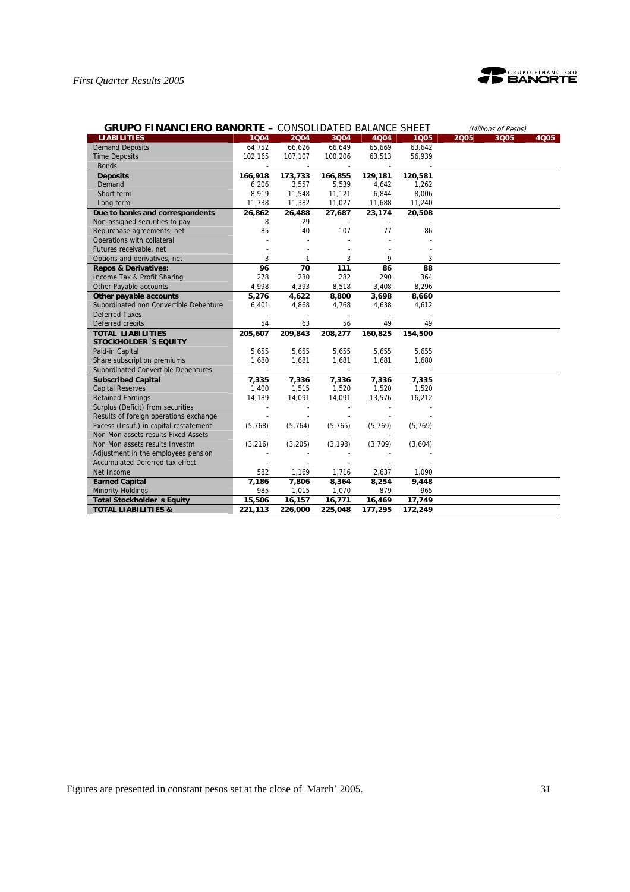

| <b>GRUPO FINANCIERO BANORTE - CONSOLIDATED BALANCE SHEET</b> |          |          |          |          |          |      | (Millions of Pesos) |      |
|--------------------------------------------------------------|----------|----------|----------|----------|----------|------|---------------------|------|
| <b>LIABILITIES</b>                                           | 1004     | 2004     | 3Q04     | 4004     | 1005     | 2005 | 3Q05                | 4005 |
| <b>Demand Deposits</b>                                       | 64,752   | 66,626   | 66,649   | 65,669   | 63,642   |      |                     |      |
| <b>Time Deposits</b>                                         | 102,165  | 107,107  | 100,206  | 63,513   | 56,939   |      |                     |      |
| <b>Bonds</b>                                                 |          |          |          |          |          |      |                     |      |
| <b>Deposits</b>                                              | 166,918  | 173,733  | 166,855  | 129,181  | 120,581  |      |                     |      |
| Demand                                                       | 6,206    | 3,557    | 5,539    | 4,642    | 1,262    |      |                     |      |
| Short term                                                   | 8,919    | 11,548   | 11,121   | 6,844    | 8,006    |      |                     |      |
| Long term                                                    | 11,738   | 11,382   | 11,027   | 11,688   | 11,240   |      |                     |      |
| Due to banks and correspondents                              | 26,862   | 26,488   | 27,687   | 23,174   | 20,508   |      |                     |      |
| Non-assigned securities to pay                               | 8        | 29       |          |          |          |      |                     |      |
| Repurchase agreements, net                                   | 85       | 40       | 107      | 77       | 86       |      |                     |      |
| Operations with collateral                                   |          |          |          |          |          |      |                     |      |
| Futures receivable, net                                      |          |          |          |          |          |      |                     |      |
| Options and derivatives, net                                 | 3        | 1        | 3        | 9        | 3        |      |                     |      |
| <b>Repos &amp; Derivatives:</b>                              | 96       | 70       | 111      | 86       | 88       |      |                     |      |
| Income Tax & Profit Sharing                                  | 278      | 230      | 282      | 290      | 364      |      |                     |      |
| Other Payable accounts                                       | 4,998    | 4,393    | 8,518    | 3,408    | 8,296    |      |                     |      |
| Other payable accounts                                       | 5,276    | 4,622    | 8,800    | 3,698    | 8,660    |      |                     |      |
| Subordinated non Convertible Debenture                       | 6,401    | 4,868    | 4,768    | 4,638    | 4,612    |      |                     |      |
| <b>Deferred Taxes</b>                                        |          |          |          |          |          |      |                     |      |
| Deferred credits                                             | 54       | 63       | 56       | 49       | 49       |      |                     |      |
| <b>TOTAL LIABILITIES</b>                                     | 205,607  | 209,843  | 208,277  | 160,825  | 154,500  |      |                     |      |
| <b>STOCKHOLDER 'S EQUITY</b>                                 |          |          |          |          |          |      |                     |      |
| Paid-in Capital                                              | 5,655    | 5,655    | 5,655    | 5,655    | 5,655    |      |                     |      |
| Share subscription premiums                                  | 1.680    | 1,681    | 1,681    | 1,681    | 1,680    |      |                     |      |
| Subordinated Convertible Debentures                          |          |          |          |          |          |      |                     |      |
| <b>Subscribed Capital</b>                                    | 7,335    | 7,336    | 7,336    | 7,336    | 7,335    |      |                     |      |
| <b>Capital Reserves</b>                                      | 1,400    | 1,515    | 1,520    | 1,520    | 1,520    |      |                     |      |
| <b>Retained Earnings</b>                                     | 14,189   | 14,091   | 14,091   | 13,576   | 16,212   |      |                     |      |
| Surplus (Deficit) from securities                            |          |          |          |          |          |      |                     |      |
| Results of foreign operations exchange                       |          |          |          |          |          |      |                     |      |
| Excess (Insuf.) in capital restatement                       | (5,768)  | (5, 764) | (5, 765) | (5, 769) | (5, 769) |      |                     |      |
| Non Mon assets results Fixed Assets                          |          |          |          |          |          |      |                     |      |
| Non Mon assets results Investm                               | (3, 216) | (3,205)  | (3, 198) | (3,709)  | (3,604)  |      |                     |      |
| Adjustment in the employees pension                          |          |          |          |          |          |      |                     |      |
| <b>Accumulated Deferred tax effect</b>                       |          |          |          |          |          |      |                     |      |
| Net Income                                                   | 582      | 1,169    | 1,716    | 2,637    | 1,090    |      |                     |      |
| <b>Earned Capital</b>                                        | 7,186    | 7,806    | 8,364    | 8,254    | 9,448    |      |                     |      |
| <b>Minority Holdings</b>                                     | 985      | 1,015    | 1,070    | 879      | 965      |      |                     |      |
| Total Stockholder 's Equity                                  | 15,506   | 16,157   | 16,771   | 16,469   | 17,749   |      |                     |      |
| <b>TOTAL LIABILITIES &amp;</b>                               | 221,113  | 226,000  | 225,048  | 177,295  | 172,249  |      |                     |      |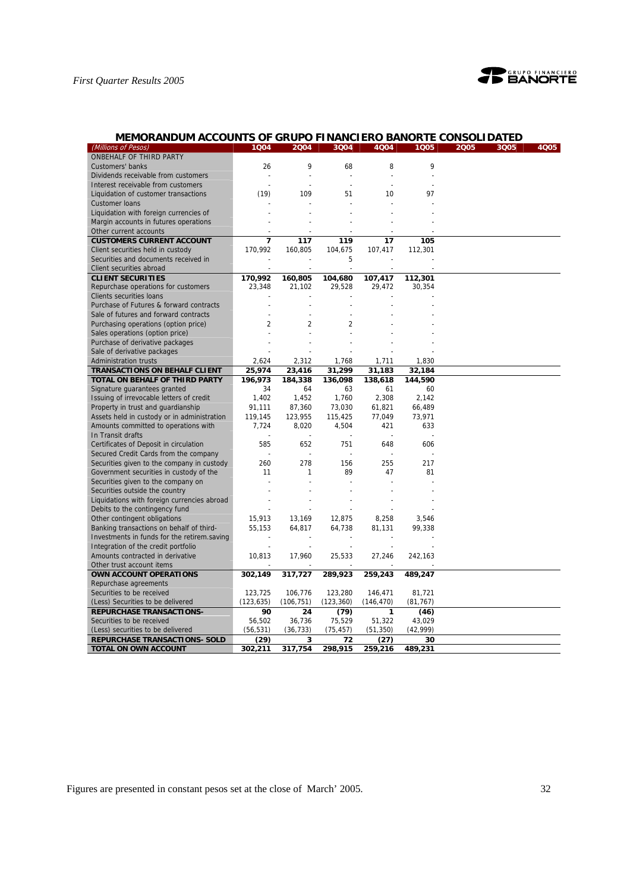

## **MEMORANDUM ACCOUNTS OF GRUPO FINANCIERO BANORTE CONSOLIDATED**

| ONBEHALF OF THIRD PARTY<br>9<br>9<br>8<br>Customers' banks<br>26<br>68<br>Dividends receivable from customers<br>$\overline{a}$<br>J.<br>Interest receivable from customers<br>(19)<br>97<br>Liquidation of customer transactions<br>109<br>51<br>10<br><b>Customer loans</b><br>Liquidation with foreign currencies of<br>Margin accounts in futures operations<br>Other current accounts<br><b>CUSTOMERS CURRENT ACCOUNT</b><br>7<br>117<br>119<br>17<br>105<br>170,992<br>Client securities held in custody<br>160,805<br>104,675<br>107,417<br>112,301<br>Securities and documents received in<br>5<br>Client securities abroad<br>$\overline{a}$<br><b>CLIENT SECURITIES</b><br>170,992<br>160,805<br>104,680<br>107,417<br>112,301<br>Repurchase operations for customers<br>23,348<br>21,102<br>29,528<br>29,472<br>30,354<br>Clients securities loans<br>Purchase of Futures & forward contracts<br>Sale of futures and forward contracts<br>$\overline{2}$<br>$\overline{2}$<br>$\overline{2}$<br>Purchasing operations (option price)<br>Sales operations (option price)<br>Purchase of derivative packages<br>Sale of derivative packages<br><b>Administration trusts</b><br>2,624<br>2,312<br>1,711<br>1,830<br>1,768<br><b>TRANSACTIONS ON BEHALF CLIENT</b><br>25,974<br>23,416<br>31,299<br>31,183<br>32,184<br>TOTAL ON BEHALF OF THIRD PARTY<br>196.973<br>184,338<br>136,098<br>138,618<br>144,590<br>Signature guarantees granted<br>34<br>64<br>63<br>61<br>60<br>1,402<br>1,760<br>2,308<br>Issuing of irrevocable letters of credit<br>1,452<br>2,142<br>Property in trust and guardianship<br>91,111<br>61,821<br>66,489<br>87,360<br>73,030<br>Assets held in custody or in administration<br>123,955<br>115,425<br>77,049<br>73,971<br>119,145<br>Amounts committed to operations with<br>7,724<br>8,020<br>4,504<br>421<br>633<br>In Transit drafts<br>Certificates of Deposit in circulation<br>585<br>652<br>751<br>648<br>606<br>Secured Credit Cards from the company<br>255<br>Securities given to the company in custody<br>260<br>278<br>156<br>217<br>Government securities in custody of the<br>11<br>1<br>89<br>47<br>81<br>Securities given to the company on<br>Securities outside the country<br>Liquidations with foreign currencies abroad<br>Debits to the contingency fund<br>Other contingent obligations<br>15,913<br>13,169<br>12,875<br>8,258<br>3,546<br>55,153<br>81,131<br>Banking transactions on behalf of third-<br>64,817<br>64,738<br>99,338<br>Investments in funds for the retirem.saving<br>Integration of the credit portfolio<br>Amounts contracted in derivative<br>10,813<br>17,960<br>25,533<br>27,246<br>242,163<br>Other trust account items<br>OWN ACCOUNT OPERATIONS<br>302,149<br>317,727<br>289,923<br>259,243<br>489,247<br>Repurchase agreements<br>123,725<br>106,776<br>123,280<br>146,471<br>81,721<br>Securities to be received<br>(123, 635)<br>(Less) Securities to be delivered<br>(106, 751)<br>(123, 360)<br>(146, 470)<br>(81, 767)<br><b>REPURCHASE TRANSACTIONS-</b><br>90<br>24<br>(79)<br>1<br>(46)<br>56,502<br>36,736<br>75,529<br>51,322<br>Securities to be received<br>43,029<br>(42, 999)<br>(56, 531)<br>(36, 733)<br>(75, 457)<br>(51, 350)<br>(Less) securities to be delivered<br><b>REPURCHASE TRANSACTIONS- SOLD</b><br>(29)<br>3<br>72<br>(27)<br>30 | (Millions of Pesos)  | 1Q04    | 2004    | 3Q04    | 4Q04    | 1Q05    | 2005 | 3Q05 | 4005 |
|--------------------------------------------------------------------------------------------------------------------------------------------------------------------------------------------------------------------------------------------------------------------------------------------------------------------------------------------------------------------------------------------------------------------------------------------------------------------------------------------------------------------------------------------------------------------------------------------------------------------------------------------------------------------------------------------------------------------------------------------------------------------------------------------------------------------------------------------------------------------------------------------------------------------------------------------------------------------------------------------------------------------------------------------------------------------------------------------------------------------------------------------------------------------------------------------------------------------------------------------------------------------------------------------------------------------------------------------------------------------------------------------------------------------------------------------------------------------------------------------------------------------------------------------------------------------------------------------------------------------------------------------------------------------------------------------------------------------------------------------------------------------------------------------------------------------------------------------------------------------------------------------------------------------------------------------------------------------------------------------------------------------------------------------------------------------------------------------------------------------------------------------------------------------------------------------------------------------------------------------------------------------------------------------------------------------------------------------------------------------------------------------------------------------------------------------------------------------------------------------------------------------------------------------------------------------------------------------------------------------------------------------------------------------------------------------------------------------------------------------------------------------------------------------------------------------------------------------------------------------------------------------------------------------------------------------------------------------------------------------------------------------------------------------------------------------------------------------------------------------------------------------------------------------------------------------------------------------------------------------------------------------------------------------------------------------------------------------------------|----------------------|---------|---------|---------|---------|---------|------|------|------|
|                                                                                                                                                                                                                                                                                                                                                                                                                                                                                                                                                                                                                                                                                                                                                                                                                                                                                                                                                                                                                                                                                                                                                                                                                                                                                                                                                                                                                                                                                                                                                                                                                                                                                                                                                                                                                                                                                                                                                                                                                                                                                                                                                                                                                                                                                                                                                                                                                                                                                                                                                                                                                                                                                                                                                                                                                                                                                                                                                                                                                                                                                                                                                                                                                                                                                                                                                        |                      |         |         |         |         |         |      |      |      |
|                                                                                                                                                                                                                                                                                                                                                                                                                                                                                                                                                                                                                                                                                                                                                                                                                                                                                                                                                                                                                                                                                                                                                                                                                                                                                                                                                                                                                                                                                                                                                                                                                                                                                                                                                                                                                                                                                                                                                                                                                                                                                                                                                                                                                                                                                                                                                                                                                                                                                                                                                                                                                                                                                                                                                                                                                                                                                                                                                                                                                                                                                                                                                                                                                                                                                                                                                        |                      |         |         |         |         |         |      |      |      |
|                                                                                                                                                                                                                                                                                                                                                                                                                                                                                                                                                                                                                                                                                                                                                                                                                                                                                                                                                                                                                                                                                                                                                                                                                                                                                                                                                                                                                                                                                                                                                                                                                                                                                                                                                                                                                                                                                                                                                                                                                                                                                                                                                                                                                                                                                                                                                                                                                                                                                                                                                                                                                                                                                                                                                                                                                                                                                                                                                                                                                                                                                                                                                                                                                                                                                                                                                        |                      |         |         |         |         |         |      |      |      |
|                                                                                                                                                                                                                                                                                                                                                                                                                                                                                                                                                                                                                                                                                                                                                                                                                                                                                                                                                                                                                                                                                                                                                                                                                                                                                                                                                                                                                                                                                                                                                                                                                                                                                                                                                                                                                                                                                                                                                                                                                                                                                                                                                                                                                                                                                                                                                                                                                                                                                                                                                                                                                                                                                                                                                                                                                                                                                                                                                                                                                                                                                                                                                                                                                                                                                                                                                        |                      |         |         |         |         |         |      |      |      |
|                                                                                                                                                                                                                                                                                                                                                                                                                                                                                                                                                                                                                                                                                                                                                                                                                                                                                                                                                                                                                                                                                                                                                                                                                                                                                                                                                                                                                                                                                                                                                                                                                                                                                                                                                                                                                                                                                                                                                                                                                                                                                                                                                                                                                                                                                                                                                                                                                                                                                                                                                                                                                                                                                                                                                                                                                                                                                                                                                                                                                                                                                                                                                                                                                                                                                                                                                        |                      |         |         |         |         |         |      |      |      |
|                                                                                                                                                                                                                                                                                                                                                                                                                                                                                                                                                                                                                                                                                                                                                                                                                                                                                                                                                                                                                                                                                                                                                                                                                                                                                                                                                                                                                                                                                                                                                                                                                                                                                                                                                                                                                                                                                                                                                                                                                                                                                                                                                                                                                                                                                                                                                                                                                                                                                                                                                                                                                                                                                                                                                                                                                                                                                                                                                                                                                                                                                                                                                                                                                                                                                                                                                        |                      |         |         |         |         |         |      |      |      |
|                                                                                                                                                                                                                                                                                                                                                                                                                                                                                                                                                                                                                                                                                                                                                                                                                                                                                                                                                                                                                                                                                                                                                                                                                                                                                                                                                                                                                                                                                                                                                                                                                                                                                                                                                                                                                                                                                                                                                                                                                                                                                                                                                                                                                                                                                                                                                                                                                                                                                                                                                                                                                                                                                                                                                                                                                                                                                                                                                                                                                                                                                                                                                                                                                                                                                                                                                        |                      |         |         |         |         |         |      |      |      |
|                                                                                                                                                                                                                                                                                                                                                                                                                                                                                                                                                                                                                                                                                                                                                                                                                                                                                                                                                                                                                                                                                                                                                                                                                                                                                                                                                                                                                                                                                                                                                                                                                                                                                                                                                                                                                                                                                                                                                                                                                                                                                                                                                                                                                                                                                                                                                                                                                                                                                                                                                                                                                                                                                                                                                                                                                                                                                                                                                                                                                                                                                                                                                                                                                                                                                                                                                        |                      |         |         |         |         |         |      |      |      |
|                                                                                                                                                                                                                                                                                                                                                                                                                                                                                                                                                                                                                                                                                                                                                                                                                                                                                                                                                                                                                                                                                                                                                                                                                                                                                                                                                                                                                                                                                                                                                                                                                                                                                                                                                                                                                                                                                                                                                                                                                                                                                                                                                                                                                                                                                                                                                                                                                                                                                                                                                                                                                                                                                                                                                                                                                                                                                                                                                                                                                                                                                                                                                                                                                                                                                                                                                        |                      |         |         |         |         |         |      |      |      |
|                                                                                                                                                                                                                                                                                                                                                                                                                                                                                                                                                                                                                                                                                                                                                                                                                                                                                                                                                                                                                                                                                                                                                                                                                                                                                                                                                                                                                                                                                                                                                                                                                                                                                                                                                                                                                                                                                                                                                                                                                                                                                                                                                                                                                                                                                                                                                                                                                                                                                                                                                                                                                                                                                                                                                                                                                                                                                                                                                                                                                                                                                                                                                                                                                                                                                                                                                        |                      |         |         |         |         |         |      |      |      |
|                                                                                                                                                                                                                                                                                                                                                                                                                                                                                                                                                                                                                                                                                                                                                                                                                                                                                                                                                                                                                                                                                                                                                                                                                                                                                                                                                                                                                                                                                                                                                                                                                                                                                                                                                                                                                                                                                                                                                                                                                                                                                                                                                                                                                                                                                                                                                                                                                                                                                                                                                                                                                                                                                                                                                                                                                                                                                                                                                                                                                                                                                                                                                                                                                                                                                                                                                        |                      |         |         |         |         |         |      |      |      |
|                                                                                                                                                                                                                                                                                                                                                                                                                                                                                                                                                                                                                                                                                                                                                                                                                                                                                                                                                                                                                                                                                                                                                                                                                                                                                                                                                                                                                                                                                                                                                                                                                                                                                                                                                                                                                                                                                                                                                                                                                                                                                                                                                                                                                                                                                                                                                                                                                                                                                                                                                                                                                                                                                                                                                                                                                                                                                                                                                                                                                                                                                                                                                                                                                                                                                                                                                        |                      |         |         |         |         |         |      |      |      |
|                                                                                                                                                                                                                                                                                                                                                                                                                                                                                                                                                                                                                                                                                                                                                                                                                                                                                                                                                                                                                                                                                                                                                                                                                                                                                                                                                                                                                                                                                                                                                                                                                                                                                                                                                                                                                                                                                                                                                                                                                                                                                                                                                                                                                                                                                                                                                                                                                                                                                                                                                                                                                                                                                                                                                                                                                                                                                                                                                                                                                                                                                                                                                                                                                                                                                                                                                        |                      |         |         |         |         |         |      |      |      |
|                                                                                                                                                                                                                                                                                                                                                                                                                                                                                                                                                                                                                                                                                                                                                                                                                                                                                                                                                                                                                                                                                                                                                                                                                                                                                                                                                                                                                                                                                                                                                                                                                                                                                                                                                                                                                                                                                                                                                                                                                                                                                                                                                                                                                                                                                                                                                                                                                                                                                                                                                                                                                                                                                                                                                                                                                                                                                                                                                                                                                                                                                                                                                                                                                                                                                                                                                        |                      |         |         |         |         |         |      |      |      |
|                                                                                                                                                                                                                                                                                                                                                                                                                                                                                                                                                                                                                                                                                                                                                                                                                                                                                                                                                                                                                                                                                                                                                                                                                                                                                                                                                                                                                                                                                                                                                                                                                                                                                                                                                                                                                                                                                                                                                                                                                                                                                                                                                                                                                                                                                                                                                                                                                                                                                                                                                                                                                                                                                                                                                                                                                                                                                                                                                                                                                                                                                                                                                                                                                                                                                                                                                        |                      |         |         |         |         |         |      |      |      |
|                                                                                                                                                                                                                                                                                                                                                                                                                                                                                                                                                                                                                                                                                                                                                                                                                                                                                                                                                                                                                                                                                                                                                                                                                                                                                                                                                                                                                                                                                                                                                                                                                                                                                                                                                                                                                                                                                                                                                                                                                                                                                                                                                                                                                                                                                                                                                                                                                                                                                                                                                                                                                                                                                                                                                                                                                                                                                                                                                                                                                                                                                                                                                                                                                                                                                                                                                        |                      |         |         |         |         |         |      |      |      |
|                                                                                                                                                                                                                                                                                                                                                                                                                                                                                                                                                                                                                                                                                                                                                                                                                                                                                                                                                                                                                                                                                                                                                                                                                                                                                                                                                                                                                                                                                                                                                                                                                                                                                                                                                                                                                                                                                                                                                                                                                                                                                                                                                                                                                                                                                                                                                                                                                                                                                                                                                                                                                                                                                                                                                                                                                                                                                                                                                                                                                                                                                                                                                                                                                                                                                                                                                        |                      |         |         |         |         |         |      |      |      |
|                                                                                                                                                                                                                                                                                                                                                                                                                                                                                                                                                                                                                                                                                                                                                                                                                                                                                                                                                                                                                                                                                                                                                                                                                                                                                                                                                                                                                                                                                                                                                                                                                                                                                                                                                                                                                                                                                                                                                                                                                                                                                                                                                                                                                                                                                                                                                                                                                                                                                                                                                                                                                                                                                                                                                                                                                                                                                                                                                                                                                                                                                                                                                                                                                                                                                                                                                        |                      |         |         |         |         |         |      |      |      |
|                                                                                                                                                                                                                                                                                                                                                                                                                                                                                                                                                                                                                                                                                                                                                                                                                                                                                                                                                                                                                                                                                                                                                                                                                                                                                                                                                                                                                                                                                                                                                                                                                                                                                                                                                                                                                                                                                                                                                                                                                                                                                                                                                                                                                                                                                                                                                                                                                                                                                                                                                                                                                                                                                                                                                                                                                                                                                                                                                                                                                                                                                                                                                                                                                                                                                                                                                        |                      |         |         |         |         |         |      |      |      |
|                                                                                                                                                                                                                                                                                                                                                                                                                                                                                                                                                                                                                                                                                                                                                                                                                                                                                                                                                                                                                                                                                                                                                                                                                                                                                                                                                                                                                                                                                                                                                                                                                                                                                                                                                                                                                                                                                                                                                                                                                                                                                                                                                                                                                                                                                                                                                                                                                                                                                                                                                                                                                                                                                                                                                                                                                                                                                                                                                                                                                                                                                                                                                                                                                                                                                                                                                        |                      |         |         |         |         |         |      |      |      |
|                                                                                                                                                                                                                                                                                                                                                                                                                                                                                                                                                                                                                                                                                                                                                                                                                                                                                                                                                                                                                                                                                                                                                                                                                                                                                                                                                                                                                                                                                                                                                                                                                                                                                                                                                                                                                                                                                                                                                                                                                                                                                                                                                                                                                                                                                                                                                                                                                                                                                                                                                                                                                                                                                                                                                                                                                                                                                                                                                                                                                                                                                                                                                                                                                                                                                                                                                        |                      |         |         |         |         |         |      |      |      |
|                                                                                                                                                                                                                                                                                                                                                                                                                                                                                                                                                                                                                                                                                                                                                                                                                                                                                                                                                                                                                                                                                                                                                                                                                                                                                                                                                                                                                                                                                                                                                                                                                                                                                                                                                                                                                                                                                                                                                                                                                                                                                                                                                                                                                                                                                                                                                                                                                                                                                                                                                                                                                                                                                                                                                                                                                                                                                                                                                                                                                                                                                                                                                                                                                                                                                                                                                        |                      |         |         |         |         |         |      |      |      |
|                                                                                                                                                                                                                                                                                                                                                                                                                                                                                                                                                                                                                                                                                                                                                                                                                                                                                                                                                                                                                                                                                                                                                                                                                                                                                                                                                                                                                                                                                                                                                                                                                                                                                                                                                                                                                                                                                                                                                                                                                                                                                                                                                                                                                                                                                                                                                                                                                                                                                                                                                                                                                                                                                                                                                                                                                                                                                                                                                                                                                                                                                                                                                                                                                                                                                                                                                        |                      |         |         |         |         |         |      |      |      |
|                                                                                                                                                                                                                                                                                                                                                                                                                                                                                                                                                                                                                                                                                                                                                                                                                                                                                                                                                                                                                                                                                                                                                                                                                                                                                                                                                                                                                                                                                                                                                                                                                                                                                                                                                                                                                                                                                                                                                                                                                                                                                                                                                                                                                                                                                                                                                                                                                                                                                                                                                                                                                                                                                                                                                                                                                                                                                                                                                                                                                                                                                                                                                                                                                                                                                                                                                        |                      |         |         |         |         |         |      |      |      |
|                                                                                                                                                                                                                                                                                                                                                                                                                                                                                                                                                                                                                                                                                                                                                                                                                                                                                                                                                                                                                                                                                                                                                                                                                                                                                                                                                                                                                                                                                                                                                                                                                                                                                                                                                                                                                                                                                                                                                                                                                                                                                                                                                                                                                                                                                                                                                                                                                                                                                                                                                                                                                                                                                                                                                                                                                                                                                                                                                                                                                                                                                                                                                                                                                                                                                                                                                        |                      |         |         |         |         |         |      |      |      |
|                                                                                                                                                                                                                                                                                                                                                                                                                                                                                                                                                                                                                                                                                                                                                                                                                                                                                                                                                                                                                                                                                                                                                                                                                                                                                                                                                                                                                                                                                                                                                                                                                                                                                                                                                                                                                                                                                                                                                                                                                                                                                                                                                                                                                                                                                                                                                                                                                                                                                                                                                                                                                                                                                                                                                                                                                                                                                                                                                                                                                                                                                                                                                                                                                                                                                                                                                        |                      |         |         |         |         |         |      |      |      |
|                                                                                                                                                                                                                                                                                                                                                                                                                                                                                                                                                                                                                                                                                                                                                                                                                                                                                                                                                                                                                                                                                                                                                                                                                                                                                                                                                                                                                                                                                                                                                                                                                                                                                                                                                                                                                                                                                                                                                                                                                                                                                                                                                                                                                                                                                                                                                                                                                                                                                                                                                                                                                                                                                                                                                                                                                                                                                                                                                                                                                                                                                                                                                                                                                                                                                                                                                        |                      |         |         |         |         |         |      |      |      |
|                                                                                                                                                                                                                                                                                                                                                                                                                                                                                                                                                                                                                                                                                                                                                                                                                                                                                                                                                                                                                                                                                                                                                                                                                                                                                                                                                                                                                                                                                                                                                                                                                                                                                                                                                                                                                                                                                                                                                                                                                                                                                                                                                                                                                                                                                                                                                                                                                                                                                                                                                                                                                                                                                                                                                                                                                                                                                                                                                                                                                                                                                                                                                                                                                                                                                                                                                        |                      |         |         |         |         |         |      |      |      |
|                                                                                                                                                                                                                                                                                                                                                                                                                                                                                                                                                                                                                                                                                                                                                                                                                                                                                                                                                                                                                                                                                                                                                                                                                                                                                                                                                                                                                                                                                                                                                                                                                                                                                                                                                                                                                                                                                                                                                                                                                                                                                                                                                                                                                                                                                                                                                                                                                                                                                                                                                                                                                                                                                                                                                                                                                                                                                                                                                                                                                                                                                                                                                                                                                                                                                                                                                        |                      |         |         |         |         |         |      |      |      |
|                                                                                                                                                                                                                                                                                                                                                                                                                                                                                                                                                                                                                                                                                                                                                                                                                                                                                                                                                                                                                                                                                                                                                                                                                                                                                                                                                                                                                                                                                                                                                                                                                                                                                                                                                                                                                                                                                                                                                                                                                                                                                                                                                                                                                                                                                                                                                                                                                                                                                                                                                                                                                                                                                                                                                                                                                                                                                                                                                                                                                                                                                                                                                                                                                                                                                                                                                        |                      |         |         |         |         |         |      |      |      |
|                                                                                                                                                                                                                                                                                                                                                                                                                                                                                                                                                                                                                                                                                                                                                                                                                                                                                                                                                                                                                                                                                                                                                                                                                                                                                                                                                                                                                                                                                                                                                                                                                                                                                                                                                                                                                                                                                                                                                                                                                                                                                                                                                                                                                                                                                                                                                                                                                                                                                                                                                                                                                                                                                                                                                                                                                                                                                                                                                                                                                                                                                                                                                                                                                                                                                                                                                        |                      |         |         |         |         |         |      |      |      |
|                                                                                                                                                                                                                                                                                                                                                                                                                                                                                                                                                                                                                                                                                                                                                                                                                                                                                                                                                                                                                                                                                                                                                                                                                                                                                                                                                                                                                                                                                                                                                                                                                                                                                                                                                                                                                                                                                                                                                                                                                                                                                                                                                                                                                                                                                                                                                                                                                                                                                                                                                                                                                                                                                                                                                                                                                                                                                                                                                                                                                                                                                                                                                                                                                                                                                                                                                        |                      |         |         |         |         |         |      |      |      |
|                                                                                                                                                                                                                                                                                                                                                                                                                                                                                                                                                                                                                                                                                                                                                                                                                                                                                                                                                                                                                                                                                                                                                                                                                                                                                                                                                                                                                                                                                                                                                                                                                                                                                                                                                                                                                                                                                                                                                                                                                                                                                                                                                                                                                                                                                                                                                                                                                                                                                                                                                                                                                                                                                                                                                                                                                                                                                                                                                                                                                                                                                                                                                                                                                                                                                                                                                        |                      |         |         |         |         |         |      |      |      |
|                                                                                                                                                                                                                                                                                                                                                                                                                                                                                                                                                                                                                                                                                                                                                                                                                                                                                                                                                                                                                                                                                                                                                                                                                                                                                                                                                                                                                                                                                                                                                                                                                                                                                                                                                                                                                                                                                                                                                                                                                                                                                                                                                                                                                                                                                                                                                                                                                                                                                                                                                                                                                                                                                                                                                                                                                                                                                                                                                                                                                                                                                                                                                                                                                                                                                                                                                        |                      |         |         |         |         |         |      |      |      |
|                                                                                                                                                                                                                                                                                                                                                                                                                                                                                                                                                                                                                                                                                                                                                                                                                                                                                                                                                                                                                                                                                                                                                                                                                                                                                                                                                                                                                                                                                                                                                                                                                                                                                                                                                                                                                                                                                                                                                                                                                                                                                                                                                                                                                                                                                                                                                                                                                                                                                                                                                                                                                                                                                                                                                                                                                                                                                                                                                                                                                                                                                                                                                                                                                                                                                                                                                        |                      |         |         |         |         |         |      |      |      |
|                                                                                                                                                                                                                                                                                                                                                                                                                                                                                                                                                                                                                                                                                                                                                                                                                                                                                                                                                                                                                                                                                                                                                                                                                                                                                                                                                                                                                                                                                                                                                                                                                                                                                                                                                                                                                                                                                                                                                                                                                                                                                                                                                                                                                                                                                                                                                                                                                                                                                                                                                                                                                                                                                                                                                                                                                                                                                                                                                                                                                                                                                                                                                                                                                                                                                                                                                        |                      |         |         |         |         |         |      |      |      |
|                                                                                                                                                                                                                                                                                                                                                                                                                                                                                                                                                                                                                                                                                                                                                                                                                                                                                                                                                                                                                                                                                                                                                                                                                                                                                                                                                                                                                                                                                                                                                                                                                                                                                                                                                                                                                                                                                                                                                                                                                                                                                                                                                                                                                                                                                                                                                                                                                                                                                                                                                                                                                                                                                                                                                                                                                                                                                                                                                                                                                                                                                                                                                                                                                                                                                                                                                        |                      |         |         |         |         |         |      |      |      |
|                                                                                                                                                                                                                                                                                                                                                                                                                                                                                                                                                                                                                                                                                                                                                                                                                                                                                                                                                                                                                                                                                                                                                                                                                                                                                                                                                                                                                                                                                                                                                                                                                                                                                                                                                                                                                                                                                                                                                                                                                                                                                                                                                                                                                                                                                                                                                                                                                                                                                                                                                                                                                                                                                                                                                                                                                                                                                                                                                                                                                                                                                                                                                                                                                                                                                                                                                        |                      |         |         |         |         |         |      |      |      |
|                                                                                                                                                                                                                                                                                                                                                                                                                                                                                                                                                                                                                                                                                                                                                                                                                                                                                                                                                                                                                                                                                                                                                                                                                                                                                                                                                                                                                                                                                                                                                                                                                                                                                                                                                                                                                                                                                                                                                                                                                                                                                                                                                                                                                                                                                                                                                                                                                                                                                                                                                                                                                                                                                                                                                                                                                                                                                                                                                                                                                                                                                                                                                                                                                                                                                                                                                        |                      |         |         |         |         |         |      |      |      |
|                                                                                                                                                                                                                                                                                                                                                                                                                                                                                                                                                                                                                                                                                                                                                                                                                                                                                                                                                                                                                                                                                                                                                                                                                                                                                                                                                                                                                                                                                                                                                                                                                                                                                                                                                                                                                                                                                                                                                                                                                                                                                                                                                                                                                                                                                                                                                                                                                                                                                                                                                                                                                                                                                                                                                                                                                                                                                                                                                                                                                                                                                                                                                                                                                                                                                                                                                        |                      |         |         |         |         |         |      |      |      |
|                                                                                                                                                                                                                                                                                                                                                                                                                                                                                                                                                                                                                                                                                                                                                                                                                                                                                                                                                                                                                                                                                                                                                                                                                                                                                                                                                                                                                                                                                                                                                                                                                                                                                                                                                                                                                                                                                                                                                                                                                                                                                                                                                                                                                                                                                                                                                                                                                                                                                                                                                                                                                                                                                                                                                                                                                                                                                                                                                                                                                                                                                                                                                                                                                                                                                                                                                        |                      |         |         |         |         |         |      |      |      |
|                                                                                                                                                                                                                                                                                                                                                                                                                                                                                                                                                                                                                                                                                                                                                                                                                                                                                                                                                                                                                                                                                                                                                                                                                                                                                                                                                                                                                                                                                                                                                                                                                                                                                                                                                                                                                                                                                                                                                                                                                                                                                                                                                                                                                                                                                                                                                                                                                                                                                                                                                                                                                                                                                                                                                                                                                                                                                                                                                                                                                                                                                                                                                                                                                                                                                                                                                        |                      |         |         |         |         |         |      |      |      |
|                                                                                                                                                                                                                                                                                                                                                                                                                                                                                                                                                                                                                                                                                                                                                                                                                                                                                                                                                                                                                                                                                                                                                                                                                                                                                                                                                                                                                                                                                                                                                                                                                                                                                                                                                                                                                                                                                                                                                                                                                                                                                                                                                                                                                                                                                                                                                                                                                                                                                                                                                                                                                                                                                                                                                                                                                                                                                                                                                                                                                                                                                                                                                                                                                                                                                                                                                        |                      |         |         |         |         |         |      |      |      |
|                                                                                                                                                                                                                                                                                                                                                                                                                                                                                                                                                                                                                                                                                                                                                                                                                                                                                                                                                                                                                                                                                                                                                                                                                                                                                                                                                                                                                                                                                                                                                                                                                                                                                                                                                                                                                                                                                                                                                                                                                                                                                                                                                                                                                                                                                                                                                                                                                                                                                                                                                                                                                                                                                                                                                                                                                                                                                                                                                                                                                                                                                                                                                                                                                                                                                                                                                        |                      |         |         |         |         |         |      |      |      |
|                                                                                                                                                                                                                                                                                                                                                                                                                                                                                                                                                                                                                                                                                                                                                                                                                                                                                                                                                                                                                                                                                                                                                                                                                                                                                                                                                                                                                                                                                                                                                                                                                                                                                                                                                                                                                                                                                                                                                                                                                                                                                                                                                                                                                                                                                                                                                                                                                                                                                                                                                                                                                                                                                                                                                                                                                                                                                                                                                                                                                                                                                                                                                                                                                                                                                                                                                        |                      |         |         |         |         |         |      |      |      |
|                                                                                                                                                                                                                                                                                                                                                                                                                                                                                                                                                                                                                                                                                                                                                                                                                                                                                                                                                                                                                                                                                                                                                                                                                                                                                                                                                                                                                                                                                                                                                                                                                                                                                                                                                                                                                                                                                                                                                                                                                                                                                                                                                                                                                                                                                                                                                                                                                                                                                                                                                                                                                                                                                                                                                                                                                                                                                                                                                                                                                                                                                                                                                                                                                                                                                                                                                        |                      |         |         |         |         |         |      |      |      |
|                                                                                                                                                                                                                                                                                                                                                                                                                                                                                                                                                                                                                                                                                                                                                                                                                                                                                                                                                                                                                                                                                                                                                                                                                                                                                                                                                                                                                                                                                                                                                                                                                                                                                                                                                                                                                                                                                                                                                                                                                                                                                                                                                                                                                                                                                                                                                                                                                                                                                                                                                                                                                                                                                                                                                                                                                                                                                                                                                                                                                                                                                                                                                                                                                                                                                                                                                        |                      |         |         |         |         |         |      |      |      |
|                                                                                                                                                                                                                                                                                                                                                                                                                                                                                                                                                                                                                                                                                                                                                                                                                                                                                                                                                                                                                                                                                                                                                                                                                                                                                                                                                                                                                                                                                                                                                                                                                                                                                                                                                                                                                                                                                                                                                                                                                                                                                                                                                                                                                                                                                                                                                                                                                                                                                                                                                                                                                                                                                                                                                                                                                                                                                                                                                                                                                                                                                                                                                                                                                                                                                                                                                        |                      |         |         |         |         |         |      |      |      |
|                                                                                                                                                                                                                                                                                                                                                                                                                                                                                                                                                                                                                                                                                                                                                                                                                                                                                                                                                                                                                                                                                                                                                                                                                                                                                                                                                                                                                                                                                                                                                                                                                                                                                                                                                                                                                                                                                                                                                                                                                                                                                                                                                                                                                                                                                                                                                                                                                                                                                                                                                                                                                                                                                                                                                                                                                                                                                                                                                                                                                                                                                                                                                                                                                                                                                                                                                        |                      |         |         |         |         |         |      |      |      |
|                                                                                                                                                                                                                                                                                                                                                                                                                                                                                                                                                                                                                                                                                                                                                                                                                                                                                                                                                                                                                                                                                                                                                                                                                                                                                                                                                                                                                                                                                                                                                                                                                                                                                                                                                                                                                                                                                                                                                                                                                                                                                                                                                                                                                                                                                                                                                                                                                                                                                                                                                                                                                                                                                                                                                                                                                                                                                                                                                                                                                                                                                                                                                                                                                                                                                                                                                        |                      |         |         |         |         |         |      |      |      |
|                                                                                                                                                                                                                                                                                                                                                                                                                                                                                                                                                                                                                                                                                                                                                                                                                                                                                                                                                                                                                                                                                                                                                                                                                                                                                                                                                                                                                                                                                                                                                                                                                                                                                                                                                                                                                                                                                                                                                                                                                                                                                                                                                                                                                                                                                                                                                                                                                                                                                                                                                                                                                                                                                                                                                                                                                                                                                                                                                                                                                                                                                                                                                                                                                                                                                                                                                        |                      |         |         |         |         |         |      |      |      |
|                                                                                                                                                                                                                                                                                                                                                                                                                                                                                                                                                                                                                                                                                                                                                                                                                                                                                                                                                                                                                                                                                                                                                                                                                                                                                                                                                                                                                                                                                                                                                                                                                                                                                                                                                                                                                                                                                                                                                                                                                                                                                                                                                                                                                                                                                                                                                                                                                                                                                                                                                                                                                                                                                                                                                                                                                                                                                                                                                                                                                                                                                                                                                                                                                                                                                                                                                        |                      |         |         |         |         |         |      |      |      |
|                                                                                                                                                                                                                                                                                                                                                                                                                                                                                                                                                                                                                                                                                                                                                                                                                                                                                                                                                                                                                                                                                                                                                                                                                                                                                                                                                                                                                                                                                                                                                                                                                                                                                                                                                                                                                                                                                                                                                                                                                                                                                                                                                                                                                                                                                                                                                                                                                                                                                                                                                                                                                                                                                                                                                                                                                                                                                                                                                                                                                                                                                                                                                                                                                                                                                                                                                        |                      |         |         |         |         |         |      |      |      |
|                                                                                                                                                                                                                                                                                                                                                                                                                                                                                                                                                                                                                                                                                                                                                                                                                                                                                                                                                                                                                                                                                                                                                                                                                                                                                                                                                                                                                                                                                                                                                                                                                                                                                                                                                                                                                                                                                                                                                                                                                                                                                                                                                                                                                                                                                                                                                                                                                                                                                                                                                                                                                                                                                                                                                                                                                                                                                                                                                                                                                                                                                                                                                                                                                                                                                                                                                        |                      |         |         |         |         |         |      |      |      |
|                                                                                                                                                                                                                                                                                                                                                                                                                                                                                                                                                                                                                                                                                                                                                                                                                                                                                                                                                                                                                                                                                                                                                                                                                                                                                                                                                                                                                                                                                                                                                                                                                                                                                                                                                                                                                                                                                                                                                                                                                                                                                                                                                                                                                                                                                                                                                                                                                                                                                                                                                                                                                                                                                                                                                                                                                                                                                                                                                                                                                                                                                                                                                                                                                                                                                                                                                        |                      |         |         |         |         |         |      |      |      |
|                                                                                                                                                                                                                                                                                                                                                                                                                                                                                                                                                                                                                                                                                                                                                                                                                                                                                                                                                                                                                                                                                                                                                                                                                                                                                                                                                                                                                                                                                                                                                                                                                                                                                                                                                                                                                                                                                                                                                                                                                                                                                                                                                                                                                                                                                                                                                                                                                                                                                                                                                                                                                                                                                                                                                                                                                                                                                                                                                                                                                                                                                                                                                                                                                                                                                                                                                        | TOTAL ON OWN ACCOUNT | 302,211 | 317,754 | 298,915 | 259,216 | 489,231 |      |      |      |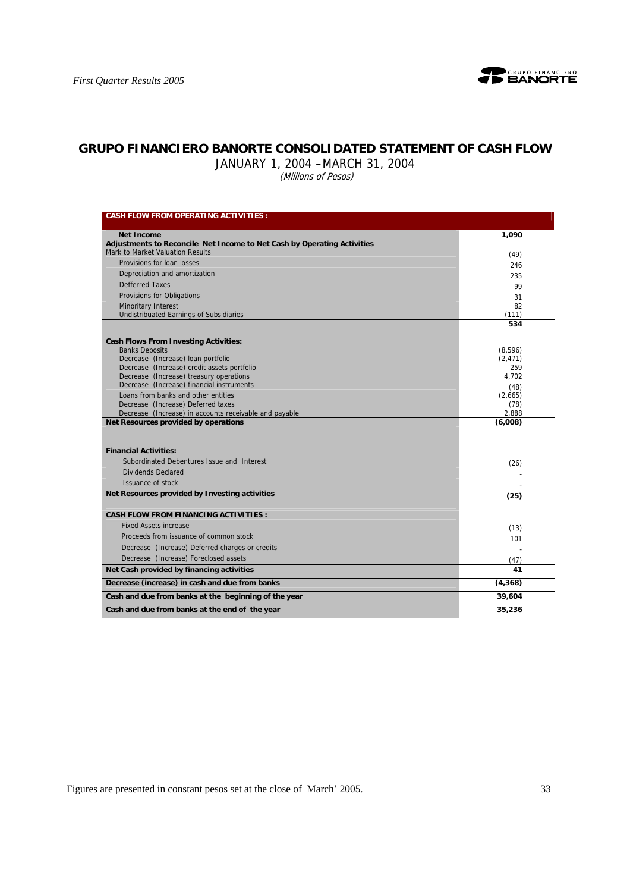

## **GRUPO FINANCIERO BANORTE CONSOLIDATED STATEMENT OF CASH FLOW**

JANUARY 1, 2004 –MARCH 31, 2004

.<br>(Millions of Pesos)

| <b>CASH FLOW FROM OPERATING ACTIVITIES:</b>                                          |                 |
|--------------------------------------------------------------------------------------|-----------------|
| <b>Net Income</b>                                                                    | 1,090           |
| Adjustments to Reconcile Net Income to Net Cash by Operating Activities              |                 |
| Mark to Market Valuation Results                                                     | (49)            |
| Provisions for loan losses                                                           | 246             |
| Depreciation and amortization                                                        | 235             |
| <b>Defferred Taxes</b>                                                               | 99              |
| Provisions for Obligations                                                           | 31              |
| <b>Minoritary Interest</b>                                                           | 82              |
| Undistribuated Earnings of Subsidiaries                                              | (111)           |
|                                                                                      | 534             |
| <b>Cash Flows From Investing Activities:</b>                                         |                 |
| <b>Banks Deposits</b>                                                                | (8,596)         |
| Decrease (Increase) loan portfolio                                                   | (2, 471)        |
| Decrease (Increase) credit assets portfolio                                          | 259             |
| Decrease (Increase) treasury operations<br>Decrease (Increase) financial instruments | 4.702           |
| Loans from banks and other entities                                                  | (48)<br>(2,665) |
| Decrease (Increase) Deferred taxes                                                   | (78)            |
| Decrease (Increase) in accounts receivable and payable                               | 2,888           |
| Net Resources provided by operations                                                 | (6,008)         |
| <b>Financial Activities:</b>                                                         |                 |
| Subordinated Debentures Issue and Interest                                           | (26)            |
| <b>Dividends Declared</b>                                                            |                 |
| Issuance of stock                                                                    |                 |
| Net Resources provided by Investing activities                                       | (25)            |
| <b>CASH FLOW FROM FINANCING ACTIVITIES:</b>                                          |                 |
| <b>Fixed Assets increase</b>                                                         | (13)            |
| Proceeds from issuance of common stock                                               | 101             |
| Decrease (Increase) Deferred charges or credits                                      |                 |
| Decrease (Increase) Foreclosed assets                                                | (47)            |
| Net Cash provided by financing activities                                            | 41              |
| Decrease (increase) in cash and due from banks                                       | (4, 368)        |
| Cash and due from banks at the beginning of the year                                 | 39,604          |
| Cash and due from banks at the end of the year                                       | 35,236          |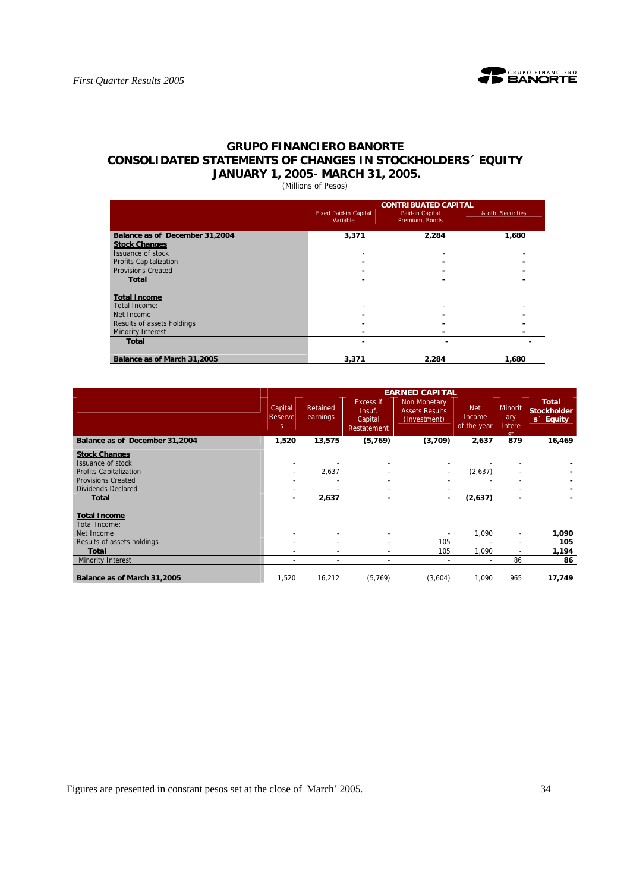

## **GRUPO FINANCIERO BANORTE CONSOLIDATED STATEMENTS OF CHANGES IN STOCKHOLDERS´ EQUITY JANUARY 1, 2005- MARCH 31, 2005.**

(Millions of Pesos)

|                                | <b>CONTRIBUATED CAPITAL</b>  |                 |                   |  |  |  |  |  |
|--------------------------------|------------------------------|-----------------|-------------------|--|--|--|--|--|
|                                | <b>Fixed Paid-in Capital</b> | Paid-in Capital | & oth. Securities |  |  |  |  |  |
|                                | Variable                     | Premium, Bonds  |                   |  |  |  |  |  |
| Balance as of December 31,2004 | 3,371                        | 2,284           | 1,680             |  |  |  |  |  |
| <b>Stock Changes</b>           |                              |                 |                   |  |  |  |  |  |
| Issuance of stock              |                              |                 |                   |  |  |  |  |  |
| Profits Capitalization         |                              |                 |                   |  |  |  |  |  |
| <b>Provisions Created</b>      |                              |                 |                   |  |  |  |  |  |
| Total                          |                              |                 |                   |  |  |  |  |  |
|                                |                              |                 |                   |  |  |  |  |  |
| <b>Total Income</b>            |                              |                 |                   |  |  |  |  |  |
| Total Income:                  |                              |                 |                   |  |  |  |  |  |
| Net Income                     |                              |                 |                   |  |  |  |  |  |
| Results of assets holdings     |                              |                 |                   |  |  |  |  |  |
| Minority Interest              |                              |                 |                   |  |  |  |  |  |
| <b>Total</b>                   |                              |                 |                   |  |  |  |  |  |
|                                |                              |                 |                   |  |  |  |  |  |
| Balance as of March 31,2005    | 3.371                        | 2.284           | 1.680             |  |  |  |  |  |

|                                                                                                                                                      |                                 |                      |                                                      | <b>EARNED CAPITAL</b>                                 |                                     |                                                      |                                                             |
|------------------------------------------------------------------------------------------------------------------------------------------------------|---------------------------------|----------------------|------------------------------------------------------|-------------------------------------------------------|-------------------------------------|------------------------------------------------------|-------------------------------------------------------------|
|                                                                                                                                                      | Capital<br>Reserve<br>$S = \pm$ | Retained<br>earnings | <b>Excess if</b><br>Insuf.<br>Capital<br>Restatement | Non Monetary<br><b>Assets Results</b><br>(Investment) | <b>Net</b><br>Income<br>of the year | <b>Minorit</b><br>ary<br>Intere<br><b>ct</b>         | <b>Total</b><br><b>Stockholder</b><br>s <sup>2</sup> Equity |
| Balance as of December 31,2004                                                                                                                       | 1,520                           | 13,575               | (5,769)                                              | (3,709)                                               | 2,637                               | 879                                                  | 16,469                                                      |
| <b>Stock Changes</b><br>Issuance of stock<br><b>Profits Capitalization</b><br><b>Provisions Created</b><br><b>Dividends Declared</b><br><b>Total</b> |                                 | 2,637<br>2,637       |                                                      |                                                       | (2,637)<br>(2,637)                  | ۰                                                    |                                                             |
| <b>Total Income</b><br>Total Income:<br>Net Income<br>Results of assets holdings                                                                     |                                 | ٠                    | ٠                                                    | $\tilde{\phantom{a}}$<br>105                          | 1,090                               | $\overline{\phantom{a}}$<br>$\overline{\phantom{a}}$ | 1,090<br>105                                                |
| <b>Total</b>                                                                                                                                         |                                 | ٠                    | $\sim$                                               | 105                                                   | 1,090                               |                                                      | 1,194                                                       |
| <b>Minority Interest</b>                                                                                                                             | $\overline{\phantom{a}}$        | ۰                    | $\overline{\phantom{a}}$                             | $\tilde{\phantom{a}}$                                 | $\overline{\phantom{a}}$            | 86                                                   | 86                                                          |
| Balance as of March 31,2005                                                                                                                          | 1,520                           | 16,212               | (5, 769)                                             | (3,604)                                               | 1,090                               | 965                                                  | 17,749                                                      |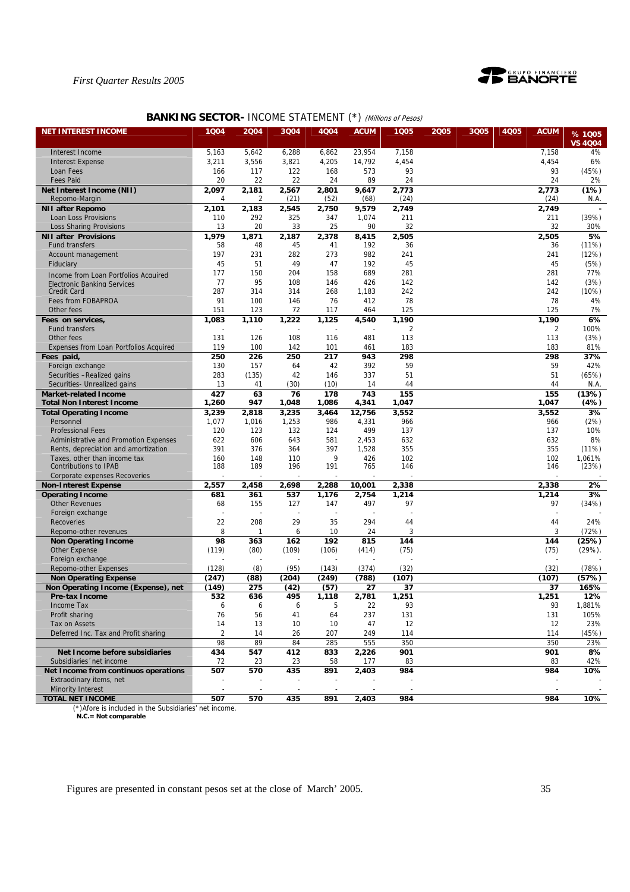

## **BANKING SECTOR- INCOME STATEMENT (\*) (Millions of Pesos)**

| <b>NET INTEREST INCOME</b>                                          | 1Q04           | 2004         | 3Q04          | 4Q04          | <b>ACUM</b> | 1005           | 2005 | 3Q05 | 4Q05 | <b>ACUM</b> | %1005          |
|---------------------------------------------------------------------|----------------|--------------|---------------|---------------|-------------|----------------|------|------|------|-------------|----------------|
|                                                                     |                |              |               |               |             |                |      |      |      |             | <b>VS 4004</b> |
| Interest Income                                                     | 5,163          | 5,642        | 6,288         | 6,862         | 23,954      | 7,158          |      |      |      | 7,158       | 4%             |
| <b>Interest Expense</b>                                             | 3,211          | 3,556        | 3,821         | 4,205         | 14,792      | 4,454          |      |      |      | 4,454       | 6%             |
| Loan Fees                                                           | 166            | 117          | 122           | 168           | 573         | 93             |      |      |      | 93          | (45%)          |
| <b>Fees Paid</b>                                                    | 20             | 22           | 22            | 24            | 89          | 24             |      |      |      | 24          | 2%             |
| Net Interest Income (NII)                                           | 2,097          | 2,181        | 2,567         | 2,801         | 9,647       | 2,773          |      |      |      | 2,773       | (1%)           |
| Repomo-Margin                                                       | 4              | 2            | (21)          | (52)          | (68)        | (24)           |      |      |      | (24)        | N.A.           |
| <b>NII after Repomo</b>                                             | 2,101          | 2,183        | 2,545         | 2,750         | 9,579       | 2,749          |      |      |      | 2,749       |                |
| Loan Loss Provisions                                                | 110            | 292          | 325           | 347           | 1,074       | 211            |      |      |      | 211         | (39%)          |
| Loss Sharing Provisions                                             | 13             | 20           | 33            | 25            | 90          | 32             |      |      |      | 32          | 30%            |
| <b>NII after Provisions</b>                                         | 1,979          | 1,871        | 2,187         | 2,378         | 8,415       | 2,505          |      |      |      | 2,505       | 5%             |
| <b>Fund transfers</b>                                               | 58             | 48           | 45            | 41            | 192         | 36             |      |      |      | 36          | (11%)          |
|                                                                     | 197            | 231          | 282           | 273           | 982         | 241            |      |      |      | 241         | (12%)          |
| Account management<br>Fiduciary                                     | 45             | 51           | 49            | 47            | 192         | 45             |      |      |      | 45          | (5%)           |
|                                                                     | 177            | 150          | 204           | 158           | 689         | 281            |      |      |      | 281         | 77%            |
| Income from Loan Portfolios Acquired                                | 77             | 95           | 108           | 146           | 426         | 142            |      |      |      | 142         | (3%)           |
| Electronic Banking Services<br><b>Credit Card</b>                   | 287            | 314          | 314           | 268           | 1,183       | 242            |      |      |      | 242         | (10%)          |
| Fees from FOBAPROA                                                  | 91             | 100          | 146           | 76            | 412         | 78             |      |      |      | 78          | 4%             |
|                                                                     | 151            |              |               |               |             | 125            |      |      |      | 125         |                |
| Other fees                                                          |                | 123          | 72            | 117           | 464         |                |      |      |      |             | 7%             |
| Fees on services,                                                   | 1,083          | 1,110        | 1,222         | 1,125         | 4,540       | 1,190          |      |      |      | 1,190       | 6%             |
| <b>Fund transfers</b>                                               |                |              |               |               |             | $\overline{2}$ |      |      |      | 2           | 100%           |
| Other fees                                                          | 131            | 126          | 108           | 116           | 481         | 113            |      |      |      | 113         | (3%)           |
| Expenses from Loan Portfolios Acquired                              | 119            | 100          | 142           | 101           | 461         | 183            |      |      |      | 183         | 81%            |
| Fees paid,                                                          | 250            | 226          | 250           | 217           | 943         | 298            |      |      |      | 298         | 37%            |
| Foreign exchange                                                    | 130            | 157          | 64            | 42            | 392         | 59             |      |      |      | 59          | 42%            |
| Securities -Realized gains                                          | 283            | (135)        | 42            | 146           | 337         | 51             |      |      |      | 51          | (65%)          |
| Securities- Unrealized gains                                        | 13             | 41           | (30)          | (10)          | 14          | 44             |      |      |      | 44          | N.A.           |
| <b>Market-related Income</b>                                        | 427            | 63           | 76            | 178           | 743         | 155            |      |      |      | 155         | (13%)          |
| <b>Total Non Interest Income</b>                                    | 1,260          | 947          | 1,048         | 1,086         | 4,341       | 1,047          |      |      |      | 1,047       | (4%)           |
| <b>Total Operating Income</b>                                       | 3,239          | 2,818        | 3,235         | 3,464         | 12,756      | 3,552          |      |      |      | 3,552       | 3%             |
| Personnel                                                           | 1,077          | 1,016        | 1,253         | 986           | 4,331       | 966            |      |      |      | 966         | (2%)           |
| <b>Professional Fees</b>                                            | 120            | 123          | 132           | 124           | 499         | 137            |      |      |      | 137         | 10%            |
| Administrative and Promotion Expenses                               | 622            | 606          | 643           | 581           | 2,453       | 632            |      |      |      | 632         | 8%             |
| Rents, depreciation and amortization                                | 391            | 376          | 364           | 397           | 1,528       | 355            |      |      |      | 355         | (11%)          |
| Taxes, other than income tax<br>Contributions to IPAB               | 160<br>188     | 148<br>189   | 110<br>196    | 9<br>191      | 426<br>765  | 102<br>146     |      |      |      | 102<br>146  | 1,061%         |
|                                                                     |                |              |               |               |             |                |      |      |      |             | (23%)          |
| Corporate expenses Recoveries                                       | 2,557          | 2,458        | 2,698         | 2,288         | 10,001      | 2,338          |      |      |      | 2,338       | 2%             |
| <b>Non-Interest Expense</b>                                         | 681            | 361          | 537           | 1,176         | 2,754       | 1,214          |      |      |      | 1,214       | 3%             |
| <b>Operating Income</b><br><b>Other Revenues</b>                    | 68             | 155          | 127           | 147           | 497         | 97             |      |      |      | 97          | (34%)          |
| Foreign exchange                                                    |                |              |               |               |             |                |      |      |      |             |                |
| Recoveries                                                          | 22             | 208          | 29            | 35            | 294         | 44             |      |      |      | 44          | 24%            |
| Repomo-other revenues                                               | 8              | $\mathbf{1}$ | 6             | 10            | 24          | 3              |      |      |      | 3           | (72%)          |
|                                                                     | 98             | 363          | 162           | 192           | 815         | 144            |      |      |      | 144         | (25%)          |
| <b>Non Operating Income</b><br>Other Expense                        | (119)          | (80)         | (109)         | (106)         | (414)       | (75)           |      |      |      | (75)        | $(29\%)$ .     |
| Foreign exchange                                                    |                |              |               |               |             |                |      |      |      |             |                |
| Repomo-other Expenses                                               | (128)          | (8)          | (95)          | (143)         | (374)       | (32)           |      |      |      | (32)        | (78%)          |
|                                                                     |                |              |               |               |             |                |      |      |      |             |                |
| <b>Non Operating Expense</b><br>Non Operating Income (Expense), net | (247)<br>(149) | (88)<br>275  | (204)<br>(42) | (249)<br>(57) | (788)<br>27 | (107)<br>37    |      |      |      | (107)<br>37 | (57%)<br>165%  |
| Pre-tax Income                                                      | 532            | 636          | 495           | 1,118         | 2,781       | 1,251          |      |      |      | 1,251       | 12%            |
| Income Tax                                                          | 6              | 6            | 6             | 5             | 22          | 93             |      |      |      | 93          | 1,881%         |
| Profit sharing                                                      | 76             | 56           | 41            | 64            | 237         | 131            |      |      |      | 131         | 105%           |
| Tax on Assets                                                       | 14             | 13           | 10            | 10            | 47          | 12             |      |      |      | 12          | 23%            |
| Deferred Inc. Tax and Profit sharing                                | $\overline{2}$ | 14           | 26            | 207           | 249         | 114            |      |      |      | 114         | (45%)          |
|                                                                     | 98             | 89           | 84            | 285           | 555         | 350            |      |      |      | 350         | 23%            |
| Net Income before subsidiaries                                      | 434            | 547          | 412           | 833           | 2,226       | 901            |      |      |      | 901         | 8%             |
| Subsidiaries 'net income                                            | 72             | 23           | 23            | 58            | 177         | 83             |      |      |      | 83          | 42%            |
| Net Income from continuos operations                                | 507            | 570          | 435           | 891           | 2,403       | 984            |      |      |      | 984         | 10%            |
| Extraodinary items, net                                             |                |              |               |               |             |                |      |      |      |             |                |
| <b>Minority Interest</b>                                            |                |              |               |               |             |                |      |      |      |             |                |
| <b>TOTAL NET INCOME</b>                                             | 507            | 570          | 435           | 891           | 2,403       | 984            |      |      |      | 984         | 10%            |
|                                                                     |                |              |               |               |             |                |      |      |      |             |                |

(\*)Afore is included in the Subsidiaries' net income.  **N.C.= Not comparable**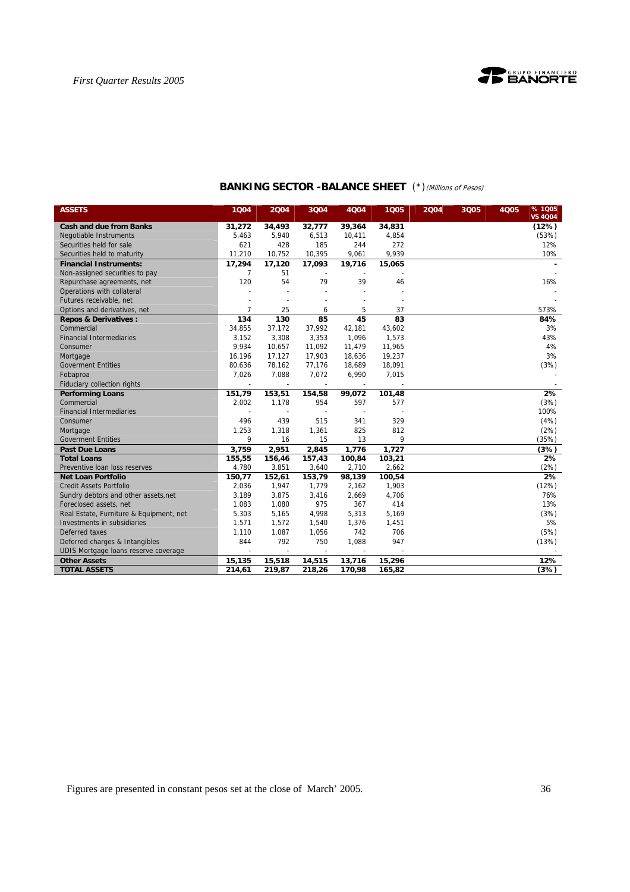

| <b>ASSETS</b>                           | 1Q04           | 2004                     | 3Q04                     | 4Q04                     | 1005   | 2004 | 3Q05 | <b>4Q05</b> | %1005<br><b>VS 4Q04</b> |
|-----------------------------------------|----------------|--------------------------|--------------------------|--------------------------|--------|------|------|-------------|-------------------------|
| <b>Cash and due from Banks</b>          | 31,272         | 34,493                   | 32,777                   | 39,364                   | 34,831 |      |      |             | (12%)                   |
| <b>Negotiable Instruments</b>           | 5,463          | 5,940                    | 6,513                    | 10,411                   | 4,854  |      |      |             | (53%)                   |
| Securities held for sale                | 621            | 428                      | 185                      | 244                      | 272    |      |      |             | 12%                     |
| Securities held to maturity             | 11,210         | 10,752                   | 10,395                   | 9,061                    | 9,939  |      |      |             | 10%                     |
| <b>Financial Instruments:</b>           | 17,294         | 17,120                   | 17,093                   | 19,716                   | 15,065 |      |      |             |                         |
| Non-assigned securities to pay          | 7              | 51                       |                          |                          |        |      |      |             |                         |
| Repurchase agreements, net              | 120            | 54                       | 79                       | 39                       | 46     |      |      |             | 16%                     |
| Operations with collateral              |                |                          |                          |                          |        |      |      |             |                         |
| Futures receivable, net                 |                |                          |                          |                          |        |      |      |             |                         |
| Options and derivatives, net            | $\overline{7}$ | 25                       | 6                        | 5                        | 37     |      |      |             | 573%                    |
| <b>Repos &amp; Derivatives:</b>         | 134            | 130                      | 85                       | 45                       | 83     |      |      |             | 84%                     |
| Commercial                              | 34,855         | 37,172                   | 37,992                   | 42,181                   | 43,602 |      |      |             | 3%                      |
| <b>Financial Intermediaries</b>         | 3,152          | 3,308                    | 3,353                    | 1,096                    | 1,573  |      |      |             | 43%                     |
| Consumer                                | 9,934          | 10,657                   | 11,092                   | 11,479                   | 11,965 |      |      |             | 4%                      |
| Mortgage                                | 16,196         | 17,127                   | 17,903                   | 18,636                   | 19,237 |      |      |             | 3%                      |
| <b>Goverment Entities</b>               | 80,636         | 78,162                   | 77,176                   | 18,689                   | 18,091 |      |      |             | (3%)                    |
| Fobaproa                                | 7,026          | 7,088                    | 7,072                    | 6,990                    | 7,015  |      |      |             |                         |
| Fiduciary collection rights             |                | $\overline{\phantom{a}}$ | $\overline{\phantom{a}}$ | $\overline{\phantom{a}}$ |        |      |      |             |                         |
| <b>Performing Loans</b>                 | 151,79         | 153,51                   | 154,58                   | 99,072                   | 101,48 |      |      |             | 2%                      |
| Commercial                              | 2,002          | 1,178                    | 954                      | 597                      | 577    |      |      |             | (3%)                    |
| <b>Financial Intermediaries</b>         |                |                          |                          |                          |        |      |      |             | 100%                    |
| Consumer                                | 496            | 439                      | 515                      | 341                      | 329    |      |      |             | (4%)                    |
| Mortgage                                | 1,253          | 1,318                    | 1,361                    | 825                      | 812    |      |      |             | (2%)                    |
| <b>Goverment Entities</b>               | 9              | 16                       | 15                       | 13                       | 9      |      |      |             | (35%)                   |
| <b>Past Due Loans</b>                   | 3,759          | 2,951                    | 2,845                    | 1,776                    | 1,727  |      |      |             | (3%)                    |
| <b>Total Loans</b>                      | 155,55         | 156,46                   | 157,43                   | 100,84                   | 103,21 |      |      |             | 2%                      |
| Preventive loan loss reserves           | 4,780          | 3,851                    | 3,640                    | 2,710                    | 2,662  |      |      |             | (2%)                    |
| <b>Net Loan Portfolio</b>               | 150,77         | 152,61                   | 153,79                   | 98,139                   | 100,54 |      |      |             | 2%                      |
| <b>Credit Assets Portfolio</b>          | 2,036          | 1,947                    | 1,779                    | 2,162                    | 1,903  |      |      |             | (12%)                   |
| Sundry debtors and other assets, net    | 3,189          | 3,875                    | 3,416                    | 2,669                    | 4,706  |      |      |             | 76%                     |
| Foreclosed assets, net                  | 1,083          | 1,080                    | 975                      | 367                      | 414    |      |      |             | 13%                     |
| Real Estate, Furniture & Equipment, net | 5,303          | 5,165                    | 4,998                    | 5,313                    | 5,169  |      |      |             | (3%)                    |
| Investments in subsidiaries             | 1,571          | 1,572                    | 1,540                    | 1,376                    | 1,451  |      |      |             | 5%                      |
| Deferred taxes                          | 1,110          | 1,087                    | 1,056                    | 742                      | 706    |      |      |             | (5%)                    |
| Deferred charges & Intangibles          | 844            | 792                      | 750                      | 1,088                    | 947    |      |      |             | (13%)                   |
| UDIS Mortgage loans reserve coverage    |                |                          |                          |                          |        |      |      |             |                         |
| <b>Other Assets</b>                     | 15,135         | 15,518                   | 14,515                   | 13,716                   | 15,296 |      |      |             | 12%                     |
| <b>TOTAL ASSETS</b>                     | 214,61         | 219,87                   | 218,26                   | 170,98                   | 165,82 |      |      |             | (3%)                    |

## **BANKING SECTOR -BALANCE SHEET** (\*)(Millions of Pesos)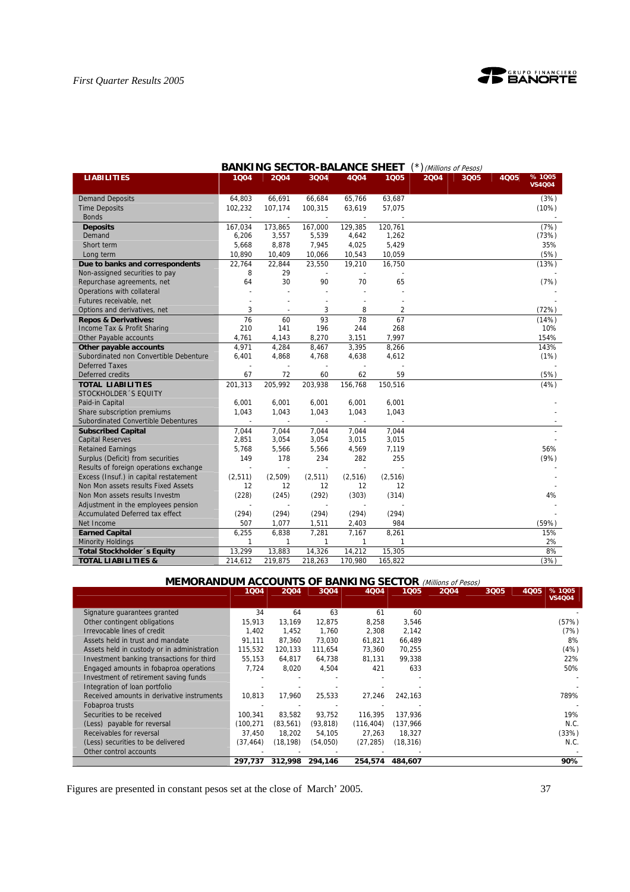

|                                        | DAI            | uw                     | <b>JLVIUR-DALAIVUL</b>   |                | <b>JULLI</b> |      | J ( <i>Willions of Pesos)</i> |      |                        |
|----------------------------------------|----------------|------------------------|--------------------------|----------------|--------------|------|-------------------------------|------|------------------------|
| <b>LIABILITIES</b>                     | 1004           | 2004                   | 3Q04                     | 4Q04           | 1005         | 2004 | 3Q05                          | 4Q05 | %1005<br><b>VS4Q04</b> |
| <b>Demand Deposits</b>                 | 64,803         | 66,691                 | 66,684                   | 65,766         | 63,687       |      |                               |      | (3%)                   |
| <b>Time Deposits</b>                   | 102,232        | 107,174                | 100,315                  | 63,619         | 57,075       |      |                               |      | (10%)                  |
| <b>Bonds</b>                           |                |                        |                          |                |              |      |                               |      |                        |
| <b>Deposits</b>                        | 167,034        | 173,865                | 167,000                  | 129,385        | 120,761      |      |                               |      | (7%)                   |
| Demand                                 | 6,206          | 3,557                  | 5,539                    | 4,642          | 1,262        |      |                               |      | (73%)                  |
| Short term                             | 5,668          | 8,878                  | 7,945                    | 4,025          | 5,429        |      |                               |      | 35%                    |
| Long term                              | 10,890         | 10,409                 | 10,066                   | 10,543         | 10,059       |      |                               |      | (5%)                   |
| Due to banks and correspondents        | 22,764         | 22,844                 | 23,550                   | 19,210         | 16,750       |      |                               |      | (13%)                  |
| Non-assigned securities to pay         | 8              | 29                     |                          |                |              |      |                               |      |                        |
| Repurchase agreements, net             | 64             | 30                     | 90                       | 70             | 65           |      |                               |      | (7%)                   |
| Operations with collateral             |                |                        |                          |                |              |      |                               |      |                        |
| Futures receivable, net                |                |                        |                          |                |              |      |                               |      |                        |
| Options and derivatives, net           | 3              |                        | 3                        | 8              | 2            |      |                               |      | (72%)                  |
| <b>Repos &amp; Derivatives:</b>        | 76             | 60                     | 93                       | 78             | 67           |      |                               |      | (14%)                  |
| Income Tax & Profit Sharing            | 210            | 141                    | 196                      | 244            | 268          |      |                               |      | 10%                    |
| Other Payable accounts                 | 4,761          | 4,143                  | 8,270                    | 3,151          | 7,997        |      |                               |      | 154%                   |
| Other payable accounts                 | 4,971          | 4,284                  | 8,467                    | 3,395          | 8,266        |      |                               |      | 143%                   |
| Subordinated non Convertible Debenture | 6,401          | 4,868                  | 4,768                    | 4,638          | 4,612        |      |                               |      | (1%)                   |
| <b>Deferred Taxes</b>                  |                |                        |                          |                |              |      |                               |      |                        |
| Deferred credits                       | 67             | 72                     | 60                       | 62             | 59           |      |                               |      | (5%)                   |
| <b>TOTAL LIABILITIES</b>               | 201,313        | 205,992                | 203,938                  | 156,768        | 150,516      |      |                               |      | (4%)                   |
| STOCKHOLDER 'S EQUITY                  |                |                        |                          |                |              |      |                               |      |                        |
| Paid-in Capital                        | 6,001          | 6,001                  | 6,001                    | 6,001          | 6,001        |      |                               |      |                        |
| Share subscription premiums            | 1,043          | 1.043                  | 1.043                    | 1,043          | 1,043        |      |                               |      |                        |
| Subordinated Convertible Debentures    | $\overline{a}$ | $\sim$                 | $\overline{\phantom{a}}$ | $\sim$         |              |      |                               |      |                        |
| <b>Subscribed Capital</b>              | 7,044          | 7,044                  | 7,044                    | 7,044          | 7,044        |      |                               |      |                        |
| <b>Capital Reserves</b>                | 2,851          | 3,054                  | 3,054                    | 3,015          | 3,015        |      |                               |      |                        |
| <b>Retained Earnings</b>               | 5,768          | 5,566                  | 5,566                    | 4,569          | 7,119        |      |                               |      | 56%                    |
| Surplus (Deficit) from securities      | 149            | 178                    | 234                      | 282            | 255          |      |                               |      | (9%)                   |
| Results of foreign operations exchange | $\overline{a}$ |                        |                          | $\overline{a}$ |              |      |                               |      |                        |
| Excess (Insuf.) in capital restatement | (2, 511)       | (2,509)                | (2, 511)                 | (2, 516)       | (2,516)      |      |                               |      |                        |
| Non Mon assets results Fixed Assets    | 12             | 12                     | 12                       | 12             | 12           |      |                               |      |                        |
| Non Mon assets results Investm         | (228)          | (245)                  | (292)                    | (303)          | (314)        |      |                               |      | 4%                     |
| Adjustment in the employees pension    |                |                        |                          |                |              |      |                               |      |                        |
| Accumulated Deferred tax effect        | (294)          | (294)                  | (294)                    | (294)          | (294)        |      |                               |      |                        |
| Net Income                             | 507            | 1,077                  | 1,511                    | 2,403          | 984          |      |                               |      | (59%)                  |
| <b>Earned Capital</b>                  | 6,255          | 6,838                  | 7,281                    | 7,167          | 8,261        |      |                               |      | 15%<br>2%              |
| <b>Minority Holdings</b>               | 1<br>13,299    | $\mathbf{1}$<br>13,883 | 1<br>14,326              | 1<br>14,212    | 1<br>15,305  |      |                               |      | 8%                     |
| Total Stockholder 's Equity            |                |                        |                          |                |              |      |                               |      |                        |
| <b>TOTAL LIABILITIES &amp;</b>         | 214,612        | 219,875                | 218,263                  | 170,980        | 165,822      |      |                               |      | (3%)                   |

## **BANKING SECTOR-BALANCE SHEET** (\*) (Millions of Pesos)

## **MEMORANDUM ACCOUNTS OF BANKING SECTOR** (Millions of Pesos)

|                                             | 1004       | 2004      | 3004      | 4004       | 1Q05       | 2004 | 3Q05 | 4Q05 | % 1005        |
|---------------------------------------------|------------|-----------|-----------|------------|------------|------|------|------|---------------|
|                                             |            |           |           |            |            |      |      |      | <b>VS4Q04</b> |
| Signature guarantees granted                | 34         | 64        | 63        | 61         | 60         |      |      |      |               |
| Other contingent obligations                | 15,913     | 13,169    | 12,875    | 8,258      | 3,546      |      |      |      | (57%)         |
| Irrevocable lines of credit                 | 1.402      | 1.452     | 1.760     | 2,308      | 2.142      |      |      |      | (7%)          |
| Assets held in trust and mandate            | 91,111     | 87.360    | 73.030    | 61,821     | 66,489     |      |      |      | 8%            |
| Assets held in custody or in administration | 115.532    | 120.133   | 111.654   | 73,360     | 70,255     |      |      |      | (4%)          |
| Investment banking transactions for third   | 55,153     | 64,817    | 64,738    | 81,131     | 99,338     |      |      |      | 22%           |
| Engaged amounts in fobaproa operations      | 7,724      | 8,020     | 4,504     | 421        | 633        |      |      |      | 50%           |
| Investment of retirement saving funds       |            |           |           |            |            |      |      |      |               |
| Integration of loan portfolio               |            |           |           |            |            |      |      |      |               |
| Received amounts in derivative instruments  | 10,813     | 17.960    | 25,533    | 27,246     | 242,163    |      |      |      | 789%          |
| Fobaproa trusts                             |            |           |           |            |            |      |      |      |               |
| Securities to be received                   | 100.341    | 83,582    | 93.752    | 116.395    | 137,936    |      |      |      | 19%           |
| (Less) payable for reversal                 | (100, 271) | (83, 561) | (93, 818) | (116, 404) | (137, 966) |      |      |      | N.C.          |
| Receivables for reversal                    | 37.450     | 18.202    | 54.105    | 27,263     | 18,327     |      |      |      | (33%)         |
| (Less) securities to be delivered           | (37,464)   | (18,198)  | (54,050)  | (27, 285)  | (18, 316)  |      |      |      | N.C.          |
| Other control accounts                      |            |           |           |            |            |      |      |      |               |
|                                             | 297,737    | 312,998   | 294,146   | 254,574    | 484,607    |      |      |      | 90%           |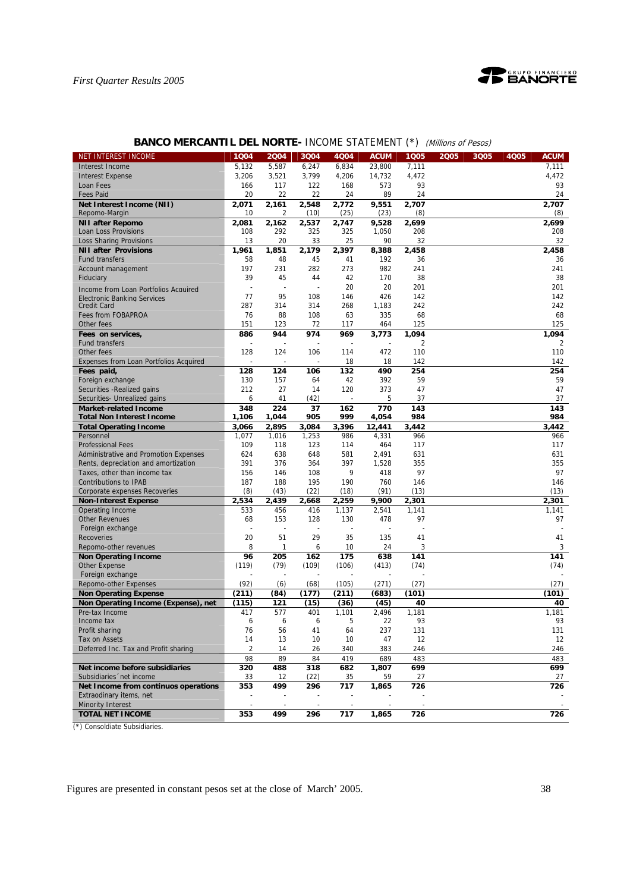

| NET INTEREST INCOME                                          | 1004       | 2004           | 3Q04           | 4Q04           | <b>ACUM</b>      | 1Q05      | <b>ACUM</b><br>2005<br>3Q05<br><b>4Q05</b> |
|--------------------------------------------------------------|------------|----------------|----------------|----------------|------------------|-----------|--------------------------------------------|
|                                                              | 5,132      |                |                |                |                  | 7,111     | 7,111                                      |
| Interest Income                                              | 3,206      | 5,587<br>3,521 | 6,247<br>3,799 | 6,834<br>4,206 | 23,800<br>14,732 | 4,472     | 4,472                                      |
| <b>Interest Expense</b><br>Loan Fees                         | 166        | 117            | 122            | 168            | 573              | 93        | 93                                         |
| <b>Fees Paid</b>                                             | 20         | 22             | 22             | 24             | 89               | 24        | 24                                         |
| Net Interest Income (NII)                                    | 2,071      | 2,161          | 2,548          | 2,772          | 9,551            | 2,707     | 2,707                                      |
| Repomo-Margin                                                | 10         | 2              | (10)           | (25)           | (23)             | (8)       | (8)                                        |
| <b>NII after Repomo</b>                                      | 2,081      | 2,162          | 2,537          | 2,747          | 9,528            | 2,699     | 2,699                                      |
| Loan Loss Provisions                                         | 108        | 292            | 325            | 325            | 1,050            | 208       | 208                                        |
| <b>Loss Sharing Provisions</b>                               | 13         | 20             | 33             | 25             | 90               | 32        | 32                                         |
| <b>NII after Provisions</b>                                  | 1,961      | 1,851          | 2,179          | 2,397          | 8,388            | 2,458     | 2,458                                      |
| <b>Fund transfers</b>                                        | 58         | 48             | 45             | 41             | 192              | 36        | 36                                         |
| Account management                                           | 197        | 231            | 282            | 273            | 982              | 241       | 241                                        |
| Fiduciary                                                    | 39         | 45             | 44             | 42             | 170              | 38        | 38                                         |
| Income from Loan Portfolios Acquired                         |            |                |                | 20             | 20               | 201       | 201                                        |
| <b>Electronic Banking Services</b>                           | 77         | 95             | 108            | 146            | 426              | 142       | 142                                        |
| Credit Card                                                  | 287        | 314            | 314            | 268            | 1,183            | 242       | 242                                        |
| Fees from FOBAPROA                                           | 76         | 88             | 108            | 63             | 335              | 68        | 68                                         |
| Other fees                                                   | 151        | 123            | 72             | 117            | 464              | 125       | 125                                        |
| Fees on services,                                            | 886        | 944            | 974            | 969            | 3,773            | 1,094     | 1,094                                      |
| <b>Fund transfers</b>                                        |            |                |                |                |                  | 2         | 2                                          |
| Other fees                                                   | 128        | 124            | 106            | 114            | 472              | 110       | 110                                        |
| Expenses from Loan Portfolios Acquired                       |            |                |                | 18             | 18               | 142       | 142                                        |
| Fees paid,                                                   | 128        | 124<br>157     | 106            | 132            | 490<br>392       | 254<br>59 | 254<br>59                                  |
| Foreign exchange                                             | 130<br>212 | 27             | 64<br>14       | 42<br>120      | 373              | 47        | 47                                         |
| Securities - Realized gains                                  | 6          | 41             | (42)           |                | 5                | 37        | 37                                         |
| Securities- Unrealized gains<br><b>Market-related Income</b> | 348        | 224            | 37             | 162            | 770              | 143       | 143                                        |
| <b>Total Non Interest Income</b>                             | 1,106      | 1,044          | 905            | 999            | 4,054            | 984       | 984                                        |
| <b>Total Operating Income</b>                                | 3,066      | 2,895          | 3,084          | 3,396          | 12,441           | 3,442     | 3,442                                      |
| Personnel                                                    | 1,077      | 1,016          | 1,253          | 986            | 4,331            | 966       | 966                                        |
| <b>Professional Fees</b>                                     | 109        | 118            | 123            | 114            | 464              | 117       | 117                                        |
| Administrative and Promotion Expenses                        | 624        | 638            | 648            | 581            | 2,491            | 631       | 631                                        |
| Rents, depreciation and amortization                         | 391        | 376            | 364            | 397            | 1,528            | 355       | 355                                        |
| Taxes, other than income tax                                 | 156        | 146            | 108            | 9              | 418              | 97        | 97                                         |
| <b>Contributions to IPAB</b>                                 | 187        | 188            | 195            | 190            | 760              | 146       | 146                                        |
| Corporate expenses Recoveries                                | (8)        | (43)           | (22)           | (18)           | (91)             | (13)      | (13)                                       |
| <b>Non-Interest Expense</b>                                  | 2,534      | 2,439          | 2,668          | 2,259          | 9,900            | 2,301     | 2,301                                      |
| Operating Income                                             | 533        | 456            | 416            | 1,137          | 2,541            | 1,141     | 1,141                                      |
| <b>Other Revenues</b>                                        | 68         | 153            | 128            | 130            | 478              | 97        | 97                                         |
| Foreign exchange                                             |            |                |                |                |                  |           |                                            |
| <b>Recoveries</b>                                            | 20         | 51             | 29             | 35             | 135              | 41        | 41                                         |
| Repomo-other revenues                                        | 8          | 1              | 6              | 10             | 24               | 3         | 3                                          |
| <b>Non Operating Income</b>                                  | 96         | 205            | 162            | 175            | 638              | 141       | 141                                        |
| <b>Other Expense</b>                                         | (119)      | (79)           | (109)          | (106)          | (413)            | (74)      | (74)                                       |
| Foreign exchange<br>Repomo-other Expenses                    | (92)       | (6)            | (68)           | (105)          | (271)            | (27)      | (27)                                       |
| <b>Non Operating Expense</b>                                 | (211)      | (84)           | (177)          | (211)          | (683)            | (101)     | (101)                                      |
| Non Operating Income (Expense), net                          | (115)      | 121            | (15)           | (36)           | (45)             | 40        | 40                                         |
| Pre-tax Income                                               | 417        | 577            | 401            | 1,101          | 2,496            | 1,181     | 1,181                                      |
| Income tax                                                   | 6          | 6              | 6              |                | 22               | 93        | 93                                         |
| Profit sharing                                               | 76         | 56             | 41             | 64             | 237              | 131       | 131                                        |
| Tax on Assets                                                | 14         | 13             | 10             | 10             | 47               | 12        | 12                                         |
| Deferred Inc. Tax and Profit sharing                         | 2          | 14             | 26             | 340            | 383              | 246       | 246                                        |
|                                                              | 98         | 89             | 84             | 419            | 689              | 483       | 483                                        |
| Net income before subsidiaries                               | 320        | 488            | 318            | 682            | 1,807            | 699       | 699                                        |
| Subsidiaries 'net income                                     | 33         | 12             | (22)           | 35             | 59               | 27        | 27                                         |
| Net Income from continuos operations                         | 353        | 499            | 296            | 717            | 1,865            | 726       | 726                                        |
| Extraodinary items, net                                      |            |                |                |                |                  |           |                                            |
| <b>Minority Interest</b>                                     |            |                |                |                |                  |           |                                            |
| <b>TOTAL NET INCOME</b>                                      | 353        | 499            | 296            | 717            | 1,865            | 726       | 726                                        |
|                                                              |            |                |                |                |                  |           |                                            |

## **BANCO MERCANTIL DEL NORTE- INCOME STATEMENT (\*)** (Millions of Pesos)

(\*) Consoldiate Subsidiaries.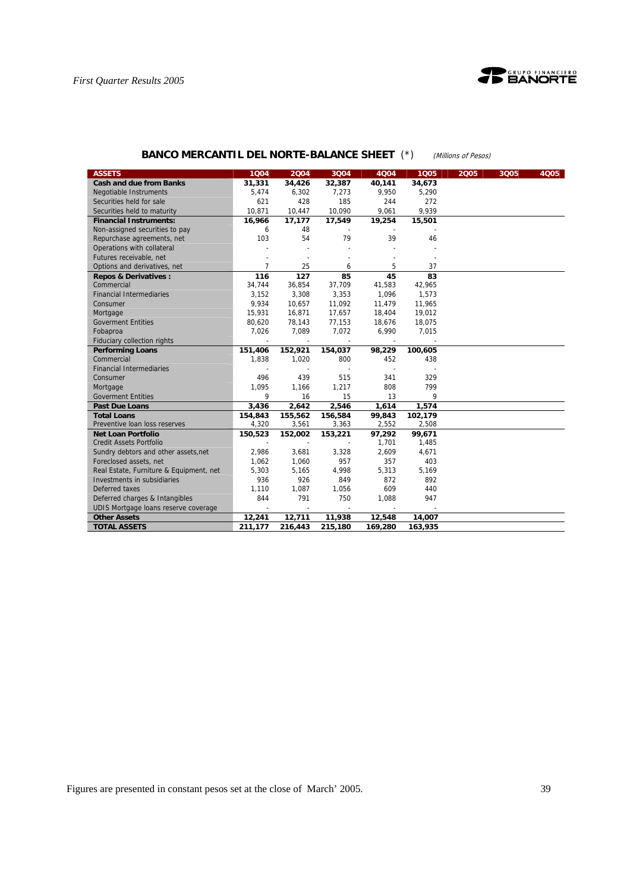



## **BANCO MERCANTIL DEL NORTE-BALANCE SHEET** (\*) (Millions of Pesos)

| <b>ASSETS</b>                           | 1004         | 2004                     | 3Q04                     | 4004    | 1005    | 2005 | 3Q05 | 4Q05 |
|-----------------------------------------|--------------|--------------------------|--------------------------|---------|---------|------|------|------|
| <b>Cash and due from Banks</b>          | 31,331       | 34,426                   | 32,387                   | 40,141  | 34,673  |      |      |      |
| <b>Negotiable Instruments</b>           | 5,474        | 6,302                    | 7,273                    | 9,950   | 5,290   |      |      |      |
| Securities held for sale                | 621          | 428                      | 185                      | 244     | 272     |      |      |      |
| Securities held to maturity             | 10,871       | 10,447                   | 10,090                   | 9,061   | 9,939   |      |      |      |
| <b>Financial Instruments:</b>           | 16,966       | 17,177                   | 17,549                   | 19,254  | 15,501  |      |      |      |
| Non-assigned securities to pay          | 6            | 48                       |                          |         |         |      |      |      |
| Repurchase agreements, net              | 103          | 54                       | 79                       | 39      | 46      |      |      |      |
| Operations with collateral              |              |                          |                          |         |         |      |      |      |
| Futures receivable, net                 |              |                          |                          |         |         |      |      |      |
| Options and derivatives, net            | 7            | 25                       | 6                        | 5       | 37      |      |      |      |
| <b>Repos &amp; Derivatives:</b>         | 116          | 127                      | 85                       | 45      | 83      |      |      |      |
| Commercial                              | 34,744       | 36,854                   | 37,709                   | 41,583  | 42,965  |      |      |      |
| <b>Financial Intermediaries</b>         | 3,152        | 3,308                    | 3,353                    | 1,096   | 1,573   |      |      |      |
| Consumer                                | 9,934        | 10,657                   | 11,092                   | 11,479  | 11,965  |      |      |      |
| Mortgage                                | 15,931       | 16,871                   | 17,657                   | 18,404  | 19,012  |      |      |      |
| <b>Goverment Entities</b>               | 80,620       | 78,143                   | 77,153                   | 18.676  | 18,075  |      |      |      |
| Fobaproa                                | 7,026        | 7,089                    | 7,072                    | 6,990   | 7,015   |      |      |      |
| Fiduciary collection rights             | $\mathbf{r}$ |                          | $\overline{\phantom{a}}$ |         |         |      |      |      |
| <b>Performing Loans</b>                 | 151,406      | 152,921                  | 154,037                  | 98,229  | 100,605 |      |      |      |
| Commercial                              | 1,838        | 1,020                    | 800                      | 452     | 438     |      |      |      |
| <b>Financial Intermediaries</b>         |              |                          |                          |         |         |      |      |      |
| Consumer                                | 496          | 439                      | 515                      | 341     | 329     |      |      |      |
| Mortgage                                | 1,095        | 1.166                    | 1,217                    | 808     | 799     |      |      |      |
| <b>Goverment Entities</b>               | 9            | 16                       | 15                       | 13      | 9       |      |      |      |
| <b>Past Due Loans</b>                   | 3,436        | 2,642                    | 2,546                    | 1,614   | 1,574   |      |      |      |
| <b>Total Loans</b>                      | 154,843      | 155,562                  | 156,584                  | 99,843  | 102,179 |      |      |      |
| Preventive loan loss reserves           | 4,320        | 3,561                    | 3,363                    | 2,552   | 2,508   |      |      |      |
| <b>Net Loan Portfolio</b>               | 150,523      | 152,002                  | 153,221                  | 97,292  | 99,671  |      |      |      |
| <b>Credit Assets Portfolio</b>          | $\sim$       | $\overline{\phantom{a}}$ |                          | 1,701   | 1,485   |      |      |      |
| Sundry debtors and other assets, net    | 2,986        | 3,681                    | 3,328                    | 2,609   | 4,671   |      |      |      |
| Foreclosed assets, net                  | 1,062        | 1,060                    | 957                      | 357     | 403     |      |      |      |
| Real Estate, Furniture & Equipment, net | 5,303        | 5,165                    | 4,998                    | 5,313   | 5,169   |      |      |      |
| Investments in subsidiaries             | 936          | 926                      | 849                      | 872     | 892     |      |      |      |
| Deferred taxes                          | 1,110        | 1,087                    | 1,056                    | 609     | 440     |      |      |      |
| Deferred charges & Intangibles          | 844          | 791                      | 750                      | 1,088   | 947     |      |      |      |
| UDIS Mortgage loans reserve coverage    |              |                          |                          |         |         |      |      |      |
| <b>Other Assets</b>                     | 12,241       | 12,711                   | 11,938                   | 12,548  | 14,007  |      |      |      |
| <b>TOTAL ASSETS</b>                     | 211,177      | 216,443                  | 215,180                  | 169,280 | 163,935 |      |      |      |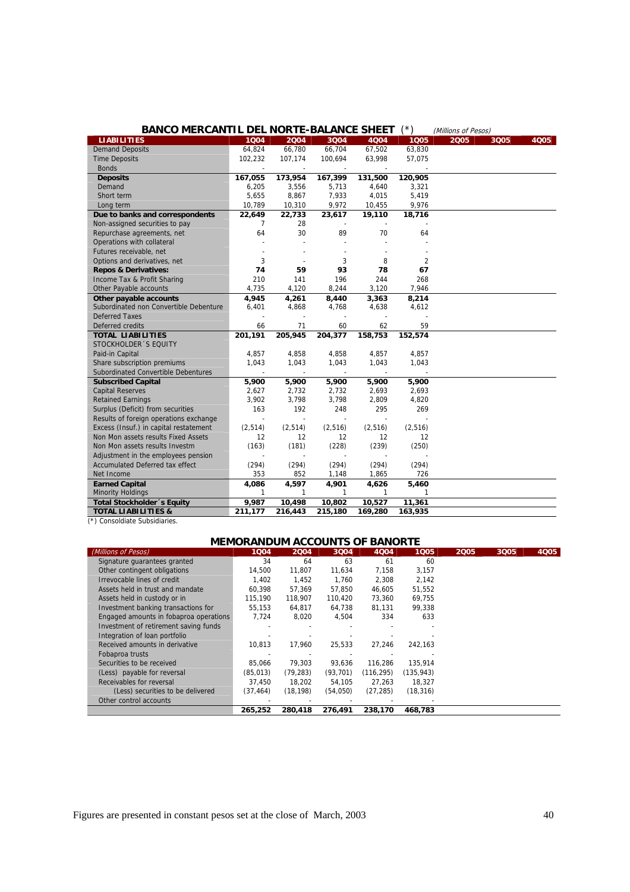| <b>BANCO MERCANTIL DEL NORTE-BALANCE SHEET</b>                 |                          |                          |                          |                          | ′*)            | (Millions of Pesos) |      |      |
|----------------------------------------------------------------|--------------------------|--------------------------|--------------------------|--------------------------|----------------|---------------------|------|------|
| <b>LIABILITIES</b>                                             | 1004                     | 2004                     | 3004                     | 4004                     | 1005           | 2005                | 3Q05 | 4Q05 |
| <b>Demand Deposits</b>                                         | 64,824                   | 66,780                   | 66,704                   | 67,502                   | 63,830         |                     |      |      |
| <b>Time Deposits</b>                                           | 102,232                  | 107,174                  | 100,694                  | 63,998                   | 57,075         |                     |      |      |
| <b>Bonds</b>                                                   | $\overline{\phantom{a}}$ | $\overline{\phantom{a}}$ | $\overline{\phantom{a}}$ | $\overline{\phantom{a}}$ |                |                     |      |      |
| <b>Deposits</b>                                                | 167,055                  | 173,954                  | 167,399                  | 131,500                  | 120,905        |                     |      |      |
| Demand                                                         | 6,205                    | 3,556                    | 5,713                    | 4,640                    | 3,321          |                     |      |      |
| Short term                                                     | 5,655                    | 8,867                    | 7,933                    | 4,015                    | 5,419          |                     |      |      |
| Long term                                                      | 10,789                   | 10,310                   | 9,972                    | 10,455                   | 9,976          |                     |      |      |
| Due to banks and correspondents                                | 22,649                   | 22,733                   | 23,617                   | 19,110                   | 18,716         |                     |      |      |
| Non-assigned securities to pay                                 | $\overline{7}$           | 28                       |                          |                          |                |                     |      |      |
| Repurchase agreements, net                                     | 64                       | 30                       | 89                       | 70                       | 64             |                     |      |      |
| Operations with collateral                                     |                          |                          |                          |                          |                |                     |      |      |
| Futures receivable, net                                        |                          |                          |                          |                          |                |                     |      |      |
| Options and derivatives, net                                   | 3                        |                          | 3                        | 8                        | $\overline{2}$ |                     |      |      |
| <b>Repos &amp; Derivatives:</b>                                | 74                       | 59                       | 93                       | 78                       | 67             |                     |      |      |
| Income Tax & Profit Sharing                                    | 210                      | 141                      | 196                      | 244                      | 268            |                     |      |      |
| Other Payable accounts                                         | 4,735                    | 4,120                    | 8,244                    | 3,120                    | 7,946          |                     |      |      |
| Other payable accounts                                         | 4,945                    | 4,261                    | 8,440                    | 3,363                    | 8,214          |                     |      |      |
| Subordinated non Convertible Debenture                         | 6,401                    | 4,868                    | 4,768                    | 4,638                    | 4,612          |                     |      |      |
| <b>Deferred Taxes</b>                                          |                          |                          |                          | $\blacksquare$           |                |                     |      |      |
| Deferred credits                                               | 66                       | 71                       | 60                       | 62                       | 59             |                     |      |      |
| <b>TOTAL LIABILITIES</b>                                       | 201,191                  | 205,945                  | 204,377                  | 158,753                  | 152,574        |                     |      |      |
| STOCKHOLDER 'S EQUITY                                          |                          |                          |                          |                          |                |                     |      |      |
| Paid-in Capital                                                | 4,857                    | 4,858                    | 4,858                    | 4,857                    | 4,857          |                     |      |      |
| Share subscription premiums                                    | 1,043                    | 1,043                    | 1,043                    | 1,043                    | 1,043          |                     |      |      |
| Subordinated Convertible Debentures                            |                          |                          | $\overline{\phantom{a}}$ |                          |                |                     |      |      |
| <b>Subscribed Capital</b>                                      | 5,900                    | 5,900                    | 5,900                    | 5,900                    | 5,900          |                     |      |      |
| <b>Capital Reserves</b>                                        | 2,627                    | 2,732                    | 2,732                    | 2,693                    | 2,693          |                     |      |      |
| <b>Retained Earnings</b>                                       | 3,902                    | 3,798                    | 3,798                    | 2,809                    | 4,820          |                     |      |      |
| Surplus (Deficit) from securities                              | 163                      | 192                      | 248                      | 295                      | 269            |                     |      |      |
| Results of foreign operations exchange                         | $\overline{\phantom{a}}$ | $\overline{a}$           | $\sim$                   | $\sim$                   |                |                     |      |      |
| Excess (Insuf.) in capital restatement                         | (2, 514)                 | (2, 514)                 | (2, 516)                 | (2, 516)                 | (2, 516)       |                     |      |      |
| Non Mon assets results Fixed Assets                            | 12                       | 12                       | 12                       | 12                       | 12             |                     |      |      |
| Non Mon assets results Investm                                 | (163)                    | (181)                    | (228)                    | (239)                    | (250)          |                     |      |      |
| Adjustment in the employees pension                            |                          |                          | $\overline{\phantom{a}}$ |                          |                |                     |      |      |
| <b>Accumulated Deferred tax effect</b>                         | (294)                    | (294)                    | (294)                    | (294)                    | (294)          |                     |      |      |
| Net Income                                                     | 353                      | 852                      | 1,148                    | 1,865                    | 726            |                     |      |      |
| <b>Earned Capital</b>                                          | 4,086                    | 4,597                    | 4,901                    | 4,626                    | 5,460          |                     |      |      |
| <b>Minority Holdings</b>                                       | 1                        | $\mathbf{1}$             | $\mathbf{1}$             | $\mathbf{1}$             | $\mathbf{1}$   |                     |      |      |
| Total Stockholder 's Equity                                    | 9,987                    | 10,498                   | 10,802                   | 10,527                   | 11,361         |                     |      |      |
| <b>TOTAL LIABILITIES &amp;</b><br>(*) Concoldiato Subcidiarios | 211,177                  | 216,443                  | 215,180                  | 169,280                  | 163,935        |                     |      |      |

|  | (*) Consoldiate Subsidiaries. |
|--|-------------------------------|

| (Millions of Pesos)                    | 1004      | 2004      | 3004      | 4Q04       | 1005       | 2005 | 3Q05 | <b>4Q05</b> |
|----------------------------------------|-----------|-----------|-----------|------------|------------|------|------|-------------|
| Signature quarantees granted           | 34        | 64        | 63        | 61         | 60         |      |      |             |
| Other contingent obligations           | 14,500    | 11,807    | 11,634    | 7,158      | 3,157      |      |      |             |
| Irrevocable lines of credit            | 1.402     | 1.452     | 1.760     | 2,308      | 2.142      |      |      |             |
| Assets held in trust and mandate       | 60.398    | 57.369    | 57.850    | 46.605     | 51,552     |      |      |             |
| Assets held in custody or in           | 115.190   | 118,907   | 110,420   | 73,360     | 69,755     |      |      |             |
| Investment banking transactions for    | 55.153    | 64.817    | 64.738    | 81.131     | 99.338     |      |      |             |
| Engaged amounts in fobaproa operations | 7.724     | 8,020     | 4,504     | 334        | 633        |      |      |             |
| Investment of retirement saving funds  |           |           |           |            |            |      |      |             |
| Integration of loan portfolio          |           |           |           |            |            |      |      |             |
| Received amounts in derivative         | 10,813    | 17,960    | 25,533    | 27,246     | 242,163    |      |      |             |
| Fobaproa trusts                        |           |           |           |            |            |      |      |             |
| Securities to be received              | 85,066    | 79.303    | 93,636    | 116.286    | 135,914    |      |      |             |
| (Less) payable for reversal            | (85, 013) | (79, 283) | (93, 701) | (116, 295) | (135, 943) |      |      |             |
| Receivables for reversal               | 37.450    | 18.202    | 54.105    | 27.263     | 18.327     |      |      |             |
| (Less) securities to be delivered      | (37,464)  | (18, 198) | (54,050)  | (27, 285)  | (18, 316)  |      |      |             |
| Other control accounts                 |           |           |           |            |            |      |      |             |

**265,252 280,418 276,491 238,170 468,783**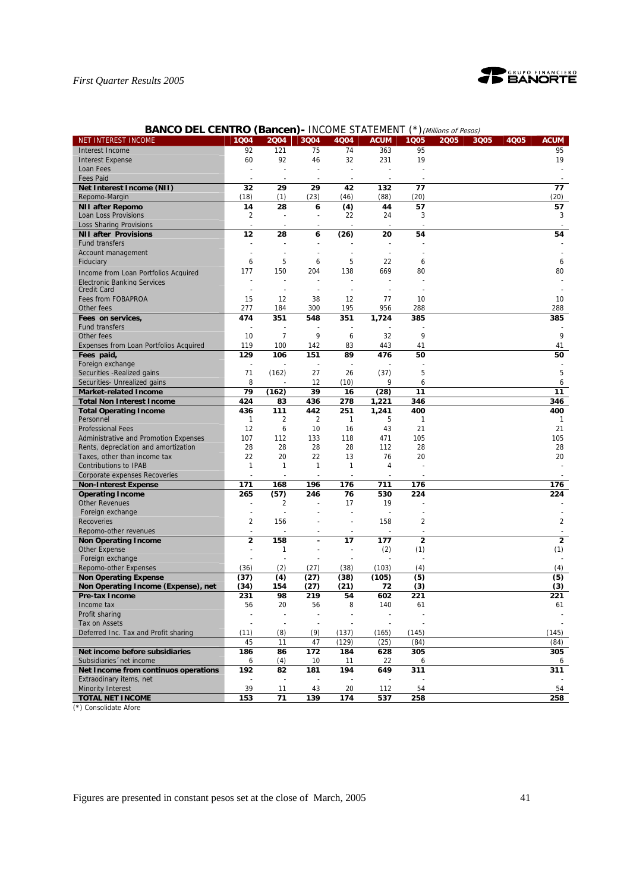

| <b>BANCO DEL CENTRO (Bancen) - INCOME STATEMENT (*) (Millions of Pesos)</b> |  |  |  |  |
|-----------------------------------------------------------------------------|--|--|--|--|
|-----------------------------------------------------------------------------|--|--|--|--|

| <b>NET INTEREST INCOME</b>                                      | 1Q04                    | 2004           | 3Q04                     | 4Q04                     | <b>ACUM</b> | 1Q05           | 2005 | 3Q05 | 4Q05 | <b>ACUM</b>    |
|-----------------------------------------------------------------|-------------------------|----------------|--------------------------|--------------------------|-------------|----------------|------|------|------|----------------|
| Interest Income                                                 | 92                      | 121            | 75                       | 74                       | 363         | 95             |      |      |      | 95             |
| <b>Interest Expense</b>                                         | 60                      | 92             | 46                       | 32                       | 231         | 19             |      |      |      | 19             |
| Loan Fees                                                       |                         |                |                          |                          |             |                |      |      |      |                |
| <b>Fees Paid</b>                                                |                         |                |                          | ÷                        |             |                |      |      |      |                |
| Net Interest Income (NII)                                       | 32                      | 29             | 29                       | 42                       | 132         | 77             |      |      |      | 77             |
| Repomo-Margin                                                   | (18)                    | (1)            | (23)                     | (46)                     | (88)        | (20)           |      |      |      | (20)           |
| <b>NII after Repomo</b>                                         | 14                      | 28             | 6                        | (4)                      | 44          | 57             |      |      |      | 57             |
| Loan Loss Provisions                                            | $\overline{\mathbf{c}}$ |                |                          | 22                       | 24          | 3              |      |      |      | 3              |
| <b>Loss Sharing Provisions</b>                                  |                         |                |                          |                          |             |                |      |      |      |                |
| <b>NII after Provisions</b>                                     | 12                      | 28             | 6                        | (26)                     | 20          | 54             |      |      |      | 54             |
| <b>Fund transfers</b>                                           | ä,                      |                |                          |                          |             |                |      |      |      |                |
| Account management                                              | ä,                      |                |                          |                          |             |                |      |      |      |                |
| Fiduciary                                                       | 6                       | 5              | 6                        | 5                        | 22          | 6              |      |      |      | 6              |
|                                                                 | 177                     | 150            | 204                      | 138                      | 669         | 80             |      |      |      | 80             |
| Income from Loan Portfolios Acquired                            |                         |                |                          |                          |             |                |      |      |      |                |
| Electronic Banking Services<br><b>Credit Card</b>               |                         |                |                          |                          |             |                |      |      |      |                |
| Fees from FOBAPROA                                              | 15                      | 12             | 38                       | 12                       | 77          | 10             |      |      |      | 10             |
| Other fees                                                      | 277                     | 184            | 300                      | 195                      | 956         | 288            |      |      |      | 288            |
|                                                                 |                         |                |                          |                          |             |                |      |      |      |                |
| Fees on services,                                               | 474                     | 351            | 548                      | 351                      | 1,724       | 385            |      |      |      | 385            |
| <b>Fund transfers</b>                                           |                         |                |                          |                          |             |                |      |      |      |                |
| Other fees                                                      | 10                      | $\overline{7}$ | 9                        | 6                        | 32          | 9              |      |      |      | 9              |
| Expenses from Loan Portfolios Acquired                          | 119                     | 100            | 142                      | 83                       | 443         | 41             |      |      |      | 41             |
| Fees paid,                                                      | 129                     | 106            | 151                      | 89                       | 476         | 50             |      |      |      | 50             |
| Foreign exchange                                                | ÷,                      |                | ÷,                       |                          |             |                |      |      |      |                |
| Securities - Realized gains                                     | 71                      | (162)          | 27                       | 26                       | (37)        | 5              |      |      |      | 5              |
| Securities- Unrealized gains                                    | 8                       |                | 12                       | (10)                     | 9           | 6              |      |      |      | 6              |
| <b>Market-related Income</b>                                    | 79                      | (162)          | 39                       | 16                       | (28)        | 11             |      |      |      | 11             |
| <b>Total Non Interest Income</b>                                | 424                     | 83             | 436                      | 278                      | 1,221       | 346            |      |      |      | 346            |
| <b>Total Operating Income</b>                                   | 436                     | 111            | 442                      | 251                      | 1,241       | 400            |      |      |      | 400            |
| Personnel                                                       | 1                       | 2              | 2                        | $\mathbf{1}$             | 5           | $\mathbf{1}$   |      |      |      | -1             |
| <b>Professional Fees</b>                                        | 12                      | 6              | 10                       | 16                       | 43          | 21             |      |      |      | 21             |
| Administrative and Promotion Expenses                           | 107                     | 112            | 133                      | 118                      | 471         | 105            |      |      |      | 105            |
| Rents, depreciation and amortization                            | 28                      | 28             | 28                       | 28                       | 112         | 28             |      |      |      | 28             |
| Taxes, other than income tax                                    | 22                      | 20             | 22                       | 13                       | 76          | 20             |      |      |      | 20             |
| <b>Contributions to IPAB</b>                                    | 1                       | $\mathbf{1}$   | $\mathbf{1}$             | 1                        | 4           |                |      |      |      |                |
| Corporate expenses Recoveries                                   |                         |                |                          |                          |             |                |      |      |      |                |
| <b>Non-Interest Expense</b>                                     | 171                     | 168            | 196                      | 176                      | 711         | 176            |      |      |      | 176            |
| <b>Operating Income</b>                                         | 265                     | (57)           | 246                      | 76                       | 530         | 224            |      |      |      | 224            |
| <b>Other Revenues</b>                                           |                         | 2              |                          | 17                       | 19          |                |      |      |      |                |
| Foreign exchange                                                | ä,                      |                |                          |                          |             |                |      |      |      |                |
| <b>Recoveries</b>                                               | 2                       | 156            |                          |                          | 158         | $\overline{2}$ |      |      |      | $\overline{2}$ |
| Repomo-other revenues                                           | ÷,                      |                | $\blacksquare$           | $\overline{\phantom{a}}$ |             |                |      |      |      |                |
| <b>Non Operating Income</b>                                     | $\overline{2}$          | 158            |                          | 17                       | 177         | $\overline{2}$ |      |      |      | $\overline{2}$ |
| <b>Other Expense</b>                                            | L,                      | 1              | $\overline{\phantom{a}}$ |                          | (2)         | (1)            |      |      |      | (1)            |
| Foreign exchange                                                |                         |                |                          |                          |             |                |      |      |      |                |
| Repomo-other Expenses                                           | (36)                    | (2)            | (27)                     | (38)                     | (103)       | (4)            |      |      |      | (4)            |
| <b>Non Operating Expense</b>                                    | (37)                    | (4)            | (27)                     | (38)                     | (105)       | (5)            |      |      |      | (5)            |
| Non Operating Income (Expense), net                             | (34)                    | 154            | (27)                     | (21)                     | 72          | (3)            |      |      |      | (3)            |
| Pre-tax Income                                                  | 231                     | 98             | 219                      | 54                       | 602         | 221            |      |      |      | 221            |
| Income tax                                                      | 56                      | 20             | 56                       | 8                        | 140         | 61             |      |      |      | 61             |
| Profit sharing                                                  |                         |                |                          |                          |             |                |      |      |      |                |
| Tax on Assets                                                   |                         |                |                          |                          |             |                |      |      |      |                |
| Deferred Inc. Tax and Profit sharing                            | (11)                    | (8)            | (9)                      | (137)                    | (165)       | (145)          |      |      |      | (145)          |
|                                                                 | 45                      | 11             | 47                       | (129)                    | (25)        | (84)           |      |      |      | (84)           |
| Net income before subsidiaries                                  | 186                     | 86             | 172                      | 184                      | 628         | 305            |      |      |      | 305            |
| Subsidiaries 'net income                                        | 6                       | (4)            | 10                       | 11                       | 22          | 6              |      |      |      | 6              |
|                                                                 |                         |                | 181                      | 194                      |             | 311            |      |      |      | 311            |
| Net Income from continuos operations<br>Extraodinary items, net | 192                     | 82             |                          |                          | 649         |                |      |      |      |                |
|                                                                 |                         | 11             |                          |                          |             | 54             |      |      |      | 54             |
| <b>Minority Interest</b>                                        | 39                      |                | 43                       | 20                       | 112         |                |      |      |      |                |
| <b>TOTAL NET INCOME</b>                                         | 153                     | 71             | 139                      | 174                      | 537         | 258            |      |      |      | 258            |

(\*) Consolidate Afore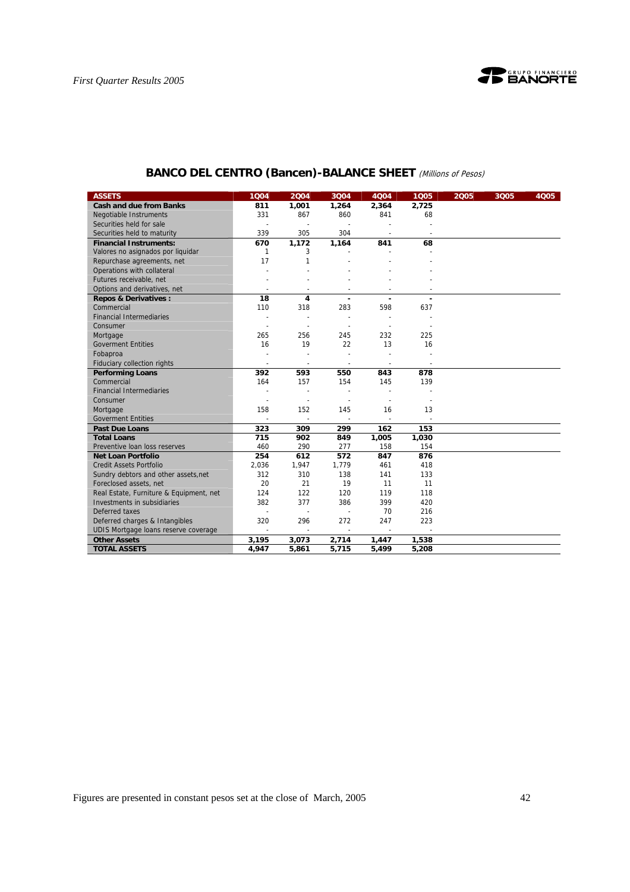

| <b>ASSETS</b>                           | 1004                     | 2004                     | 3Q04           | 4Q04   | 1005                     | 2005 | 3005 | 4Q05 |
|-----------------------------------------|--------------------------|--------------------------|----------------|--------|--------------------------|------|------|------|
| <b>Cash and due from Banks</b>          | 811                      | 1,001                    | 1,264          | 2,364  | 2,725                    |      |      |      |
| <b>Negotiable Instruments</b>           | 331                      | 867                      | 860            | 841    | 68                       |      |      |      |
| Securities held for sale                |                          |                          |                |        |                          |      |      |      |
| Securities held to maturity             | 339                      | 305                      | 304            |        |                          |      |      |      |
| <b>Financial Instruments:</b>           | 670                      | 1.172                    | 1,164          | 841    | 68                       |      |      |      |
| Valores no asignados por liquidar       | 1                        | 3                        |                |        |                          |      |      |      |
| Repurchase agreements, net              | 17                       | 1                        |                |        |                          |      |      |      |
| Operations with collateral              |                          |                          |                |        |                          |      |      |      |
| Futures receivable, net                 |                          |                          |                |        |                          |      |      |      |
| Options and derivatives, net            |                          |                          |                |        |                          |      |      |      |
| <b>Repos &amp; Derivatives:</b>         | 18                       | 4                        | ä,             | ÷      |                          |      |      |      |
| Commercial                              | 110                      | 318                      | 283            | 598    | 637                      |      |      |      |
| <b>Financial Intermediaries</b>         | $\overline{a}$           |                          | $\overline{a}$ |        |                          |      |      |      |
| Consumer                                |                          |                          |                |        |                          |      |      |      |
| Mortgage                                | 265                      | 256                      | 245            | 232    | 225                      |      |      |      |
| <b>Goverment Entities</b>               | 16                       | 19                       | 22             | 13     | 16                       |      |      |      |
| Fobaproa                                |                          |                          | $\overline{a}$ |        |                          |      |      |      |
| Fiduciary collection rights             | $\sim$                   | $\blacksquare$           | $\blacksquare$ | $\sim$ | $\overline{\phantom{a}}$ |      |      |      |
| <b>Performing Loans</b>                 | 392                      | 593                      | 550            | 843    | 878                      |      |      |      |
| Commercial                              | 164                      | 157                      | 154            | 145    | 139                      |      |      |      |
| <b>Financial Intermediaries</b>         |                          |                          |                |        |                          |      |      |      |
| Consumer                                | $\overline{a}$           | ÷,                       | $\overline{a}$ |        |                          |      |      |      |
| Mortgage                                | 158                      | 152                      | 145            | 16     | 13                       |      |      |      |
| <b>Goverment Entities</b>               |                          |                          | $\sim$         |        |                          |      |      |      |
| <b>Past Due Loans</b>                   | 323                      | 309                      | 299            | 162    | 153                      |      |      |      |
| <b>Total Loans</b>                      | 715                      | 902                      | 849            | 1,005  | 1,030                    |      |      |      |
| Preventive loan loss reserves           | 460                      | 290                      | 277            | 158    | 154                      |      |      |      |
| <b>Net Loan Portfolio</b>               | 254                      | 612                      | 572            | 847    | 876                      |      |      |      |
| <b>Credit Assets Portfolio</b>          | 2,036                    | 1,947                    | 1,779          | 461    | 418                      |      |      |      |
| Sundry debtors and other assets, net    | 312                      | 310                      | 138            | 141    | 133                      |      |      |      |
| Foreclosed assets, net                  | 20                       | 21                       | 19             | 11     | 11                       |      |      |      |
| Real Estate, Furniture & Equipment, net | 124                      | 122                      | 120            | 119    | 118                      |      |      |      |
| Investments in subsidiaries             | 382                      | 377                      | 386            | 399    | 420                      |      |      |      |
| Deferred taxes                          | $\overline{\phantom{a}}$ | $\overline{a}$           | $\overline{a}$ | 70     | 216                      |      |      |      |
| Deferred charges & Intangibles          | 320                      | 296                      | 272            | 247    | 223                      |      |      |      |
| UDIS Mortgage loans reserve coverage    | $\blacksquare$           | $\overline{\phantom{a}}$ | $\sim$         |        |                          |      |      |      |
| <b>Other Assets</b>                     | 3,195                    | 3,073                    | 2,714          | 1,447  | 1,538                    |      |      |      |
| <b>TOTAL ASSETS</b>                     | 4,947                    | 5,861                    | 5,715          | 5,499  | 5,208                    |      |      |      |

## **BANCO DEL CENTRO (Bancen)-BALANCE SHEET** (Millions of Pesos)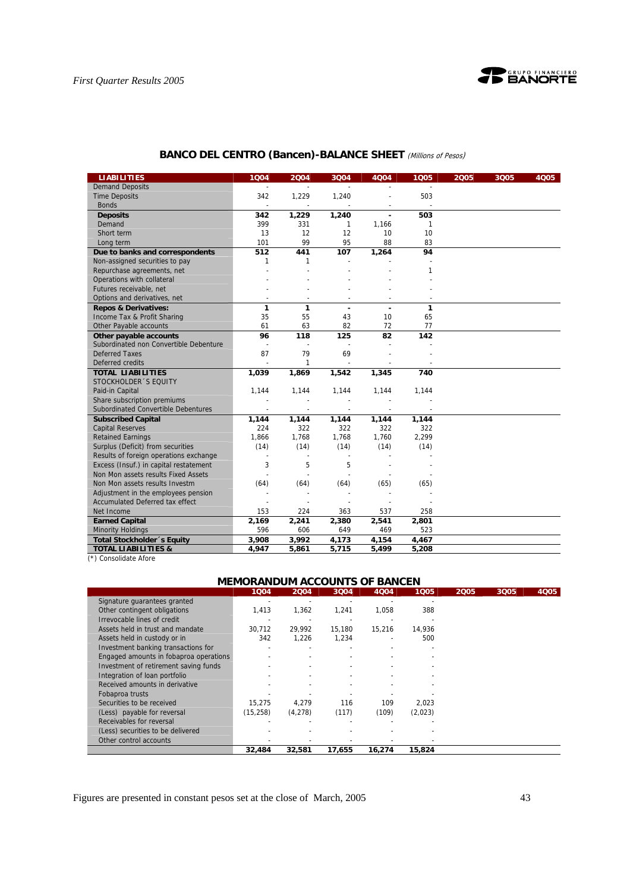

## **BANCO DEL CENTRO (Bancen)-BALANCE SHEET** (Millions of Pesos)

| <b>LIABILITIES</b>                     | 1004           | 2004         | 3Q04                     | 4Q04           | 1Q05  | 2005 | 3Q05 | 4005 |
|----------------------------------------|----------------|--------------|--------------------------|----------------|-------|------|------|------|
| <b>Demand Deposits</b>                 | $\sim$         |              |                          |                |       |      |      |      |
| <b>Time Deposits</b>                   | 342            | 1,229        | 1,240                    |                | 503   |      |      |      |
| <b>Bonds</b>                           | $\blacksquare$ |              |                          |                |       |      |      |      |
| <b>Deposits</b>                        | 342            | 1,229        | 1,240                    | $\blacksquare$ | 503   |      |      |      |
| Demand                                 | 399            | 331          | 1                        | 1.166          | 1     |      |      |      |
| Short term                             | 13             | 12           | 12                       | 10             | 10    |      |      |      |
| Long term                              | 101            | 99           | 95                       | 88             | 83    |      |      |      |
| Due to banks and correspondents        | 512            | 441          | 107                      | 1,264          | 94    |      |      |      |
| Non-assigned securities to pay         | 1              | 1            | $\overline{a}$           |                |       |      |      |      |
| Repurchase agreements, net             |                |              |                          |                | 1     |      |      |      |
| Operations with collateral             |                |              |                          |                |       |      |      |      |
| Futures receivable, net                |                |              |                          |                |       |      |      |      |
| Options and derivatives, net           |                |              |                          |                |       |      |      |      |
| <b>Repos &amp; Derivatives:</b>        | 1              | 1            | $\overline{a}$           | $\blacksquare$ | 1     |      |      |      |
| Income Tax & Profit Sharing            | 35             | 55           | 43                       | 10             | 65    |      |      |      |
| Other Payable accounts                 | 61             | 63           | 82                       | 72             | 77    |      |      |      |
| Other payable accounts                 | 96             | 118          | 125                      | 82             | 142   |      |      |      |
| Subordinated non Convertible Debenture | ÷,             | ÷,           | L.                       |                |       |      |      |      |
| <b>Deferred Taxes</b>                  | 87             | 79           | 69                       |                |       |      |      |      |
| Deferred credits                       |                | $\mathbf{1}$ |                          |                |       |      |      |      |
| <b>TOTAL LIABILITIES</b>               | 1,039          | 1,869        | 1,542                    | 1,345          | 740   |      |      |      |
| STOCKHOLDER 'S EQUITY                  |                |              |                          |                |       |      |      |      |
| Paid-in Capital                        | 1,144          | 1,144        | 1,144                    | 1,144          | 1,144 |      |      |      |
| Share subscription premiums            |                |              |                          |                |       |      |      |      |
| Subordinated Convertible Debentures    |                | $\sim$       | $\overline{\phantom{a}}$ | $\sim$         |       |      |      |      |
| <b>Subscribed Capital</b>              | 1,144          | 1,144        | 1,144                    | 1,144          | 1,144 |      |      |      |
| <b>Capital Reserves</b>                | 224            | 322          | 322                      | 322            | 322   |      |      |      |
| <b>Retained Earnings</b>               | 1,866          | 1,768        | 1,768                    | 1,760          | 2,299 |      |      |      |
| Surplus (Deficit) from securities      | (14)           | (14)         | (14)                     | (14)           | (14)  |      |      |      |
| Results of foreign operations exchange | ÷,             |              | ä,                       |                |       |      |      |      |
| Excess (Insuf.) in capital restatement | 3              | 5            | 5                        |                |       |      |      |      |
| Non Mon assets results Fixed Assets    |                |              |                          |                |       |      |      |      |
| Non Mon assets results Investm         | (64)           | (64)         | (64)                     | (65)           | (65)  |      |      |      |
| Adjustment in the employees pension    |                |              |                          |                |       |      |      |      |
| <b>Accumulated Deferred tax effect</b> |                |              |                          |                |       |      |      |      |
| Net Income                             | 153            | 224          | 363                      | 537            | 258   |      |      |      |
| <b>Earned Capital</b>                  | 2,169          | 2,241        | 2,380                    | 2,541          | 2,801 |      |      |      |
| <b>Minority Holdings</b>               | 596            | 606          | 649                      | 469            | 523   |      |      |      |
| Total Stockholder 's Equity            | 3,908          | 3,992        | 4,173                    | 4,154          | 4,467 |      |      |      |
| <b>TOTAL LIABILITIES &amp;</b>         | 4,947          | 5,861        | 5,715                    | 5,499          | 5,208 |      |      |      |

(\*) Consolidate Afore

## **MEMORANDUM ACCOUNTS OF BANCEN**

|                                        | 1004      | 2004    | 3Q04   | 4Q04   | 1005    | 2005 | 3Q05 | 4Q05 |
|----------------------------------------|-----------|---------|--------|--------|---------|------|------|------|
| Signature quarantees granted           |           |         |        |        |         |      |      |      |
| Other contingent obligations           | 1,413     | 1,362   | 1,241  | 1,058  | 388     |      |      |      |
| Irrevocable lines of credit            |           |         |        |        |         |      |      |      |
| Assets held in trust and mandate       | 30.712    | 29.992  | 15.180 | 15.216 | 14.936  |      |      |      |
| Assets held in custody or in           | 342       | 1,226   | 1.234  |        | 500     |      |      |      |
| Investment banking transactions for    |           |         |        |        |         |      |      |      |
| Engaged amounts in fobaproa operations |           |         |        |        |         |      |      |      |
| Investment of retirement saving funds  |           |         |        |        |         |      |      |      |
| Integration of loan portfolio          |           |         |        |        |         |      |      |      |
| Received amounts in derivative         |           |         |        |        |         |      |      |      |
| Fobaproa trusts                        |           |         |        |        |         |      |      |      |
| Securities to be received              | 15.275    | 4.279   | 116    | 109    | 2.023   |      |      |      |
| (Less) payable for reversal            | (15, 258) | (4,278) | (117)  | (109)  | (2,023) |      |      |      |
| Receivables for reversal               |           |         |        |        |         |      |      |      |
| (Less) securities to be delivered      |           |         |        |        |         |      |      |      |
| Other control accounts                 |           |         |        |        |         |      |      |      |
|                                        | 32,484    | 32,581  | 17.655 | 16.274 | 15,824  |      |      |      |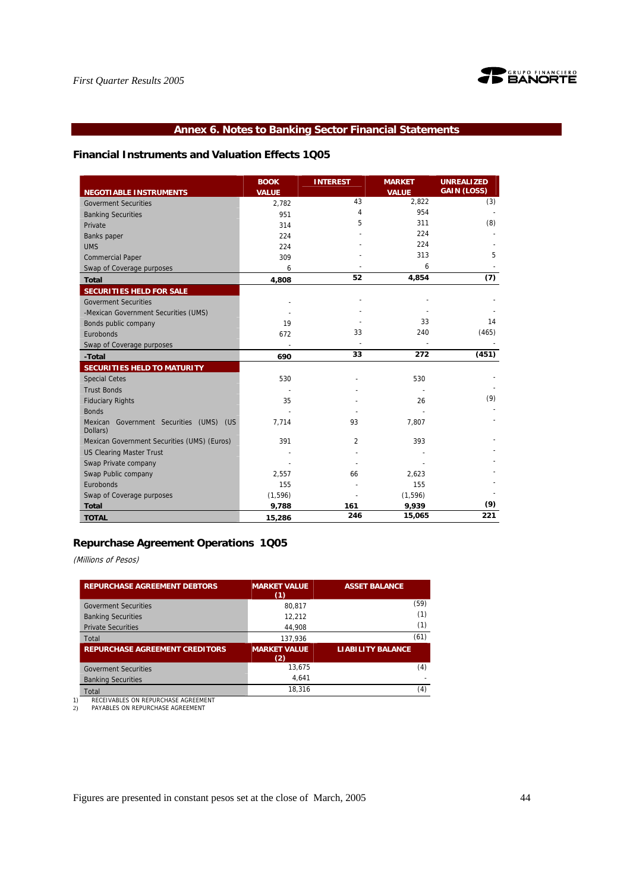

## **Annex 6. Notes to Banking Sector Financial Statements**

## **Financial Instruments and Valuation Effects 1Q05**

|                                                     | <b>BOOK</b>  | <b>INTEREST</b> | <b>MARKET</b> | <b>UNREALIZED</b>  |
|-----------------------------------------------------|--------------|-----------------|---------------|--------------------|
| <b>NEGOTIABLE INSTRUMENTS</b>                       | <b>VALUE</b> |                 | <b>VALUE</b>  | <b>GAIN (LOSS)</b> |
| <b>Goverment Securities</b>                         | 2.782        | 43              | 2,822         | (3)                |
| <b>Banking Securities</b>                           | 951          | 4               | 954           |                    |
| Private                                             | 314          | 5               | 311           | (8)                |
| Banks paper                                         | 224          |                 | 224           |                    |
| <b>UMS</b>                                          | 224          |                 | 224           |                    |
| <b>Commercial Paper</b>                             | 309          |                 | 313           | 5                  |
| Swap of Coverage purposes                           | 6            |                 | 6             |                    |
| <b>Total</b>                                        | 4,808        | 52              | 4,854         | (7)                |
| SECURITIES HELD FOR SALE                            |              |                 |               |                    |
| <b>Goverment Securities</b>                         |              |                 |               |                    |
| -Mexican Government Securities (UMS)                |              |                 |               |                    |
| Bonds public company                                | 19           |                 | 33            | 14                 |
| Eurobonds                                           | 672          | 33              | 240           | (465)              |
| Swap of Coverage purposes                           |              |                 |               |                    |
| -Total                                              | 690          | 33              | 272           | (451)              |
| SECURITIES HELD TO MATURITY                         |              |                 |               |                    |
| <b>Special Cetes</b>                                | 530          |                 | 530           |                    |
| <b>Trust Bonds</b>                                  |              |                 |               |                    |
| <b>Fiduciary Rights</b>                             | 35           |                 | 26            | (9)                |
| <b>Bonds</b>                                        |              |                 |               |                    |
| Mexican Government Securities (UMS) (US<br>Dollars) | 7,714        | 93              | 7.807         |                    |
| Mexican Government Securities (UMS) (Euros)         | 391          | 2               | 393           |                    |
| <b>US Clearing Master Trust</b>                     |              |                 |               |                    |
| Swap Private company                                |              |                 |               |                    |
| Swap Public company                                 | 2,557        | 66              | 2,623         |                    |
| Eurobonds                                           | 155          |                 | 155           |                    |
| Swap of Coverage purposes                           | (1, 596)     |                 | (1, 596)      |                    |
| <b>Total</b>                                        | 9,788        | 161             | 9,939         | (9)                |
| <b>TOTAL</b>                                        | 15,286       | 246             | 15,065        | 221                |

## **Repurchase Agreement Operations 1Q05**

(Millions of Pesos)

| <b>REPURCHASE AGREEMENT DEBTORS</b>   | <b>MARKET VALUE</b><br>(1) | <b>ASSET BALANCE</b>     |
|---------------------------------------|----------------------------|--------------------------|
| <b>Goverment Securities</b>           | 80.817                     | (59)                     |
| <b>Banking Securities</b>             | 12.212                     | (1)                      |
| <b>Private Securities</b>             | 44.908                     | (1)                      |
| Total                                 | 137.936                    | (61)                     |
| <b>REPURCHASE AGREEMENT CREDITORS</b> | <b>MARKET VALUE</b><br>(2) | <b>LIABILITY BALANCE</b> |
| <b>Goverment Securities</b>           | 13,675                     | (4)                      |
| <b>Banking Securities</b>             | 4.641                      |                          |
| Total                                 | 18.316                     | (4)                      |
| RECEIVABLES ON REPURCHASE AGREEMENT   |                            |                          |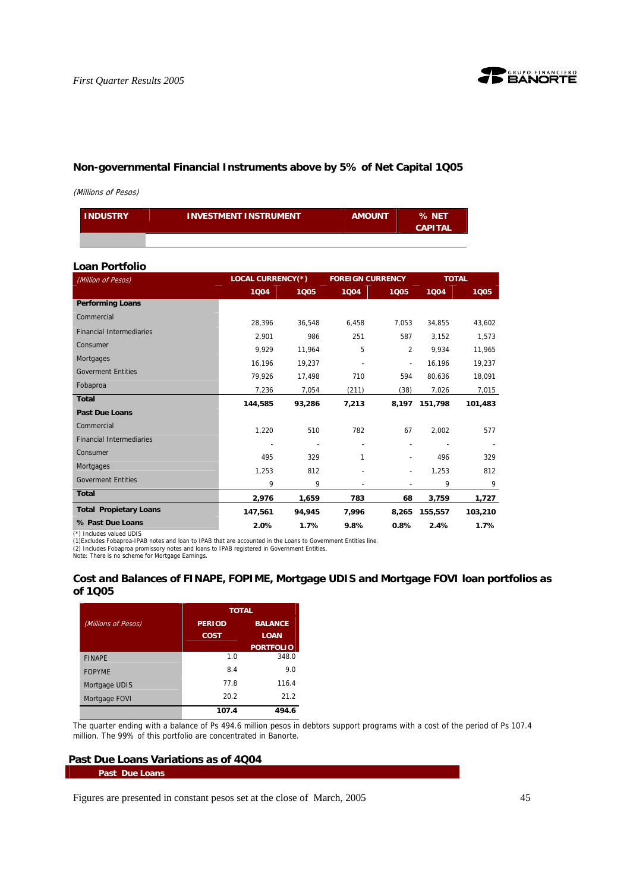

## **Non-governmental Financial Instruments above by 5% of Net Capital 1Q05**

(Millions of Pesos)

| <b>INDUSTRY</b> | <b>INVESTMENT INSTRUMENT</b> | <b>AMOUNT</b> | % NET<br><b>CAPITAL</b> |
|-----------------|------------------------------|---------------|-------------------------|
|                 |                              |               |                         |

## **Loan Portfolio**

| (Million of Pesos)              | <b>LOCAL CURRENCY(*)</b> |        |       | <b>FOREIGN CURRENCY</b>  |         | <b>TOTAL</b> |  |
|---------------------------------|--------------------------|--------|-------|--------------------------|---------|--------------|--|
|                                 | 1004                     | 1005   | 1004  | 1005                     | 1004    | 1005         |  |
| <b>Performing Loans</b>         |                          |        |       |                          |         |              |  |
| Commercial                      | 28,396                   | 36,548 | 6,458 | 7.053                    | 34.855  | 43,602       |  |
| <b>Financial Intermediaries</b> | 2.901                    | 986    | 251   | 587                      | 3.152   | 1,573        |  |
| Consumer                        | 9.929                    | 11,964 | 5     | $\overline{2}$           | 9.934   | 11,965       |  |
| Mortgages                       | 16,196                   | 19,237 |       | $\overline{\phantom{a}}$ | 16,196  | 19,237       |  |
| <b>Goverment Entities</b>       | 79.926                   | 17.498 | 710   | 594                      | 80.636  | 18,091       |  |
| Fobaproa                        | 7,236                    | 7,054  | (211) | (38)                     | 7,026   | 7,015        |  |
| <b>Total</b>                    | 144,585                  | 93,286 | 7,213 | 8,197                    | 151.798 | 101,483      |  |
| <b>Past Due Loans</b>           |                          |        |       |                          |         |              |  |
| Commercial                      | 1,220                    | 510    | 782   | 67                       | 2,002   | 577          |  |
| <b>Financial Intermediaries</b> |                          |        |       |                          |         |              |  |
| Consumer                        | 495                      | 329    | 1     |                          | 496     | 329          |  |
| Mortgages                       | 1,253                    | 812    |       |                          | 1,253   | 812          |  |
| <b>Goverment Entities</b>       | 9                        | 9      |       |                          | 9       | 9            |  |
| <b>Total</b>                    | 2,976                    | 1,659  | 783   | 68                       | 3,759   | 1,727        |  |
| <b>Total Propietary Loans</b>   | 147,561                  | 94,945 | 7,996 | 8,265                    | 155,557 | 103,210      |  |
| % Past Due Loans                | 2.0%                     | 1.7%   | 9.8%  | 0.8%                     | 2.4%    | 1.7%         |  |

(\*) Includes valued UDIS (1)Excludes Fobaproa-IPAB notes and loan to IPAB that are accounted in the Loans to Government Entities line.

(2) Includes Fobaproa promissory notes and loans to IPAB registered in Government Entities. Note: There is no scheme for Mortgage Earnings.

## **Cost and Balances of FINAPE, FOPIME, Mortgage UDIS and Mortgage FOVI loan portfolios as of 1Q05**

|                     | <b>TOTAL</b>  |                  |  |
|---------------------|---------------|------------------|--|
| (Millions of Pesos) | <b>PERIOD</b> | <b>BALANCE</b>   |  |
|                     | COST          | <b>LOAN</b>      |  |
|                     |               | <b>PORTFOLIO</b> |  |
| <b>FINAPE</b>       | 1.0           | 348.0            |  |
| <b>FOPYME</b>       | 8.4           | 9.0              |  |
| Mortgage UDIS       | 77.8          | 116.4            |  |
| Mortgage FOVI       | 20.2          | 21.2             |  |
|                     | 107.4         | 494.6            |  |

The quarter ending with a balance of Ps 494.6 million pesos in debtors support programs with a cost of the period of Ps 107.4 million. The 99% of this portfolio are concentrated in Banorte.

## **Past Due Loans Variations as of 4Q04**

#### **Past Due Loans**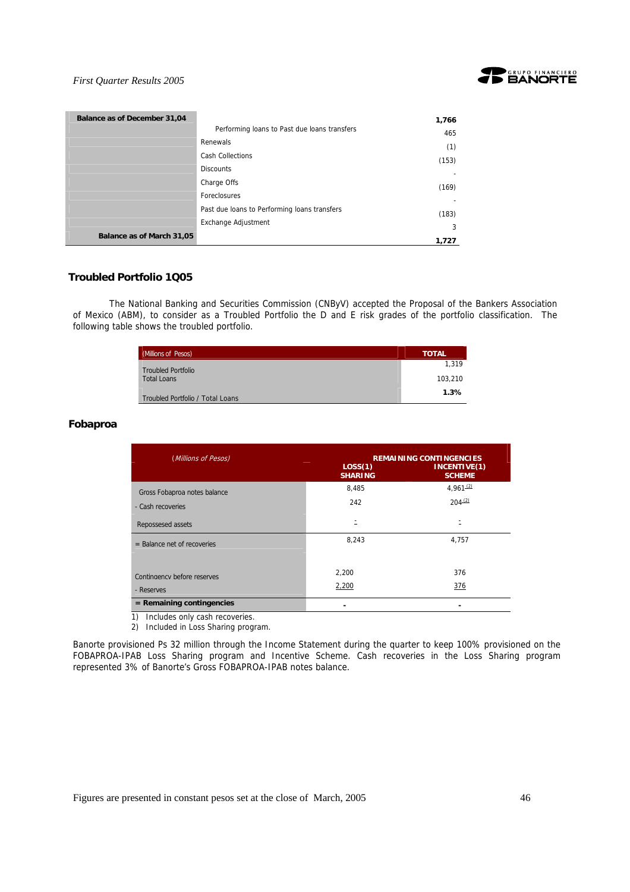

| Balance as of December 31,04 |                                              | 1,766 |
|------------------------------|----------------------------------------------|-------|
|                              | Performing loans to Past due loans transfers | 465   |
|                              | Renewals                                     | (1)   |
|                              | <b>Cash Collections</b>                      | (153) |
|                              | <b>Discounts</b>                             |       |
|                              | Charge Offs                                  | (169) |
|                              | Foreclosures                                 |       |
|                              | Past due loans to Performing loans transfers | (183) |
|                              | Exchange Adjustment                          | 3     |
| Balance as of March 31,05    |                                              | 1.727 |

## **Troubled Portfolio 1Q05**

 The National Banking and Securities Commission (CNByV) accepted the Proposal of the Bankers Association of Mexico (ABM), to consider as a Troubled Portfolio the D and E risk grades of the portfolio classification. The following table shows the troubled portfolio.

| (Millions of Pesos)              | <b>TOTAL</b> |
|----------------------------------|--------------|
| <b>Troubled Portfolio</b>        | 1.319        |
| <b>Total Loans</b>               | 103.210      |
| Troubled Portfolio / Total Loans | 1.3%         |

## **Fobaproa**

| (Millions of Pesos)                       | LOS(1)<br><b>SHARING</b> | <b>REMAINING CONTINGENCIES</b><br>INCENTIVE(1)<br><b>SCHEME</b> |
|-------------------------------------------|--------------------------|-----------------------------------------------------------------|
| Gross Fobaproa notes balance              | 8,485                    | 4.961(2)                                                        |
| - Cash recoveries                         | 242                      | $204 - (2)$                                                     |
| Repossesed assets                         | Ξ                        | Ξ                                                               |
| $=$ Balance net of recoveries             | 8,243                    | 4,757                                                           |
| Contingency before reserves<br>- Reserves | 2,200<br>2,200           | 376<br>376                                                      |
| $=$ Remaining contingencies               |                          |                                                                 |

1) Includes only cash recoveries.

2) Included in Loss Sharing program.

Banorte provisioned Ps 32 million through the Income Statement during the quarter to keep 100% provisioned on the FOBAPROA-IPAB Loss Sharing program and Incentive Scheme. Cash recoveries in the Loss Sharing program represented 3% of Banorte's Gross FOBAPROA-IPAB notes balance.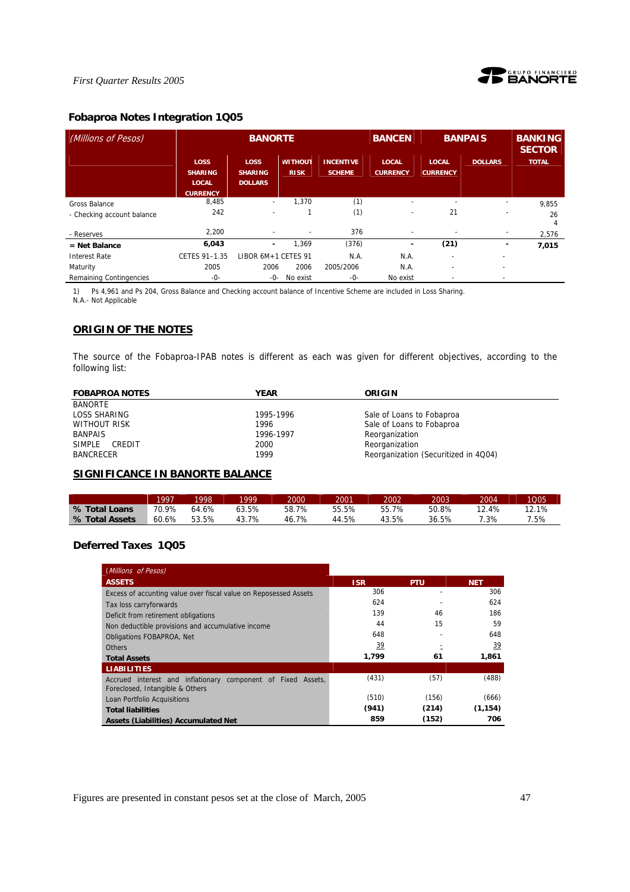

## **Fobaproa Notes Integration 1Q05**

| (Millions of Pesos)                                |                                                                  | <b>BANORTE</b>                                       |                               |                                   | <b>BANCEN</b>                   | <b>BANPAIS</b>                  |                | <b>BANKING</b><br><b>SECTOR</b> |
|----------------------------------------------------|------------------------------------------------------------------|------------------------------------------------------|-------------------------------|-----------------------------------|---------------------------------|---------------------------------|----------------|---------------------------------|
|                                                    | <b>LOSS</b><br><b>SHARING</b><br><b>LOCAL</b><br><b>CURRENCY</b> | LOSS<br><b>SHARING</b><br><b>DOLLARS</b>             | <b>WITHOUT</b><br><b>RISK</b> | <b>INCENTIVE</b><br><b>SCHEME</b> | <b>LOCAL</b><br><b>CURRENCY</b> | <b>LOCAL</b><br><b>CURRENCY</b> | <b>DOLLARS</b> | <b>TOTAL</b>                    |
| <b>Gross Balance</b><br>- Checking account balance | 8,485<br>242                                                     | $\overline{\phantom{a}}$<br>$\overline{\phantom{a}}$ | 1.370                         | (1)<br>(1)                        |                                 | 21                              | ٠              | 9,855<br>26<br>4                |
| - Reserves                                         | 2,200                                                            |                                                      | $\overline{\phantom{a}}$      | 376                               |                                 |                                 |                | 2,576                           |
| $=$ Net Balance                                    | 6,043                                                            | ٠                                                    | 1.369                         | (376)                             | ۰                               | (21)                            | -              | 7,015                           |
| <b>Interest Rate</b>                               | CETES 91-1.35                                                    | LIBOR 6M+1 CETES 91                                  |                               | N.A.                              | N.A.                            | $\overline{\phantom{a}}$        | ٠              |                                 |
| Maturity                                           | 2005                                                             | 2006                                                 | 2006                          | 2005/2006                         | N.A.                            | $\overline{\phantom{0}}$        | ٠              |                                 |
| Remaining Contingencies                            | -0-                                                              | -0-                                                  | No exist                      | -0-                               | No exist                        |                                 | ٠              |                                 |

1) Ps 4,961 and Ps 204, Gross Balance and Checking account balance of Incentive Scheme are included in Loss Sharing.

N.A.- Not Applicable

## **ORIGIN OF THE NOTES**

The source of the Fobaproa-IPAB notes is different as each was given for different objectives, according to the following list:

| <b>FOBAPROA NOTES</b> | YEAR      | ORIGIN                               |
|-----------------------|-----------|--------------------------------------|
| <b>BANORTE</b>        |           |                                      |
| LOSS SHARING          | 1995-1996 | Sale of Loans to Fobaproa            |
| WITHOUT RISK          | 1996      | Sale of Loans to Fobaproa            |
| <b>BANPAIS</b>        | 1996-1997 | Reorganization                       |
| SIMPLE<br>CREDIT      | 2000      | Reorganization                       |
| <b>BANCRECER</b>      | 1999      | Reorganization (Securitized in 4Q04) |

## **SIGNIFICANCE IN BANORTE BALANCE**

|                | 1997  | 1998  | 1999      | 2000  | 2001  | 2002  | 2003  | 2004  | 1005  |
|----------------|-------|-------|-----------|-------|-------|-------|-------|-------|-------|
| % Total Loans  | 70.9% | 64.6% | 63.5%     | 58.7% | 55.5% | 55.7% | 50.8% | 12.4% | 12.1% |
| % Total Assets | 60.6% | 53.5% | 7%<br>43. | 46.7% | 44.5% | 43.5% | 36.5% | 7.3%  | .5%   |

## **Deferred Taxes 1Q05**

| (Millions of Pesos)                                                                             |            |            |            |
|-------------------------------------------------------------------------------------------------|------------|------------|------------|
| <b>ASSETS</b>                                                                                   | <b>ISR</b> | <b>PTU</b> | <b>NET</b> |
| Excess of accunting value over fiscal value on Reposessed Assets                                | 306        |            | 306        |
| Tax loss carryforwards                                                                          | 624        |            | 624        |
| Deficit from retirement obligations                                                             | 139        | 46         | 186        |
| Non deductible provisions and accumulative income                                               | 44         | 15         | 59         |
| <b>Obligations FOBAPROA, Net</b>                                                                | 648        |            | 648        |
| <b>Others</b>                                                                                   | 39         |            | 39         |
| <b>Total Assets</b>                                                                             | 1,799      | 61         | 1,861      |
| <b>LIABILITIES</b>                                                                              |            |            |            |
| Accrued interest and inflationary component of Fixed Assets,<br>Foreclosed, Intangible & Others | (431)      | (57)       | (488)      |
| Loan Portfolio Acquisitions                                                                     | (510)      | (156)      | (666)      |
| <b>Total liabilities</b>                                                                        | (941)      | (214)      | (1, 154)   |
| Assets (Liabilities) Accumulated Net                                                            | 859        | (152)      | 706        |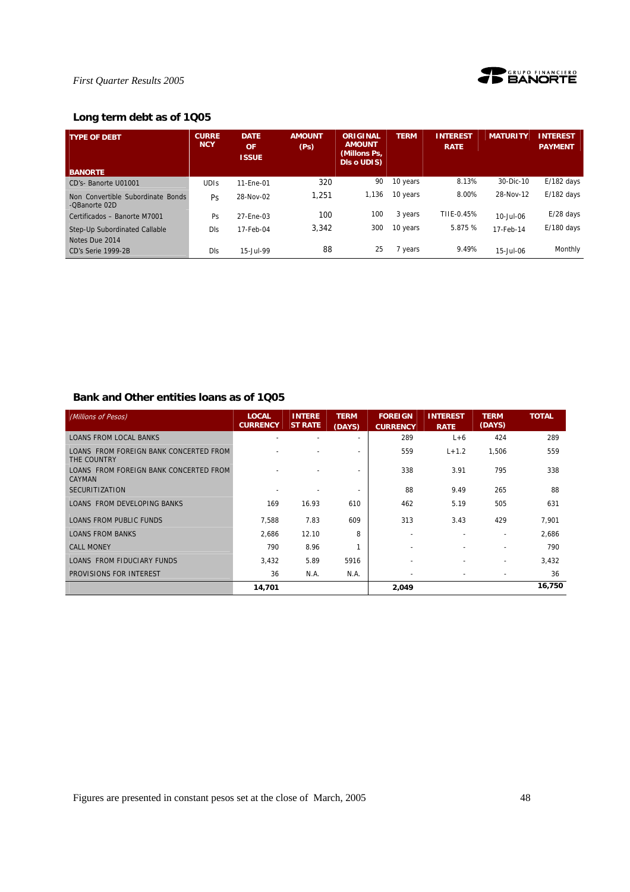

## **Long term debt as of 1Q05**

| <b>TYPE OF DEBT</b>                                | <b>CURRE</b><br><b>NCY</b> | <b>DATE</b><br>OF<br><b>ISSUE</b> | <b>AMOUNT</b><br>(P <sub>S</sub> ) | <b>ORIGINAL</b><br><b>AMOUNT</b><br>(Millons Ps,<br>Dis o UDIS) | <b>TERM</b> | <b>INTEREST</b><br><b>RATE</b> | <b>MATURITY</b> | <b>INTEREST</b><br><b>PAYMENT</b> |
|----------------------------------------------------|----------------------------|-----------------------------------|------------------------------------|-----------------------------------------------------------------|-------------|--------------------------------|-----------------|-----------------------------------|
| <b>BANORTE</b>                                     |                            |                                   |                                    |                                                                 |             |                                |                 |                                   |
| CD's-Banorte U01001                                | <b>UDIS</b>                | 11-Ene-01                         | 320                                | 90                                                              | 10 years    | 8.13%                          | 30-Dic-10       | $E/182$ days                      |
| Non Convertible Subordinate Bonds<br>-OBanorte 02D | <b>Ps</b>                  | 28-Nov-02                         | 1,251                              | 1,136                                                           | 10 years    | 8.00%                          | 28-Nov-12       | $E/182$ days                      |
| Certificados - Banorte M7001                       | Ps                         | 27-Ene-03                         | 100                                | 100                                                             | 3 years     | TIIE-0.45%                     | 10-Jul-06       | $E/28$ days                       |
| Step-Up Subordinated Callable<br>Notes Due 2014    | Dls                        | 17-Feb-04                         | 3.342                              | 300                                                             | 10 years    | 5.875 %                        | 17-Feb-14       | $E/180$ days                      |
| CD's Serie 1999-2B                                 | DIS                        | 15-Jul-99                         | 88                                 | 25                                                              | 7 years     | 9.49%                          | 15-Jul-06       | Monthly                           |

## **Bank and Other entities loans as of 1Q05**

| (Millions of Pesos)                                   | <b>LOCAL</b><br><b>CURRENCY</b> | <b>INTERE</b><br><b>ST RATE</b> | <b>TERM</b><br>(DAYS)    | <b>FOREIGN</b><br><b>CURRENCY</b> | <b>INTEREST</b><br><b>RATE</b> | <b>TERM</b><br>(DAYS)    | <b>TOTAL</b> |
|-------------------------------------------------------|---------------------------------|---------------------------------|--------------------------|-----------------------------------|--------------------------------|--------------------------|--------------|
| <b>LOANS FROM LOCAL BANKS</b>                         |                                 |                                 |                          | 289                               | $L+6$                          | 424                      | 289          |
| LOANS FROM FOREIGN BANK CONCERTED FROM<br>THE COUNTRY |                                 |                                 | $\overline{\phantom{a}}$ | 559                               | $L + 1.2$                      | 1,506                    | 559          |
| LOANS FROM FOREIGN BANK CONCERTED FROM<br>CAYMAN      |                                 |                                 |                          | 338                               | 3.91                           | 795                      | 338          |
| <b>SECURITIZATION</b>                                 |                                 |                                 |                          | 88                                | 9.49                           | 265                      | 88           |
| <b>LOANS FROM DEVELOPING BANKS</b>                    | 169                             | 16.93                           | 610                      | 462                               | 5.19                           | 505                      | 631          |
| <b>LOANS FROM PUBLIC FUNDS</b>                        | 7,588                           | 7.83                            | 609                      | 313                               | 3.43                           | 429                      | 7,901        |
| <b>LOANS FROM BANKS</b>                               | 2,686                           | 12.10                           | 8                        |                                   |                                |                          | 2,686        |
| <b>CALL MONEY</b>                                     | 790                             | 8.96                            |                          |                                   |                                |                          | 790          |
| LOANS FROM FIDUCIARY FUNDS                            | 3,432                           | 5.89                            | 5916                     |                                   |                                | $\overline{a}$           | 3,432        |
| PROVISIONS FOR INTEREST                               | 36                              | N.A.                            | N.A.                     |                                   |                                | $\overline{\phantom{a}}$ | 36           |
|                                                       | 14,701                          |                                 |                          | 2,049                             |                                |                          | 16,750       |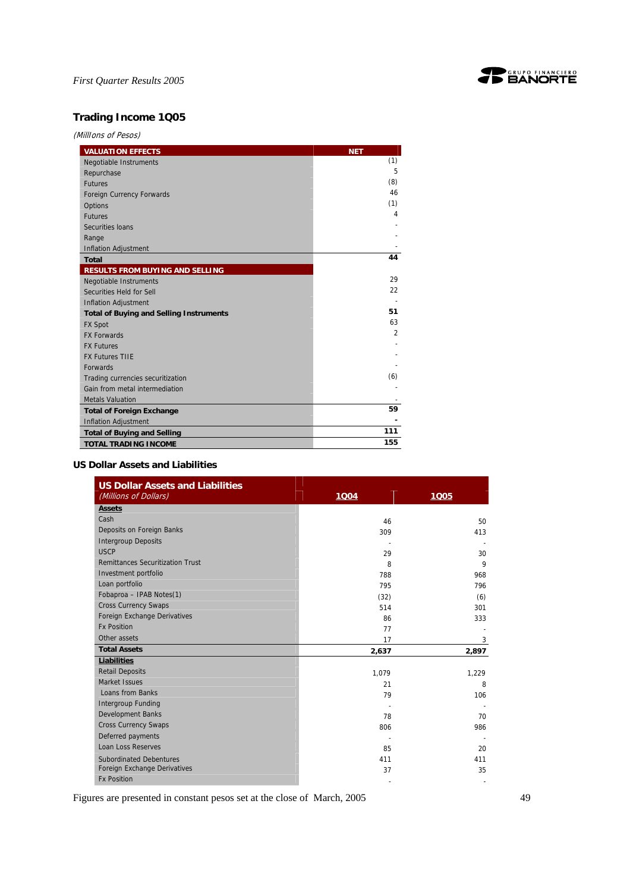

## **Trading Income 1Q05**

(MillIons of Pesos)

| <b>VALUATION EFFECTS</b>                       | <b>NET</b><br>(1) |
|------------------------------------------------|-------------------|
| Negotiable Instruments                         | 5                 |
| Repurchase                                     |                   |
| <b>Futures</b>                                 | (8)               |
| Foreign Currency Forwards                      | 46                |
| Options                                        | (1)               |
| <b>Futures</b>                                 | 4                 |
| Securities Ioans                               |                   |
| Range                                          |                   |
| <b>Inflation Adjustment</b>                    |                   |
| <b>Total</b>                                   | 44                |
| <b>RESULTS FROM BUYING AND SELLING</b>         |                   |
| <b>Negotiable Instruments</b>                  | 29                |
| Securities Held for Sell                       | 22                |
| <b>Inflation Adjustment</b>                    |                   |
| <b>Total of Buying and Selling Instruments</b> | 51                |
| <b>FX Spot</b>                                 | 63                |
| <b>FX Forwards</b>                             | $\overline{2}$    |
| <b>FX Futures</b>                              |                   |
| <b>FX Futures TIIE</b>                         |                   |
| <b>Forwards</b>                                |                   |
| Trading currencies securitization              | (6)               |
| Gain from metal intermediation                 |                   |
| <b>Metals Valuation</b>                        |                   |
| <b>Total of Foreign Exchange</b>               | 59                |
| <b>Inflation Adjustment</b>                    |                   |
| <b>Total of Buying and Selling</b>             | 111               |
| <b>TOTAL TRADING INCOME</b>                    | 155               |

## **US Dollar Assets and Liabilities**

| <b>US Dollar Assets and Liabilities</b><br>(Millions of Dollars) | 1Q04  | 1005         |
|------------------------------------------------------------------|-------|--------------|
| <b>Assets</b>                                                    |       |              |
| Cash                                                             | 46    | 50           |
| Deposits on Foreign Banks                                        | 309   | 413          |
| <b>Intergroup Deposits</b>                                       |       |              |
| <b>USCP</b>                                                      | 29    | 30           |
| <b>Remittances Securitization Trust</b>                          | 8     | $\mathsf{Q}$ |
| Investment portfolio                                             | 788   | 968          |
| Loan portfolio                                                   | 795   | 796          |
| Fobaproa - IPAB Notes(1)                                         | (32)  | (6)          |
| <b>Cross Currency Swaps</b>                                      | 514   | 301          |
| Foreign Exchange Derivatives                                     | 86    | 333          |
| <b>Fx Position</b>                                               | 77    |              |
| Other assets                                                     | 17    | 3            |
| <b>Total Assets</b>                                              | 2,637 | 2,897        |
| <b>Liabilities</b>                                               |       |              |
| <b>Retail Deposits</b>                                           | 1,079 | 1,229        |
| Market Issues                                                    | 21    | 8            |
| Loans from Banks                                                 | 79    | 106          |
| <b>Intergroup Funding</b>                                        |       |              |
| <b>Development Banks</b>                                         | 78    | 70           |
| <b>Cross Currency Swaps</b>                                      | 806   | 986          |
| Deferred payments                                                |       |              |
| <b>Loan Loss Reserves</b>                                        | 85    | 20           |
| <b>Subordinated Debentures</b>                                   | 411   | 411          |
| Foreign Exchange Derivatives                                     | 37    | 35           |
| <b>Fx Position</b>                                               |       |              |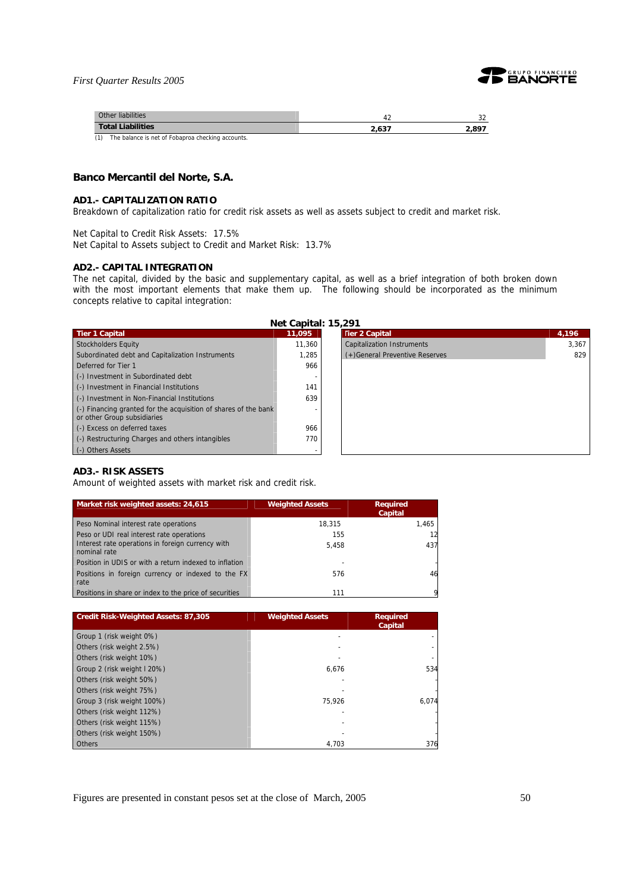

| Other liabilities                                        |       | $\sim$ |
|----------------------------------------------------------|-------|--------|
| <b>Total Liabilities</b>                                 | 2.637 | 2.897  |
| (1)<br>The balance is net of Fobaproa checking accounts. |       |        |

## **Banco Mercantil del Norte, S.A.**

#### **AD1.- CAPITALIZATION RATIO**

Breakdown of capitalization ratio for credit risk assets as well as assets subject to credit and market risk.

Net Capital to Credit Risk Assets: 17.5%

Net Capital to Assets subject to Credit and Market Risk: 13.7%

#### **AD2.- CAPITAL INTEGRATION**

The net capital, divided by the basic and supplementary capital, as well as a brief integration of both broken down with the most important elements that make them up. The following should be incorporated as the minimum concepts relative to capital integration:

| Net Capital: 15,291 |                            |
|---------------------|----------------------------|
|                     | <b>Charles Controllers</b> |

| <b>Tier 1 Capital</b>                                                                          | 11,095 | <b>Tier 2 Capital</b>             | 4,196 |
|------------------------------------------------------------------------------------------------|--------|-----------------------------------|-------|
| <b>Stockholders Equity</b>                                                                     | 11.360 | <b>Capitalization Instruments</b> | 3.367 |
| Subordinated debt and Capitalization Instruments                                               | 1.285  | (+) General Preventive Reserves   | 829   |
| Deferred for Tier 1                                                                            | 966    |                                   |       |
| (-) Investment in Subordinated debt                                                            |        |                                   |       |
| (-) Investment in Financial Institutions                                                       | 141    |                                   |       |
| (-) Investment in Non-Financial Institutions                                                   | 639    |                                   |       |
| (-) Financing granted for the acquisition of shares of the bank<br>or other Group subsidiaries |        |                                   |       |
| (-) Excess on deferred taxes                                                                   | 966    |                                   |       |
| (-) Restructuring Charges and others intangibles                                               | 770    |                                   |       |
| (-) Others Assets                                                                              |        |                                   |       |

## **AD3.- RISK ASSETS**

Amount of weighted assets with market risk and credit risk.

| Market risk weighted assets: 24,615                               | <b>Weighted Assets</b> | <b>Required</b><br><b>Capital</b> |
|-------------------------------------------------------------------|------------------------|-----------------------------------|
| Peso Nominal interest rate operations                             | 18.315                 | 1.465                             |
| Peso or UDI real interest rate operations                         | 155                    |                                   |
| Interest rate operations in foreign currency with<br>nominal rate | 5.458                  | 437                               |
| Position in UDIS or with a return indexed to inflation            |                        |                                   |
| Positions in foreign currency or indexed to the FX<br>rate        | 576                    | 46                                |
| Positions in share or index to the price of securities            | 111                    |                                   |

| <b>Credit Risk-Weighted Assets: 87,305</b> | <b>Weighted Assets</b> | <b>Required</b><br>Capital |
|--------------------------------------------|------------------------|----------------------------|
| Group 1 (risk weight 0%)                   |                        |                            |
| Others (risk weight 2.5%)                  |                        |                            |
| Others (risk weight 10%)                   |                        |                            |
| Group 2 (risk weight I 20%)                | 6.676                  | 534                        |
| Others (risk weight 50%)                   |                        |                            |
| Others (risk weight 75%)                   |                        |                            |
| Group 3 (risk weight 100%)                 | 75.926                 | 6.074                      |
| Others (risk weight 112%)                  |                        |                            |
| Others (risk weight 115%)                  |                        |                            |
| Others (risk weight 150%)                  |                        |                            |
| <b>Others</b>                              | 4,703                  | 376                        |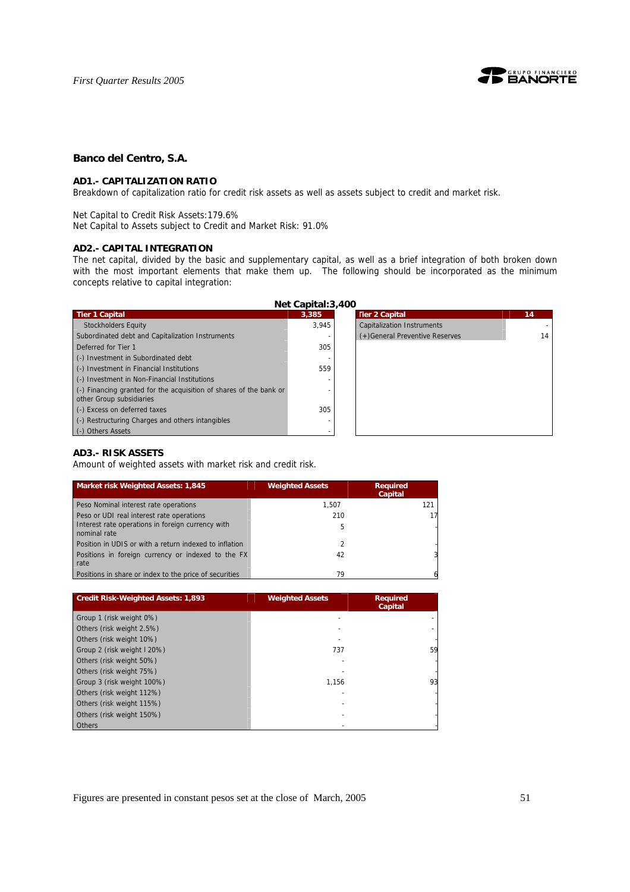

## **Banco del Centro, S.A.**

#### **AD1.- CAPITALIZATION RATIO**

Breakdown of capitalization ratio for credit risk assets as well as assets subject to credit and market risk.

#### Net Capital to Credit Risk Assets:179.6%

Net Capital to Assets subject to Credit and Market Risk: 91.0%

## **AD2.- CAPITAL INTEGRATION**

The net capital, divided by the basic and supplementary capital, as well as a brief integration of both broken down with the most important elements that make them up. The following should be incorporated as the minimum concepts relative to capital integration:

|                                                                                                | Net Capital: 3,400 |                                   |
|------------------------------------------------------------------------------------------------|--------------------|-----------------------------------|
| <b>Tier 1 Capital</b>                                                                          | 3.385              | <b>Tier 2 Capital</b>             |
| <b>Stockholders Equity</b>                                                                     | 3.945              | <b>Capitalization Instruments</b> |
| Subordinated debt and Capitalization Instruments                                               |                    | (+) General Preventive Reserves   |
| Deferred for Tier 1                                                                            | 305                |                                   |
| (-) Investment in Subordinated debt                                                            |                    |                                   |
| (-) Investment in Financial Institutions                                                       | 559                |                                   |
| (-) Investment in Non-Financial Institutions                                                   |                    |                                   |
| (-) Financing granted for the acquisition of shares of the bank or<br>other Group subsidiaries |                    |                                   |
| (-) Excess on deferred taxes                                                                   | 305                |                                   |
| (-) Restructuring Charges and others intangibles                                               |                    |                                   |
| (-) Others Assets                                                                              |                    |                                   |

## **AD3.- RISK ASSETS**

Amount of weighted assets with market risk and credit risk.

| Market risk Weighted Assets: 1,845                                | <b>Weighted Assets</b> | <b>Required</b><br>Capital |
|-------------------------------------------------------------------|------------------------|----------------------------|
| Peso Nominal interest rate operations                             | 1.507                  | 121                        |
| Peso or UDI real interest rate operations                         | 210                    |                            |
| Interest rate operations in foreign currency with<br>nominal rate | 5                      |                            |
| Position in UDIS or with a return indexed to inflation            |                        |                            |
| Positions in foreign currency or indexed to the FX<br>rate        | 42                     |                            |
| Positions in share or index to the price of securities            | 79                     |                            |

| <b>Credit Risk-Weighted Assets: 1,893</b> | <b>Weighted Assets</b> | <b>Required</b><br><b>Capital</b> |
|-------------------------------------------|------------------------|-----------------------------------|
| Group 1 (risk weight 0%)                  |                        |                                   |
| Others (risk weight 2.5%)                 |                        |                                   |
| Others (risk weight 10%)                  |                        |                                   |
| Group 2 (risk weight I 20%)               | 737                    | 59                                |
| Others (risk weight 50%)                  |                        |                                   |
| Others (risk weight 75%)                  |                        |                                   |
| Group 3 (risk weight 100%)                | 1.156                  | 93                                |
| Others (risk weight 112%)                 |                        |                                   |
| Others (risk weight 115%)                 |                        |                                   |
| Others (risk weight 150%)                 |                        |                                   |
| <b>Others</b>                             |                        |                                   |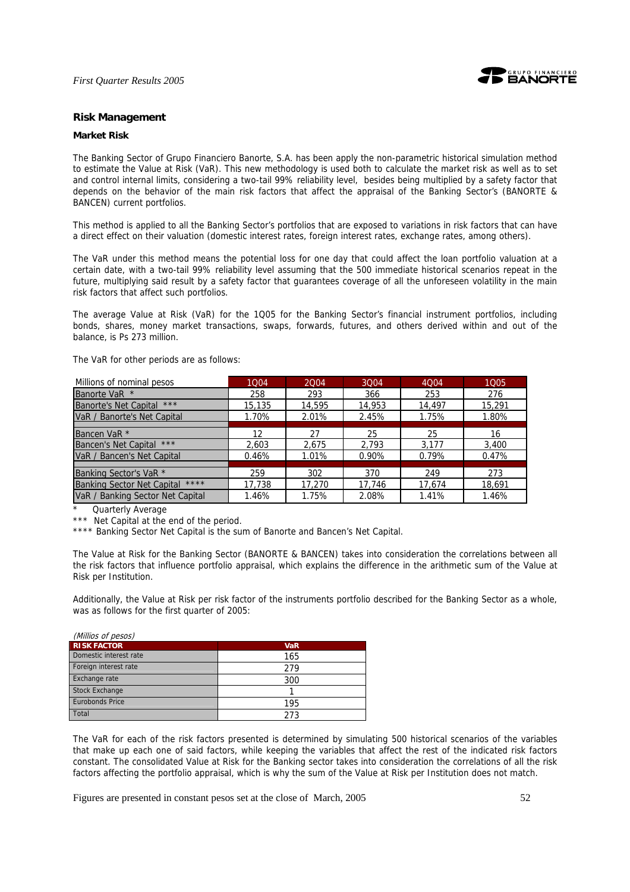

#### **Risk Management**

## **Market Risk**

The Banking Sector of Grupo Financiero Banorte, S.A. has been apply the non-parametric historical simulation method to estimate the Value at Risk (VaR). This new methodology is used both to calculate the market risk as well as to set and control internal limits, considering a two-tail 99% reliability level, besides being multiplied by a safety factor that depends on the behavior of the main risk factors that affect the appraisal of the Banking Sector's (BANORTE & BANCEN) current portfolios.

This method is applied to all the Banking Sector's portfolios that are exposed to variations in risk factors that can have a direct effect on their valuation (domestic interest rates, foreign interest rates, exchange rates, among others).

The VaR under this method means the potential loss for one day that could affect the loan portfolio valuation at a certain date, with a two-tail 99% reliability level assuming that the 500 immediate historical scenarios repeat in the future, multiplying said result by a safety factor that guarantees coverage of all the unforeseen volatility in the main risk factors that affect such portfolios.

The average Value at Risk (VaR) for the 1Q05 for the Banking Sector's financial instrument portfolios, including bonds, shares, money market transactions, swaps, forwards, futures, and others derived within and out of the balance, is Ps 273 million.

The VaR for other periods are as follows:

| Millions of nominal pesos                 | 1004   | 2004   | 3004   | 4Q04   | 1005   |
|-------------------------------------------|--------|--------|--------|--------|--------|
| Banorte VaR *                             | 258    | 293    | 366    | 253    | 276    |
| ***<br><b>Banorte's Net Capital</b>       | 15,135 | 14,595 | 14,953 | 14,497 | 15,291 |
| VaR / Banorte's Net Capital               | 1.70%  | 2.01%  | 2.45%  | 1.75%  | 1.80%  |
|                                           |        |        |        |        |        |
| Bancen VaR <sup>*</sup>                   | 12     | 27     | 25     | 25     | 16     |
| <b>Bancen's Net Capital</b><br>$***$      | 2,603  | 2,675  | 2,793  | 3.177  | 3,400  |
| VaR / Bancen's Net Capital                | 0.46%  | 1.01%  | 0.90%  | 0.79%  | 0.47%  |
|                                           |        |        |        |        |        |
| Banking Sector's VaR *                    | 259    | 302    | 370    | 249    | 273    |
| ****<br><b>Banking Sector Net Capital</b> | 17,738 | 17,270 | 17,746 | 17,674 | 18,691 |
| VaR / Banking Sector Net Capital          | 1.46%  | 1.75%  | 2.08%  | 1.41%  | 1.46%  |

Quarterly Average

\*\*\* Net Capital at the end of the period.

\*\*\*\* Banking Sector Net Capital is the sum of Banorte and Bancen's Net Capital.

The Value at Risk for the Banking Sector (BANORTE & BANCEN) takes into consideration the correlations between all the risk factors that influence portfolio appraisal, which explains the difference in the arithmetic sum of the Value at Risk per Institution.

Additionally, the Value at Risk per risk factor of the instruments portfolio described for the Banking Sector as a whole, was as follows for the first quarter of 2005:

| (Millios of pesos)     |            |
|------------------------|------------|
| <b>RISK FACTOR</b>     | <b>VaR</b> |
| Domestic interest rate | 165        |
| Foreign interest rate  | 279        |
| Exchange rate          | 300        |
| <b>Stock Exchange</b>  |            |
| <b>Eurobonds Price</b> | 195        |
| Total                  | 273        |

The VaR for each of the risk factors presented is determined by simulating 500 historical scenarios of the variables that make up each one of said factors, while keeping the variables that affect the rest of the indicated risk factors constant. The consolidated Value at Risk for the Banking sector takes into consideration the correlations of all the risk factors affecting the portfolio appraisal, which is why the sum of the Value at Risk per Institution does not match.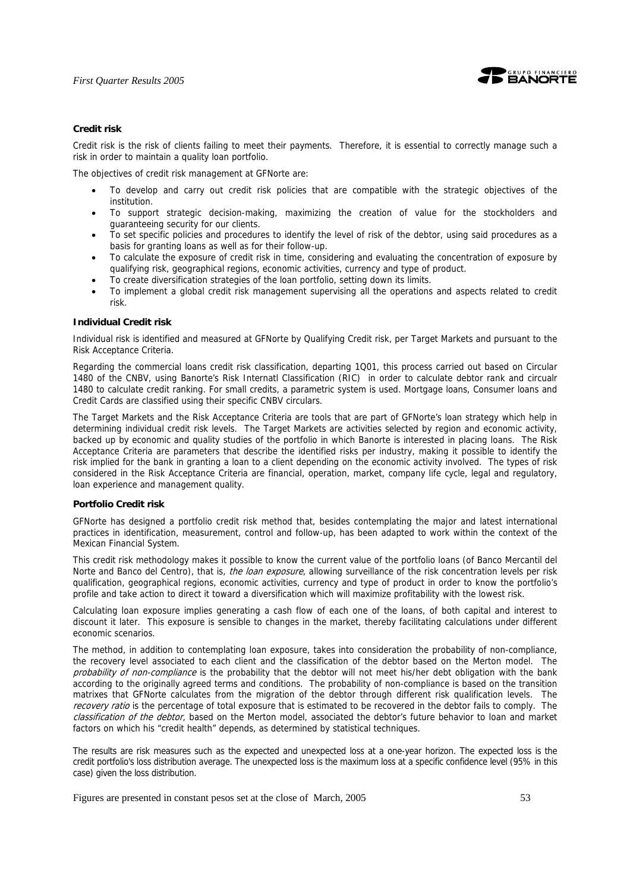

## **Credit risk**

Credit risk is the risk of clients failing to meet their payments. Therefore, it is essential to correctly manage such a risk in order to maintain a quality loan portfolio.

The objectives of credit risk management at GFNorte are:

- To develop and carry out credit risk policies that are compatible with the strategic objectives of the institution.
- To support strategic decision-making, maximizing the creation of value for the stockholders and guaranteeing security for our clients.
- To set specific policies and procedures to identify the level of risk of the debtor, using said procedures as a basis for granting loans as well as for their follow-up.
- To calculate the exposure of credit risk in time, considering and evaluating the concentration of exposure by qualifying risk, geographical regions, economic activities, currency and type of product.
- To create diversification strategies of the loan portfolio, setting down its limits.
- To implement a global credit risk management supervising all the operations and aspects related to credit risk.

#### **Individual Credit risk**

Individual risk is identified and measured at GFNorte by Qualifying Credit risk, per Target Markets and pursuant to the Risk Acceptance Criteria.

Regarding the commercial loans credit risk classification, departing 1Q01, this process carried out based on Circular 1480 of the CNBV, using Banorte's Risk Internatl Classification (RIC) in order to calculate debtor rank and circualr 1480 to calculate credit ranking. For small credits, a parametric system is used. Mortgage loans, Consumer loans and Credit Cards are classified using their specific CNBV circulars.

The Target Markets and the Risk Acceptance Criteria are tools that are part of GFNorte's loan strategy which help in determining individual credit risk levels. The Target Markets are activities selected by region and economic activity, backed up by economic and quality studies of the portfolio in which Banorte is interested in placing loans. The Risk Acceptance Criteria are parameters that describe the identified risks per industry, making it possible to identify the risk implied for the bank in granting a loan to a client depending on the economic activity involved. The types of risk considered in the Risk Acceptance Criteria are financial, operation, market, company life cycle, legal and regulatory, loan experience and management quality.

#### **Portfolio Credit risk**

GFNorte has designed a portfolio credit risk method that, besides contemplating the major and latest international practices in identification, measurement, control and follow-up, has been adapted to work within the context of the Mexican Financial System.

This credit risk methodology makes it possible to know the current value of the portfolio loans (of Banco Mercantil del Norte and Banco del Centro), that is, *the loan exposure*, allowing surveillance of the risk concentration levels per risk qualification, geographical regions, economic activities, currency and type of product in order to know the portfolio's profile and take action to direct it toward a diversification which will maximize profitability with the lowest risk.

Calculating loan exposure implies generating a cash flow of each one of the loans, of both capital and interest to discount it later. This exposure is sensible to changes in the market, thereby facilitating calculations under different economic scenarios.

The method, in addition to contemplating loan exposure, takes into consideration the probability of non-compliance, the recovery level associated to each client and the classification of the debtor based on the Merton model. The probability of non-compliance is the probability that the debtor will not meet his/her debt obligation with the bank according to the originally agreed terms and conditions. The probability of non-compliance is based on the transition matrixes that GFNorte calculates from the migration of the debtor through different risk qualification levels. The recovery ratio is the percentage of total exposure that is estimated to be recovered in the debtor fails to comply. The classification of the debtor, based on the Merton model, associated the debtor's future behavior to loan and market factors on which his "credit health" depends, as determined by statistical techniques.

The results are risk measures such as the expected and unexpected loss at a one-year horizon. The expected loss is the credit portfolio's loss distribution average. The unexpected loss is the maximum loss at a specific confidence level (95% in this case) given the loss distribution.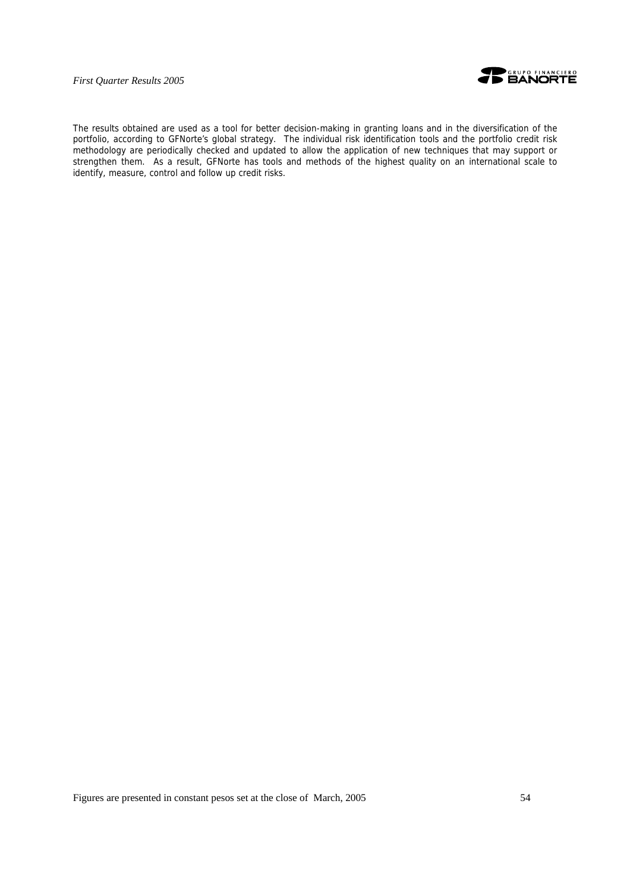



The results obtained are used as a tool for better decision-making in granting loans and in the diversification of the portfolio, according to GFNorte's global strategy. The individual risk identification tools and the portfolio credit risk methodology are periodically checked and updated to allow the application of new techniques that may support or strengthen them. As a result, GFNorte has tools and methods of the highest quality on an international scale to identify, measure, control and follow up credit risks.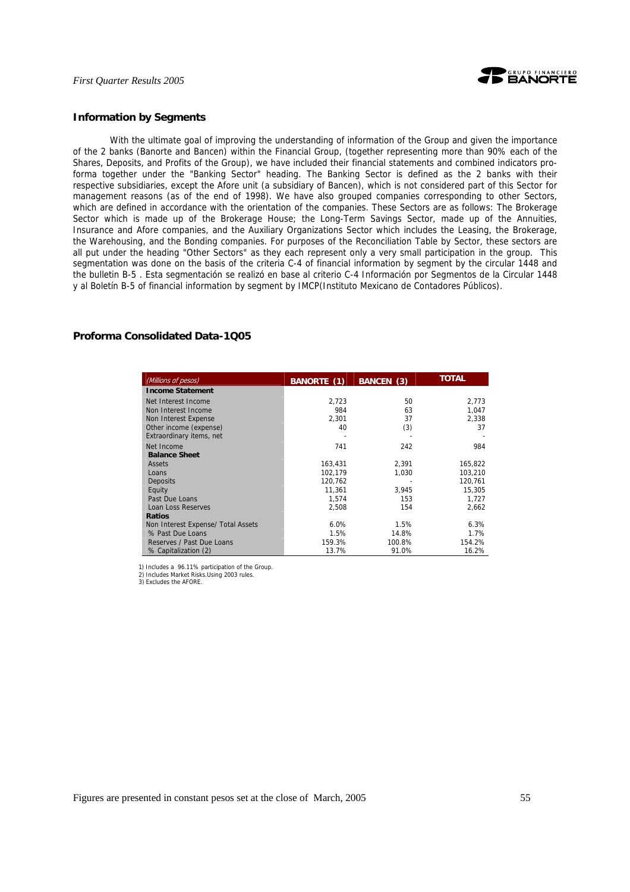

#### **Information by Segments**

With the ultimate goal of improving the understanding of information of the Group and given the importance of the 2 banks (Banorte and Bancen) within the Financial Group, (together representing more than 90% each of the Shares, Deposits, and Profits of the Group), we have included their financial statements and combined indicators proforma together under the "Banking Sector" heading. The Banking Sector is defined as the 2 banks with their respective subsidiaries, except the Afore unit (a subsidiary of Bancen), which is not considered part of this Sector for management reasons (as of the end of 1998). We have also grouped companies corresponding to other Sectors, which are defined in accordance with the orientation of the companies. These Sectors are as follows: The Brokerage Sector which is made up of the Brokerage House; the Long-Term Savings Sector, made up of the Annuities, Insurance and Afore companies, and the Auxiliary Organizations Sector which includes the Leasing, the Brokerage, the Warehousing, and the Bonding companies. For purposes of the Reconciliation Table by Sector, these sectors are all put under the heading "Other Sectors" as they each represent only a very small participation in the group. This segmentation was done on the basis of the criteria C-4 of financial information by segment by the circular 1448 and the bulletin B-5 . Esta segmentación se realizó en base al criterio C-4 Información por Segmentos de la Circular 1448 y al Boletín B-5 of financial information by segment by IMCP(Instituto Mexicano de Contadores Públicos).

## **Proforma Consolidated Data-1Q05**

| (Millions of pesos)                | <b>BANORTE (1)</b> | BANCEN (3) | <b>TOTAL</b> |
|------------------------------------|--------------------|------------|--------------|
| <b>Income Statement</b>            |                    |            |              |
| Net Interest Income                | 2,723              | 50         | 2,773        |
| Non Interest Income                | 984                | 63         | 1,047        |
| Non Interest Expense               | 2,301              | 37         | 2,338        |
| Other income (expense)             | 40                 | (3)        | 37           |
| Extraordinary items, net           |                    |            |              |
| Net Income                         | 741                | 242        | 984          |
| <b>Balance Sheet</b>               |                    |            |              |
| Assets                             | 163,431            | 2.391      | 165,822      |
| Loans                              | 102.179            | 1,030      | 103,210      |
| Deposits                           | 120.762            |            | 120,761      |
| Equity                             | 11.361             | 3.945      | 15.305       |
| Past Due Loans                     | 1,574              | 153        | 1,727        |
| Loan Loss Reserves                 | 2,508              | 154        | 2,662        |
| <b>Ratios</b>                      |                    |            |              |
| Non Interest Expense/ Total Assets | 6.0%               | 1.5%       | 6.3%         |
| % Past Due Loans                   | 1.5%               | 14.8%      | 1.7%         |
| Reserves / Past Due Loans          | 159.3%             | 100.8%     | 154.2%       |
| % Capitalization (2)               | 13.7%              | 91.0%      | 16.2%        |

1) Includes a 96.11% participation of the Group.

2) Includes Market Risks.Using 2003 rules.

3) Excludes the AFORE.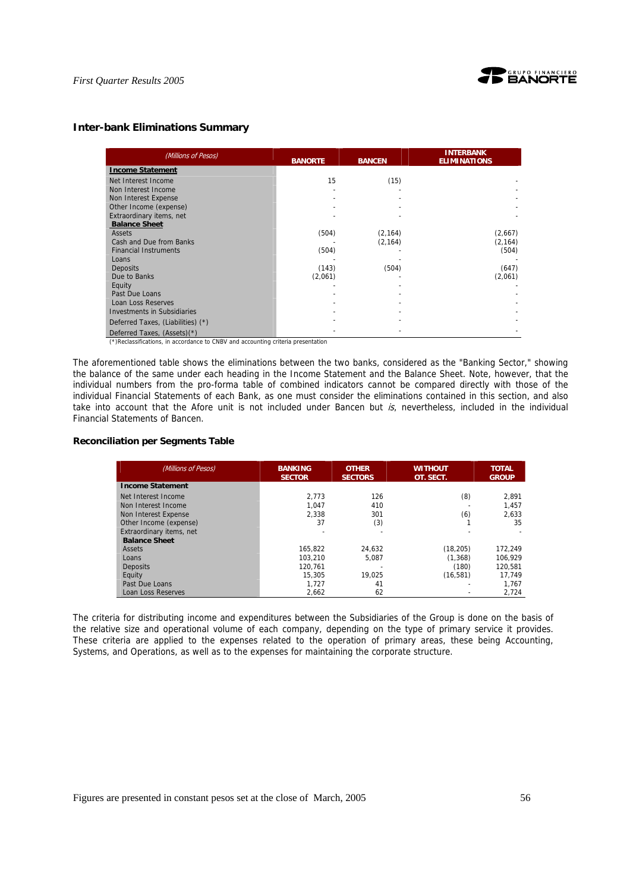

## **Inter-bank Eliminations Summary**

| (Millions of Pesos)                | <b>BANORTE</b> | <b>BANCEN</b> | <b>INTERBANK</b><br><b>ELIMINATIONS</b> |
|------------------------------------|----------------|---------------|-----------------------------------------|
| <b>Income Statement</b>            |                |               |                                         |
| Net Interest Income                | 15             | (15)          |                                         |
| Non Interest Income                |                |               |                                         |
| Non Interest Expense               |                |               |                                         |
| Other Income (expense)             |                |               |                                         |
| Extraordinary items, net           |                |               |                                         |
| <b>Balance Sheet</b>               |                |               |                                         |
| Assets                             | (504)          | (2, 164)      | (2,667)                                 |
| Cash and Due from Banks            |                | (2, 164)      | (2, 164)                                |
| <b>Financial Instruments</b>       | (504)          |               | (504)                                   |
| Loans                              |                |               |                                         |
| <b>Deposits</b>                    | (143)          | (504)         | (647)                                   |
| Due to Banks                       | (2,061)        |               | (2,061)                                 |
| Equity                             |                |               |                                         |
| Past Due Loans                     |                |               |                                         |
| Loan Loss Reserves                 |                |               |                                         |
| <b>Investments in Subsidiaries</b> |                |               |                                         |
| Deferred Taxes, (Liabilities) (*)  |                |               |                                         |
| Deferred Taxes, (Assets)(*)        |                |               |                                         |

(\*)Reclassifications, in accordance to CNBV and accounting criteria presentation

The aforementioned table shows the eliminations between the two banks, considered as the "Banking Sector," showing the balance of the same under each heading in the Income Statement and the Balance Sheet. Note, however, that the individual numbers from the pro-forma table of combined indicators cannot be compared directly with those of the individual Financial Statements of each Bank, as one must consider the eliminations contained in this section, and also take into account that the Afore unit is not included under Bancen but  $is$ , nevertheless, included in the individual Financial Statements of Bancen.

## **Reconciliation per Segments Table**

| (Millions of Pesos)      | <b>BANKING</b><br><b>SECTOR</b> | <b>OTHER</b><br><b>SECTORS</b> | <b>WITHOUT</b><br>OT. SECT. | <b>TOTAL</b><br><b>GROUP</b> |
|--------------------------|---------------------------------|--------------------------------|-----------------------------|------------------------------|
| <b>Income Statement</b>  |                                 |                                |                             |                              |
| Net Interest Income      | 2.773                           | 126                            | (8)                         | 2.891                        |
| Non Interest Income      | 1.047                           | 410                            |                             | 1.457                        |
| Non Interest Expense     | 2.338                           | 301                            | (6)                         | 2.633                        |
| Other Income (expense)   | 37                              | (3)                            |                             | 35                           |
| Extraordinary items, net |                                 |                                |                             |                              |
| <b>Balance Sheet</b>     |                                 |                                |                             |                              |
| Assets                   | 165.822                         | 24.632                         | (18, 205)                   | 172.249                      |
| Loans                    | 103.210                         | 5.087                          | (1, 368)                    | 106.929                      |
| Deposits                 | 120.761                         |                                | (180)                       | 120.581                      |
| Equity                   | 15.305                          | 19.025                         | (16, 581)                   | 17.749                       |
| Past Due Loans           | 1.727                           | 41                             |                             | 1.767                        |
| Loan Loss Reserves       | 2.662                           | 62                             |                             | 2,724                        |

The criteria for distributing income and expenditures between the Subsidiaries of the Group is done on the basis of the relative size and operational volume of each company, depending on the type of primary service it provides. These criteria are applied to the expenses related to the operation of primary areas, these being Accounting, Systems, and Operations, as well as to the expenses for maintaining the corporate structure.